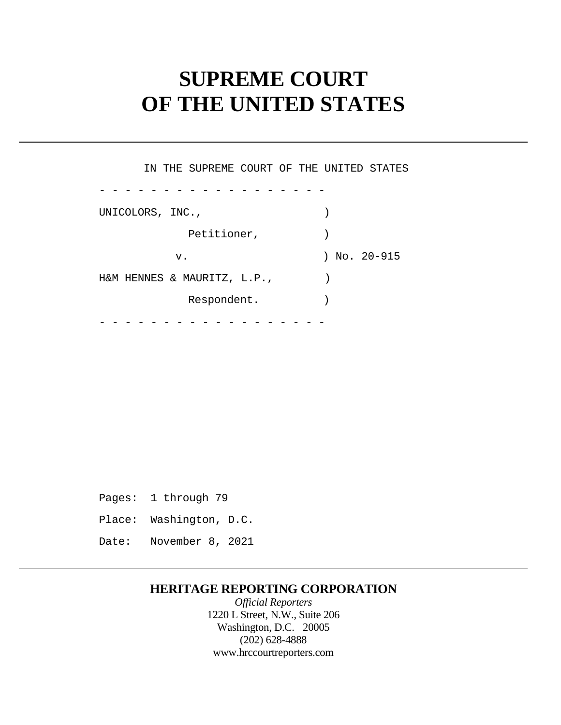# **SUPREME COURT OF THE UNITED STATES**

UNICOLORS, INC., - - - - - - - - - - - - - - - - - - - - - - - - - - - - - - - - - - - - IN THE SUPREME COURT OF THE UNITED STATES Petitioner,  $)$ v. ) No. 20-915 H&M HENNES & MAURITZ, L.P., ) Respondent.

 Pages: 1 through 79 Place: Washington, D.C. Date: November 8, 2021

### **HERITAGE REPORTING CORPORATION**

*Official Reporters*  1220 L Street, N.W., Suite 206 Washington, D.C. 20005 (202) 628-4888 <www.hrccourtreporters.com>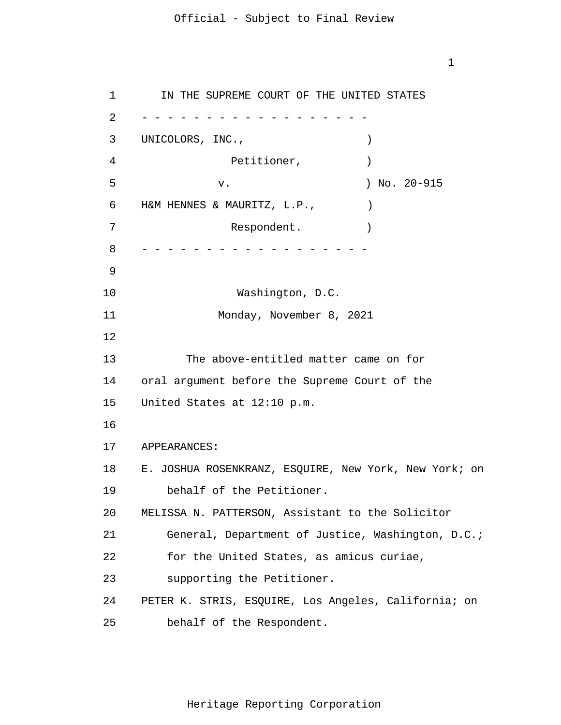1

1 2 3 4 5 6 7 8 9 10 11 12 13 14 15 16 17 18 19 20 21 22 23 24 25 - - - - - - - - - - - - - - - - - - - - - - - - - - - - - - - - - - - - IN THE SUPREME COURT OF THE UNITED STATES UNICOLORS, INC., Petitioner,  $)$  v. ) No. 20-915 H&M HENNES & MAURITZ, L.P., ) Respondent. Washington, D.C. Monday, November 8, 2021 The above-entitled matter came on for oral argument before the Supreme Court of the United States at 12:10 p.m. APPEARANCES: E. JOSHUA ROSENKRANZ, ESQUIRE, New York, New York; on behalf of the Petitioner. MELISSA N. PATTERSON, Assistant to the Solicitor General, Department of Justice, Washington, D.C.; for the United States, as amicus curiae, supporting the Petitioner. PETER K. STRIS, ESQUIRE, Los Angeles, California; on behalf of the Respondent.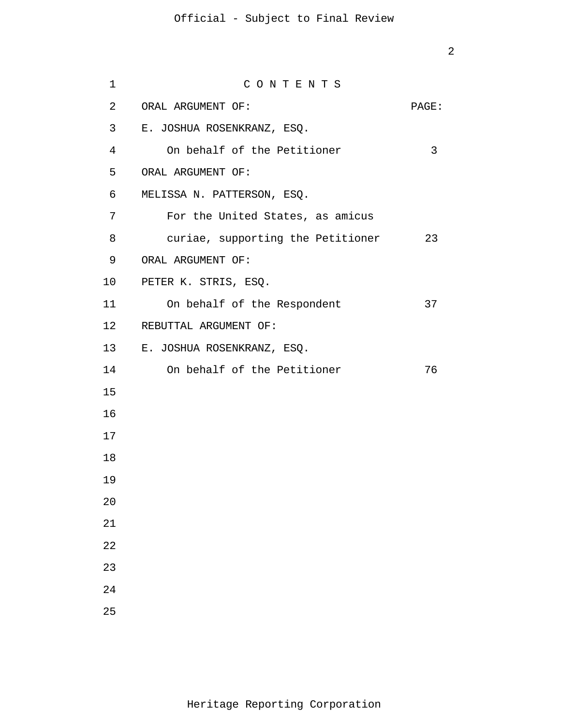| $\mathbf 1$    | CONTENTS                          |       |
|----------------|-----------------------------------|-------|
| $\overline{a}$ | ORAL ARGUMENT OF:                 | PAGE: |
| $\mathbf{3}$   | E. JOSHUA ROSENKRANZ, ESQ.        |       |
| 4              | On behalf of the Petitioner       | 3     |
| 5              | ORAL ARGUMENT OF:                 |       |
| 6              | MELISSA N. PATTERSON, ESQ.        |       |
| 7              | For the United States, as amicus  |       |
| 8              | curiae, supporting the Petitioner | 23    |
| 9              | ORAL ARGUMENT OF:                 |       |
| 10             | PETER K. STRIS, ESQ.              |       |
| 11             | On behalf of the Respondent       | 37    |
|                | 12 REBUTTAL ARGUMENT OF:          |       |
|                | 13 E. JOSHUA ROSENKRANZ, ESQ.     |       |
| 14             | On behalf of the Petitioner       | 76    |
| 15             |                                   |       |
| 16             |                                   |       |
| 17             |                                   |       |
| 18             |                                   |       |
| 19             |                                   |       |
| 20             |                                   |       |
| 21             |                                   |       |
| 22             |                                   |       |
| 23             |                                   |       |
| 24             |                                   |       |
| 25             |                                   |       |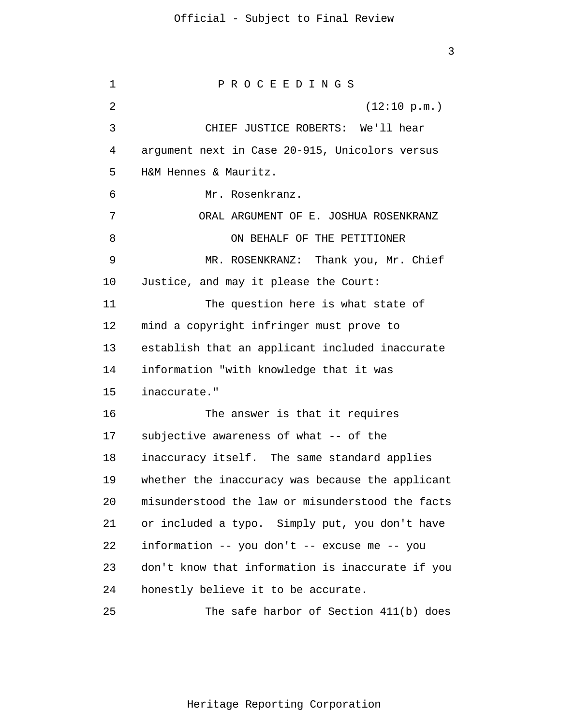1 2 3 4 5 6 7 8 9 10 11 12 13 14 15 16 17 18 19 20 21 22 23 24 25 P R O C E E D I N G S (12:10 p.m.) CHIEF JUSTICE ROBERTS: We'll hear argument next in Case 20-915, Unicolors versus H&M Hennes & Mauritz. Mr. Rosenkranz. ORAL ARGUMENT OF E. JOSHUA ROSENKRANZ ON BEHALF OF THE PETITIONER MR. ROSENKRANZ: Thank you, Mr. Chief Justice, and may it please the Court: The question here is what state of mind a copyright infringer must prove to establish that an applicant included inaccurate information "with knowledge that it was inaccurate." The answer is that it requires subjective awareness of what -- of the inaccuracy itself. The same standard applies whether the inaccuracy was because the applicant misunderstood the law or misunderstood the facts or included a typo. Simply put, you don't have information -- you don't -- excuse me -- you don't know that information is inaccurate if you honestly believe it to be accurate. The safe harbor of Section 411(b) does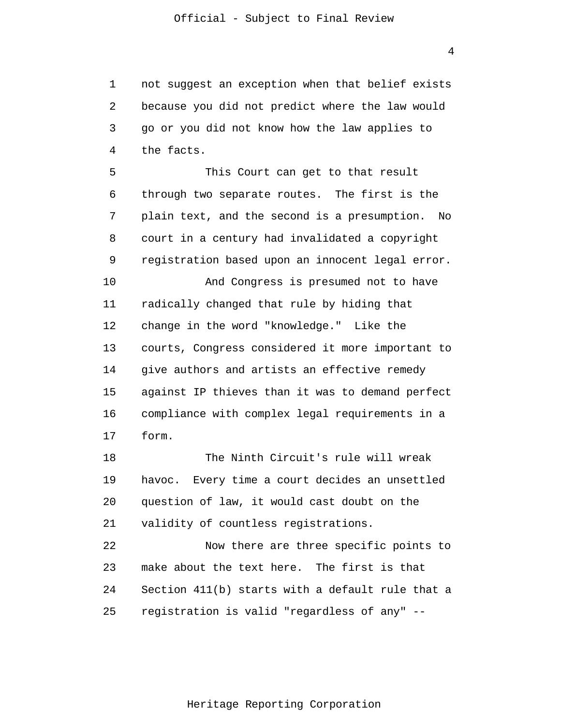1 2 3 4 not suggest an exception when that belief exists because you did not predict where the law would go or you did not know how the law applies to the facts.

5 6 7 8 9 10 11 12 13 14 15 16 17 This Court can get to that result through two separate routes. The first is the plain text, and the second is a presumption. No court in a century had invalidated a copyright registration based upon an innocent legal error. And Congress is presumed not to have radically changed that rule by hiding that change in the word "knowledge." Like the courts, Congress considered it more important to give authors and artists an effective remedy against IP thieves than it was to demand perfect compliance with complex legal requirements in a form.

18 19 20 21 The Ninth Circuit's rule will wreak havoc. Every time a court decides an unsettled question of law, it would cast doubt on the validity of countless registrations.

22 23 24 25 Now there are three specific points to make about the text here. The first is that Section 411(b) starts with a default rule that a registration is valid "regardless of any" --

4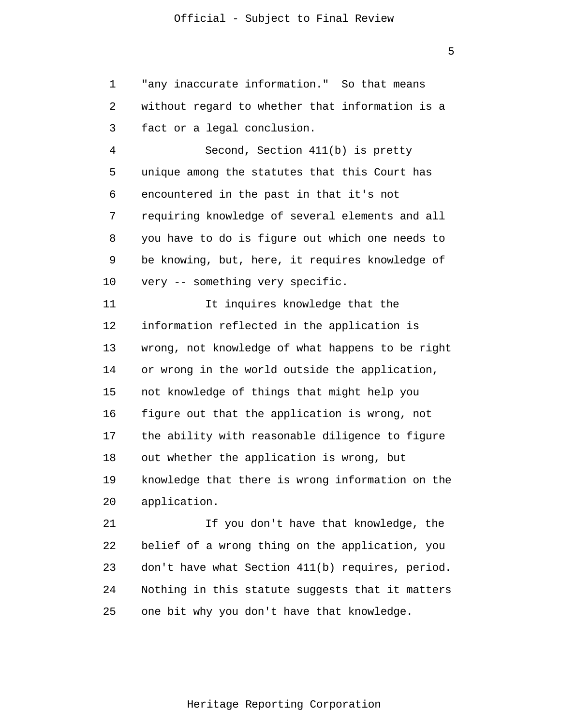1 2 3 "any inaccurate information." So that means without regard to whether that information is a fact or a legal conclusion.

4 5 6 7 8 9 10 Second, Section 411(b) is pretty unique among the statutes that this Court has encountered in the past in that it's not requiring knowledge of several elements and all you have to do is figure out which one needs to be knowing, but, here, it requires knowledge of very -- something very specific.

11 12 13 14 15 16 17 18 19 20 It inquires knowledge that the information reflected in the application is wrong, not knowledge of what happens to be right or wrong in the world outside the application, not knowledge of things that might help you figure out that the application is wrong, not the ability with reasonable diligence to figure out whether the application is wrong, but knowledge that there is wrong information on the application.

21 22 23 24 25 If you don't have that knowledge, the belief of a wrong thing on the application, you don't have what Section 411(b) requires, period. Nothing in this statute suggests that it matters one bit why you don't have that knowledge.

5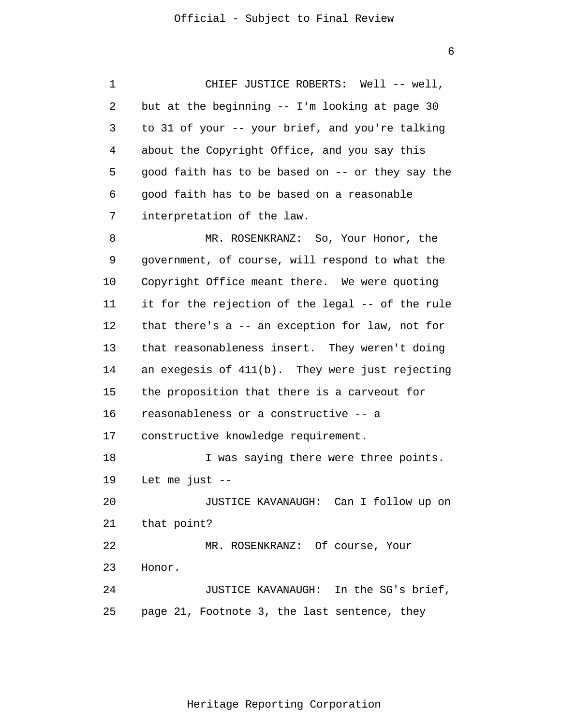1 2 3 4 5 6 7 8 9 10 11 12 13 14 15 16 17 18 19 20 21 22 23 24 25 CHIEF JUSTICE ROBERTS: Well -- well, but at the beginning -- I'm looking at page 30 to 31 of your -- your brief, and you're talking about the Copyright Office, and you say this good faith has to be based on -- or they say the good faith has to be based on a reasonable interpretation of the law. MR. ROSENKRANZ: So, Your Honor, the government, of course, will respond to what the Copyright Office meant there. We were quoting it for the rejection of the legal -- of the rule that there's a -- an exception for law, not for that reasonableness insert. They weren't doing an exegesis of 411(b). They were just rejecting the proposition that there is a carveout for reasonableness or a constructive -- a constructive knowledge requirement. I was saying there were three points. Let me just  $--$ JUSTICE KAVANAUGH: Can I follow up on that point? MR. ROSENKRANZ: Of course, Your Honor. JUSTICE KAVANAUGH: In the SG's brief, page 21, Footnote 3, the last sentence, they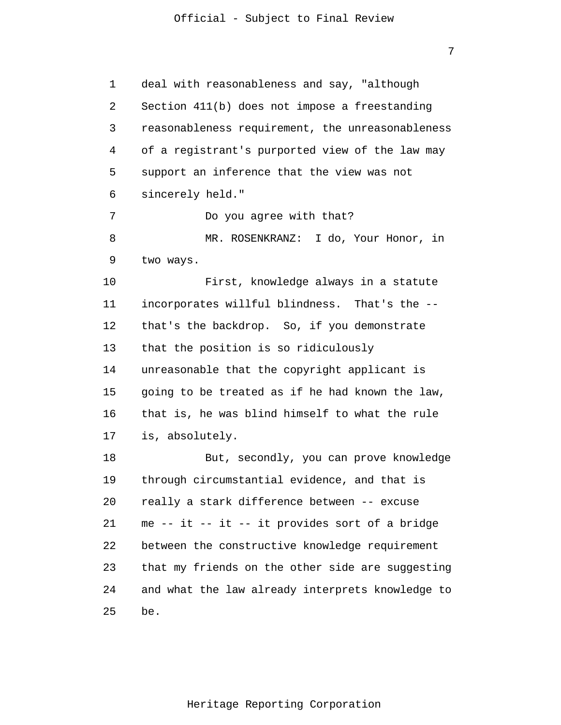7

1 2 3 4 5 6 7 8 9 10 11 12 13 14 15 16 17 18 19 20 21 22 23 24 25 deal with reasonableness and say, "although Section 411(b) does not impose a freestanding reasonableness requirement, the unreasonableness of a registrant's purported view of the law may support an inference that the view was not sincerely held." Do you agree with that? MR. ROSENKRANZ: I do, Your Honor, in two ways. First, knowledge always in a statute incorporates willful blindness. That's the - that's the backdrop. So, if you demonstrate that the position is so ridiculously unreasonable that the copyright applicant is going to be treated as if he had known the law, that is, he was blind himself to what the rule is, absolutely. But, secondly, you can prove knowledge through circumstantial evidence, and that is really a stark difference between -- excuse me -- it -- it -- it provides sort of a bridge between the constructive knowledge requirement that my friends on the other side are suggesting and what the law already interprets knowledge to be.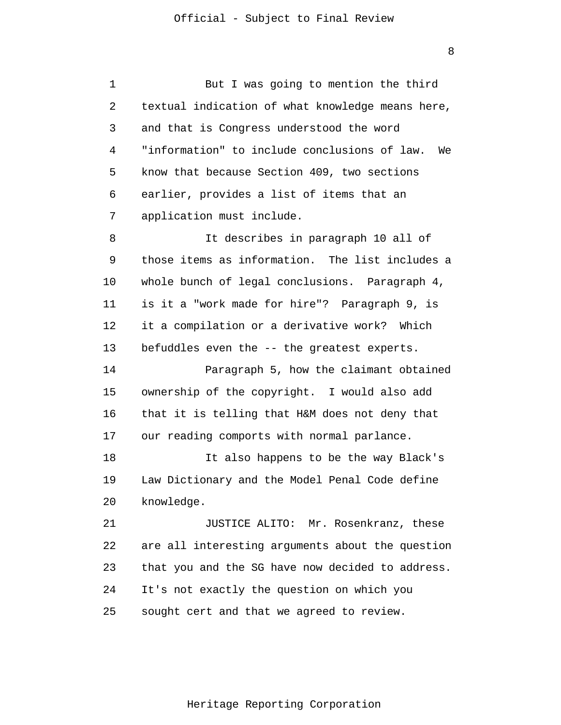1 2 3 4 5 6 7 8 9 10 11 12 13 14 15 16 17 18 19 20 21 22 23 24 25 But I was going to mention the third textual indication of what knowledge means here, and that is Congress understood the word "information" to include conclusions of law. We know that because Section 409, two sections earlier, provides a list of items that an application must include. It describes in paragraph 10 all of those items as information. The list includes a whole bunch of legal conclusions. Paragraph 4, is it a "work made for hire"? Paragraph 9, is it a compilation or a derivative work? Which befuddles even the -- the greatest experts. Paragraph 5, how the claimant obtained ownership of the copyright. I would also add that it is telling that H&M does not deny that our reading comports with normal parlance. It also happens to be the way Black's Law Dictionary and the Model Penal Code define knowledge. JUSTICE ALITO: Mr. Rosenkranz, these are all interesting arguments about the question that you and the SG have now decided to address. It's not exactly the question on which you sought cert and that we agreed to review.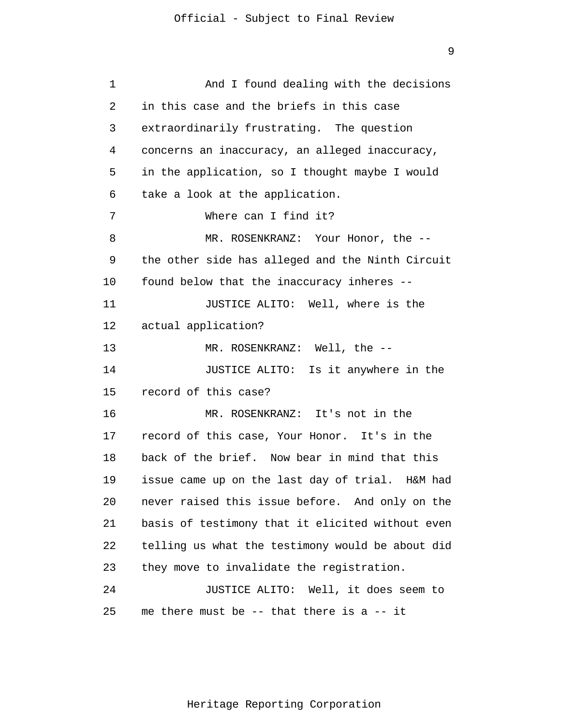```
1 
 2 
 3 
 4 
 5 
 6 
 7 
 8 
 9 
10 
11 
12 
13 
14 
15 
16 
17 
18 
19 
20 
21 
22 
23 
24 
25 
                And I found dealing with the decisions 
      in this case and the briefs in this case
       extraordinarily frustrating. The question 
      concerns an inaccuracy, an alleged inaccuracy, 
      in the application, so I thought maybe I would 
      take a look at the application.
                Where can I find it?
                MR. ROSENKRANZ: Your Honor, the --
      the other side has alleged and the Ninth Circuit 
      found below that the inaccuracy inheres --
                JUSTICE ALITO: Well, where is the 
      actual application? 
                MR. ROSENKRANZ: Well, the --
                JUSTICE ALITO: Is it anywhere in the 
      record of this case? 
                MR. ROSENKRANZ: It's not in the 
      record of this case, Your Honor. It's in the 
      back of the brief. Now bear in mind that this 
      issue came up on the last day of trial. H&M had 
      never raised this issue before. And only on the 
      basis of testimony that it elicited without even 
      telling us what the testimony would be about did 
      they move to invalidate the registration. 
                JUSTICE ALITO: Well, it does seem to 
      me there must be -- that there is a -- it
```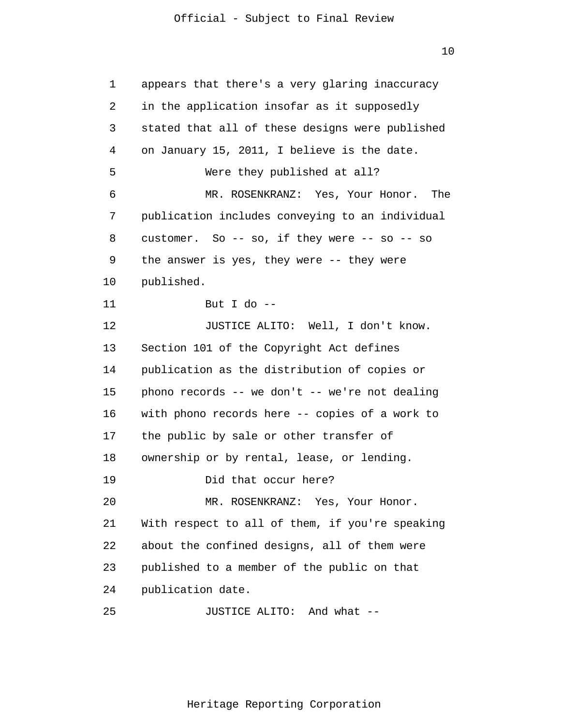10

1 2 3 4 5 6 7 8 9 10 11 12 13 14 15 16 17 18 19 20 21 22 23 24 25 appears that there's a very glaring inaccuracy in the application insofar as it supposedly stated that all of these designs were published on January 15, 2011, I believe is the date. Were they published at all? MR. ROSENKRANZ: Yes, Your Honor. The publication includes conveying to an individual customer. So  $-$  so, if they were  $-$  so  $-$  so the answer is yes, they were -- they were published. But I do  $-$ JUSTICE ALITO: Well, I don't know. Section 101 of the Copyright Act defines publication as the distribution of copies or phono records -- we don't -- we're not dealing with phono records here -- copies of a work to the public by sale or other transfer of ownership or by rental, lease, or lending. Did that occur here? MR. ROSENKRANZ: Yes, Your Honor. With respect to all of them, if you're speaking about the confined designs, all of them were published to a member of the public on that publication date. JUSTICE ALITO: And what --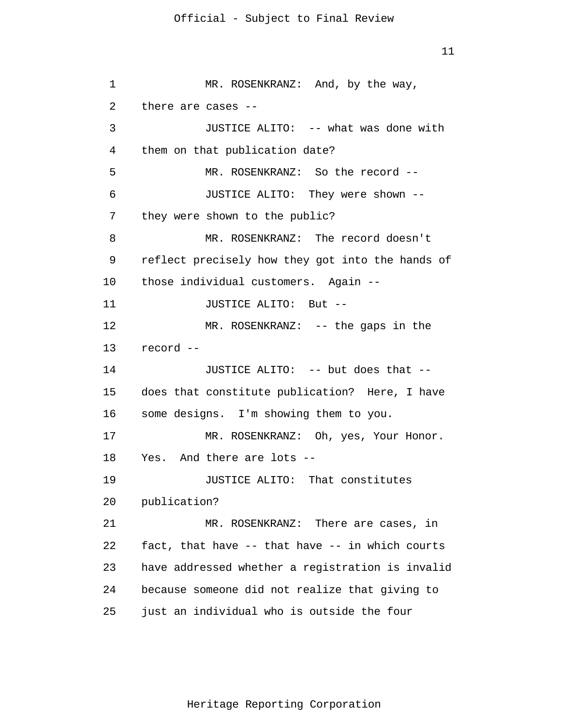11

1 2 3 4 5 6 7 8 9 10 11 12 13 14 15 16 17 18 19 20 21 22 23 24 25 MR. ROSENKRANZ: And, by the way, there are cases -- JUSTICE ALITO: -- what was done with them on that publication date? MR. ROSENKRANZ: So the record -- JUSTICE ALITO: They were shown - they were shown to the public? MR. ROSENKRANZ: The record doesn't reflect precisely how they got into the hands of those individual customers. Again -- JUSTICE ALITO: But -- MR. ROSENKRANZ: -- the gaps in the record -- JUSTICE ALITO: -- but does that - does that constitute publication? Here, I have some designs. I'm showing them to you. MR. ROSENKRANZ: Oh, yes, Your Honor. Yes. And there are lots -- JUSTICE ALITO: That constitutes publication? MR. ROSENKRANZ: There are cases, in fact, that have -- that have -- in which courts have addressed whether a registration is invalid because someone did not realize that giving to just an individual who is outside the four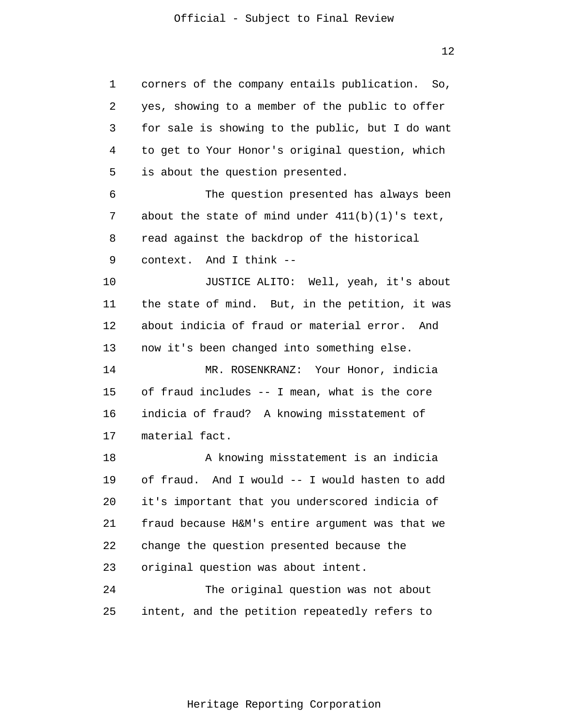1 2 3 4 5 6 7 8 9 10 11 12 13 14 15 16 17 18 19 20 21 22 23 24 25 corners of the company entails publication. So, yes, showing to a member of the public to offer for sale is showing to the public, but I do want to get to Your Honor's original question, which is about the question presented. The question presented has always been about the state of mind under  $411(b)(1)$ 's text, read against the backdrop of the historical context. And I think -- JUSTICE ALITO: Well, yeah, it's about the state of mind. But, in the petition, it was about indicia of fraud or material error. And now it's been changed into something else. MR. ROSENKRANZ: Your Honor, indicia of fraud includes -- I mean, what is the core indicia of fraud? A knowing misstatement of material fact. A knowing misstatement is an indicia of fraud. And I would -- I would hasten to add it's important that you underscored indicia of fraud because H&M's entire argument was that we change the question presented because the original question was about intent. The original question was not about intent, and the petition repeatedly refers to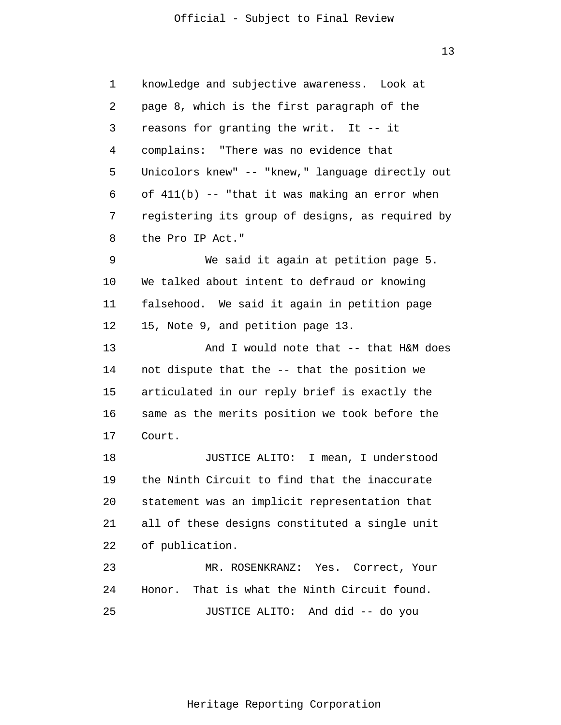1 2 3 4 5 6 7 8 9 10 11 12 13 14 15 16 17 18 19 20 21 22 23 24 25 knowledge and subjective awareness. Look at page 8, which is the first paragraph of the reasons for granting the writ. It -- it complains: "There was no evidence that Unicolors knew" -- "knew," language directly out of  $411(b)$  -- "that it was making an error when registering its group of designs, as required by the Pro IP Act." We said it again at petition page 5. We talked about intent to defraud or knowing falsehood. We said it again in petition page 15, Note 9, and petition page 13. And I would note that -- that H&M does not dispute that the -- that the position we articulated in our reply brief is exactly the same as the merits position we took before the Court. JUSTICE ALITO: I mean, I understood the Ninth Circuit to find that the inaccurate statement was an implicit representation that all of these designs constituted a single unit of publication. MR. ROSENKRANZ: Yes. Correct, Your Honor. That is what the Ninth Circuit found. JUSTICE ALITO: And did -- do you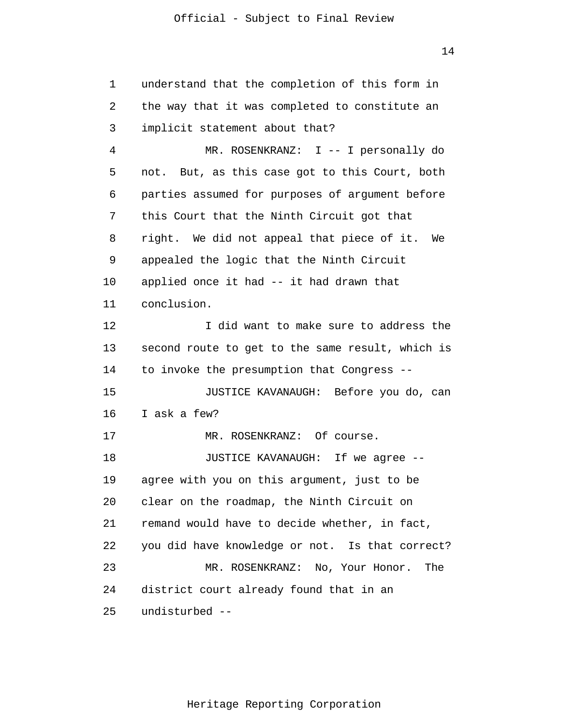1 2 3 4 5 6 7 8 9 10 11 12 13 14 15 16 17 18 19 20 21 22 23 24 25 understand that the completion of this form in the way that it was completed to constitute an implicit statement about that? MR. ROSENKRANZ: I -- I personally do not. But, as this case got to this Court, both parties assumed for purposes of argument before this Court that the Ninth Circuit got that right. We did not appeal that piece of it. We appealed the logic that the Ninth Circuit applied once it had -- it had drawn that conclusion. I did want to make sure to address the second route to get to the same result, which is to invoke the presumption that Congress -- JUSTICE KAVANAUGH: Before you do, can I ask a few? MR. ROSENKRANZ: Of course. JUSTICE KAVANAUGH: If we agree - agree with you on this argument, just to be clear on the roadmap, the Ninth Circuit on remand would have to decide whether, in fact, you did have knowledge or not. Is that correct? MR. ROSENKRANZ: No, Your Honor. The district court already found that in an undisturbed --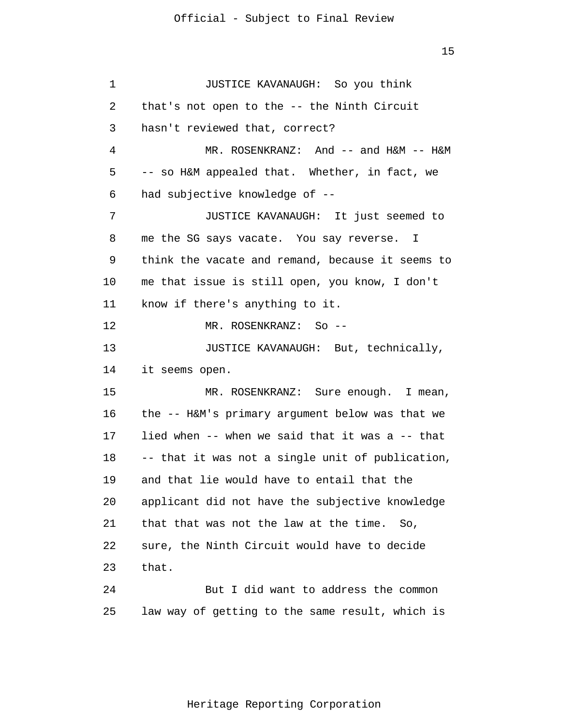1 2 3 4 5 6 7 8 9 10 11 12 13 14 15 16 17 18 19 20 21 22 23 24 25 JUSTICE KAVANAUGH: So you think that's not open to the -- the Ninth Circuit hasn't reviewed that, correct? MR. ROSENKRANZ: And -- and H&M -- H&M -- so H&M appealed that. Whether, in fact, we had subjective knowledge of -- JUSTICE KAVANAUGH: It just seemed to me the SG says vacate. You say reverse. I think the vacate and remand, because it seems to me that issue is still open, you know, I don't know if there's anything to it. MR. ROSENKRANZ: So -- JUSTICE KAVANAUGH: But, technically, it seems open. MR. ROSENKRANZ: Sure enough. I mean, the -- H&M's primary argument below was that we lied when -- when we said that it was a -- that -- that it was not a single unit of publication, and that lie would have to entail that the applicant did not have the subjective knowledge that that was not the law at the time. So, sure, the Ninth Circuit would have to decide that. But I did want to address the common law way of getting to the same result, which is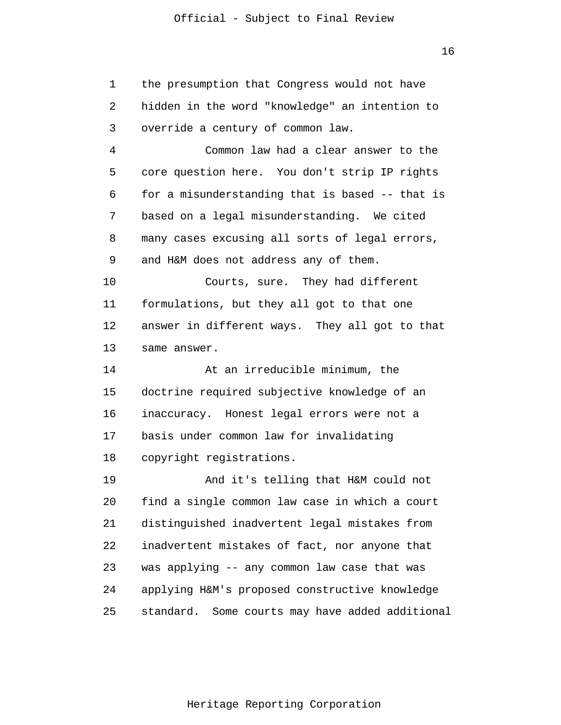1 2 3 4 5 6 7 8 9 10 11 12 13 14 15 16 17 18 19 20 21 22 23 24 25 the presumption that Congress would not have hidden in the word "knowledge" an intention to override a century of common law. Common law had a clear answer to the core question here. You don't strip IP rights for a misunderstanding that is based -- that is based on a legal misunderstanding. We cited many cases excusing all sorts of legal errors, and H&M does not address any of them. Courts, sure. They had different formulations, but they all got to that one answer in different ways. They all got to that same answer. At an irreducible minimum, the doctrine required subjective knowledge of an inaccuracy. Honest legal errors were not a basis under common law for invalidating copyright registrations. And it's telling that H&M could not find a single common law case in which a court distinguished inadvertent legal mistakes from inadvertent mistakes of fact, nor anyone that was applying -- any common law case that was applying H&M's proposed constructive knowledge standard. Some courts may have added additional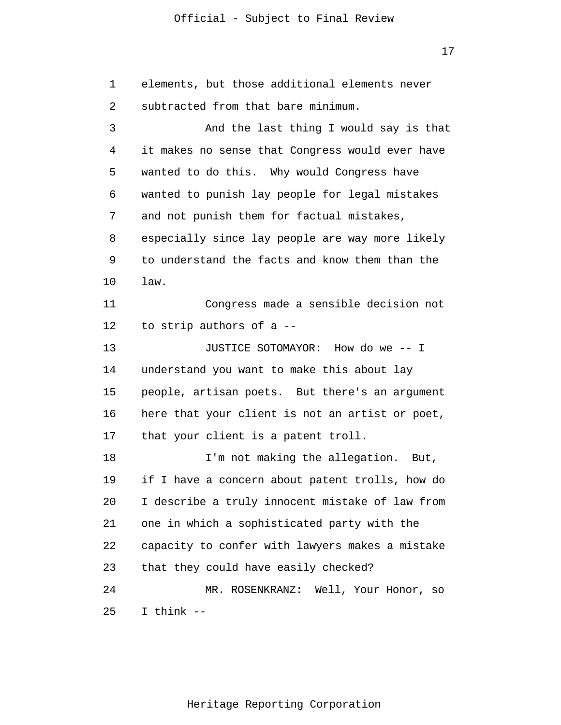17

1 2 3 4 5 6 7 8 9 10 11 12 13 14 15 16 17 18 19 20 21 22 23 24 25 elements, but those additional elements never subtracted from that bare minimum. And the last thing I would say is that it makes no sense that Congress would ever have wanted to do this. Why would Congress have wanted to punish lay people for legal mistakes and not punish them for factual mistakes, especially since lay people are way more likely to understand the facts and know them than the law. Congress made a sensible decision not to strip authors of a -- JUSTICE SOTOMAYOR: How do we -- I understand you want to make this about lay people, artisan poets. But there's an argument here that your client is not an artist or poet, that your client is a patent troll. I'm not making the allegation. But, if I have a concern about patent trolls, how do I describe a truly innocent mistake of law from one in which a sophisticated party with the capacity to confer with lawyers makes a mistake that they could have easily checked? MR. ROSENKRANZ: Well, Your Honor, so I think --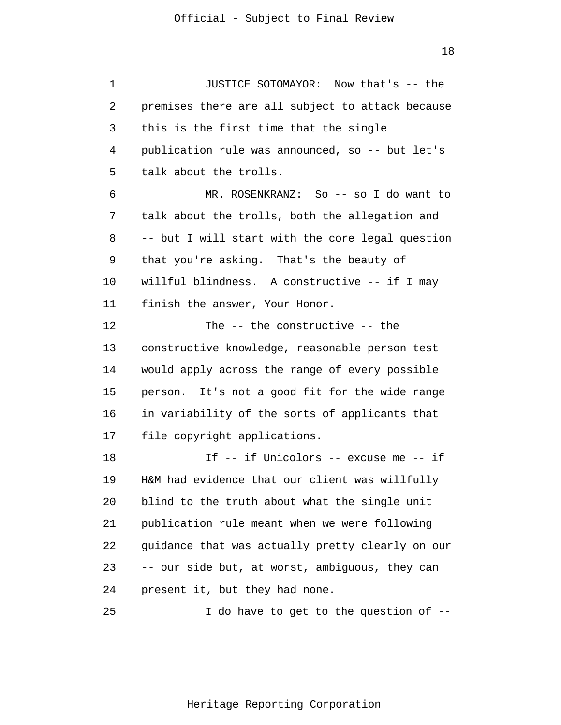1 2 3 4 5 6 7 8 9 10 11 12 13 14 15 16 17 18 19 20 21 22 23 24 25 JUSTICE SOTOMAYOR: Now that's -- the premises there are all subject to attack because this is the first time that the single publication rule was announced, so -- but let's talk about the trolls. MR. ROSENKRANZ: So -- so I do want to talk about the trolls, both the allegation and -- but I will start with the core legal question that you're asking. That's the beauty of willful blindness. A constructive -- if I may finish the answer, Your Honor. The -- the constructive -- the constructive knowledge, reasonable person test would apply across the range of every possible person. It's not a good fit for the wide range in variability of the sorts of applicants that file copyright applications. If -- if Unicolors -- excuse me -- if H&M had evidence that our client was willfully blind to the truth about what the single unit publication rule meant when we were following guidance that was actually pretty clearly on our -- our side but, at worst, ambiguous, they can present it, but they had none. I do have to get to the question of --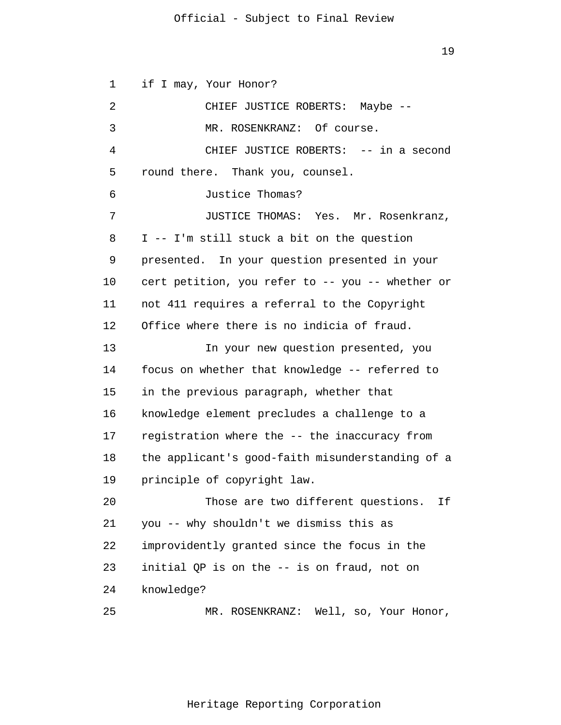19

1 2 3 4 5 6 7 8 9 10 11 12 13 14 15 16 17 18 19 20 21 22 23 24 25 if I may, Your Honor? CHIEF JUSTICE ROBERTS: Maybe -- MR. ROSENKRANZ: Of course. CHIEF JUSTICE ROBERTS: -- in a second round there. Thank you, counsel. Justice Thomas? JUSTICE THOMAS: Yes. Mr. Rosenkranz, I -- I'm still stuck a bit on the question presented. In your question presented in your cert petition, you refer to -- you -- whether or not 411 requires a referral to the Copyright Office where there is no indicia of fraud. In your new question presented, you focus on whether that knowledge -- referred to in the previous paragraph, whether that knowledge element precludes a challenge to a registration where the -- the inaccuracy from the applicant's good-faith misunderstanding of a principle of copyright law. Those are two different questions. If you -- why shouldn't we dismiss this as improvidently granted since the focus in the initial QP is on the -- is on fraud, not on knowledge? MR. ROSENKRANZ: Well, so, Your Honor,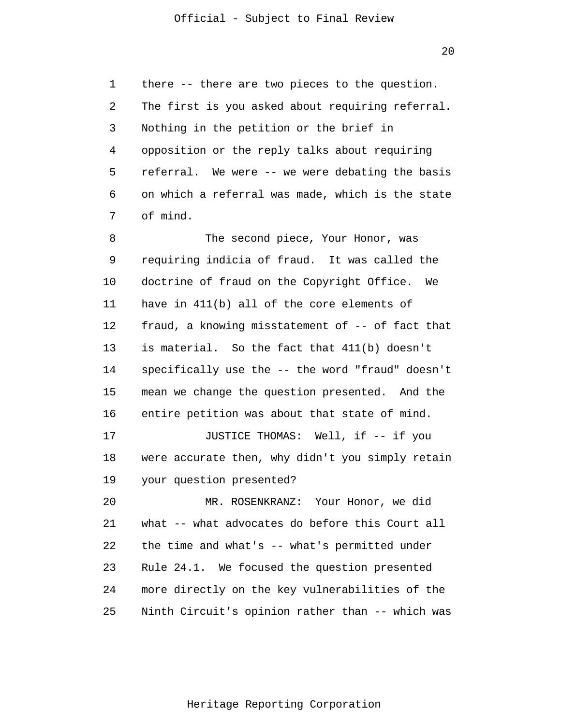1 2 3 4 5 6 7 there -- there are two pieces to the question. The first is you asked about requiring referral. Nothing in the petition or the brief in opposition or the reply talks about requiring referral. We were -- we were debating the basis on which a referral was made, which is the state of mind.

8 9 10 11 12 13 14 15 16 17 18 19 20 21 22 23 24 The second piece, Your Honor, was requiring indicia of fraud. It was called the doctrine of fraud on the Copyright Office. We have in 411(b) all of the core elements of fraud, a knowing misstatement of -- of fact that is material. So the fact that 411(b) doesn't specifically use the -- the word "fraud" doesn't mean we change the question presented. And the entire petition was about that state of mind. JUSTICE THOMAS: Well, if -- if you were accurate then, why didn't you simply retain your question presented? MR. ROSENKRANZ: Your Honor, we did what -- what advocates do before this Court all the time and what's  $-$  what's permitted under Rule 24.1. We focused the question presented more directly on the key vulnerabilities of the

25 Ninth Circuit's opinion rather than -- which was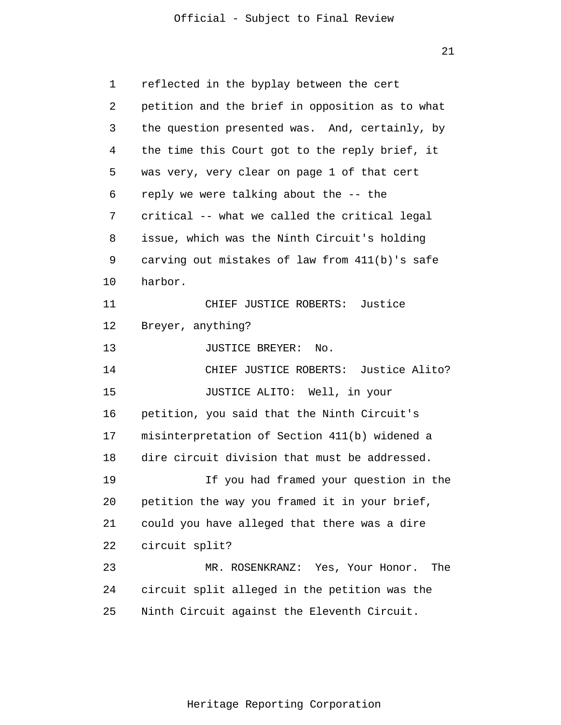| 1  | reflected in the byplay between the cert        |  |  |  |
|----|-------------------------------------------------|--|--|--|
| 2  | petition and the brief in opposition as to what |  |  |  |
| 3  | the question presented was. And, certainly, by  |  |  |  |
| 4  | the time this Court got to the reply brief, it  |  |  |  |
| 5  | was very, very clear on page 1 of that cert     |  |  |  |
| 6  | reply we were talking about the -- the          |  |  |  |
| 7  | critical -- what we called the critical legal   |  |  |  |
| 8  | issue, which was the Ninth Circuit's holding    |  |  |  |
| 9  | carving out mistakes of law from 411(b)'s safe  |  |  |  |
| 10 | harbor.                                         |  |  |  |
| 11 | CHIEF JUSTICE ROBERTS: Justice                  |  |  |  |
| 12 | Breyer, anything?                               |  |  |  |
| 13 | JUSTICE BREYER:<br>No.                          |  |  |  |
| 14 | CHIEF JUSTICE ROBERTS: Justice Alito?           |  |  |  |
| 15 | JUSTICE ALITO: Well, in your                    |  |  |  |
| 16 | petition, you said that the Ninth Circuit's     |  |  |  |
| 17 | misinterpretation of Section 411(b) widened a   |  |  |  |
| 18 | dire circuit division that must be addressed.   |  |  |  |
| 19 | If you had framed your question in the          |  |  |  |
| 20 | petition the way you framed it in your brief,   |  |  |  |
| 21 | could you have alleged that there was a dire    |  |  |  |
| 22 | circuit split?                                  |  |  |  |
| 23 | MR. ROSENKRANZ: Yes, Your Honor. The            |  |  |  |
| 24 | circuit split alleged in the petition was the   |  |  |  |
| 25 | Ninth Circuit against the Eleventh Circuit.     |  |  |  |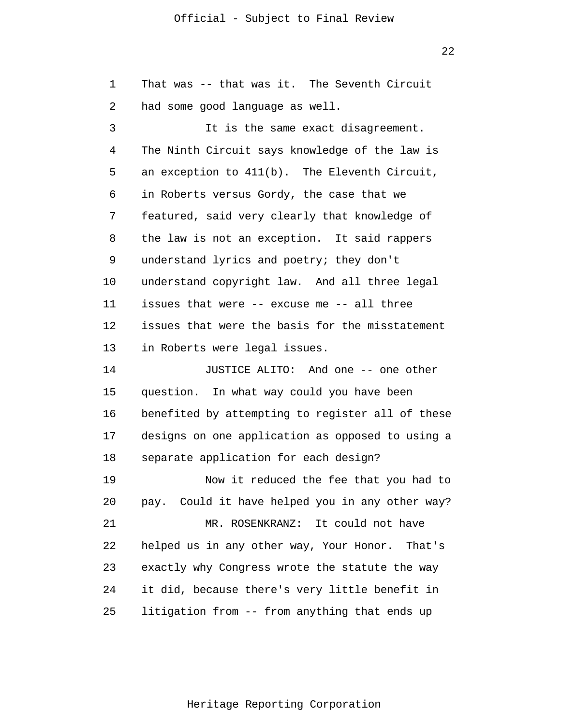22

1 2 3 4 5 6 7 8 9 10 11 12 13 14 15 16 17 18 19 20 21 22 23 24 25 That was -- that was it. The Seventh Circuit had some good language as well. It is the same exact disagreement. The Ninth Circuit says knowledge of the law is an exception to 411(b). The Eleventh Circuit, in Roberts versus Gordy, the case that we featured, said very clearly that knowledge of the law is not an exception. It said rappers understand lyrics and poetry; they don't understand copyright law. And all three legal issues that were -- excuse me -- all three issues that were the basis for the misstatement in Roberts were legal issues. JUSTICE ALITO: And one -- one other question. In what way could you have been benefited by attempting to register all of these designs on one application as opposed to using a separate application for each design? Now it reduced the fee that you had to pay. Could it have helped you in any other way? MR. ROSENKRANZ: It could not have helped us in any other way, Your Honor. That's exactly why Congress wrote the statute the way it did, because there's very little benefit in litigation from -- from anything that ends up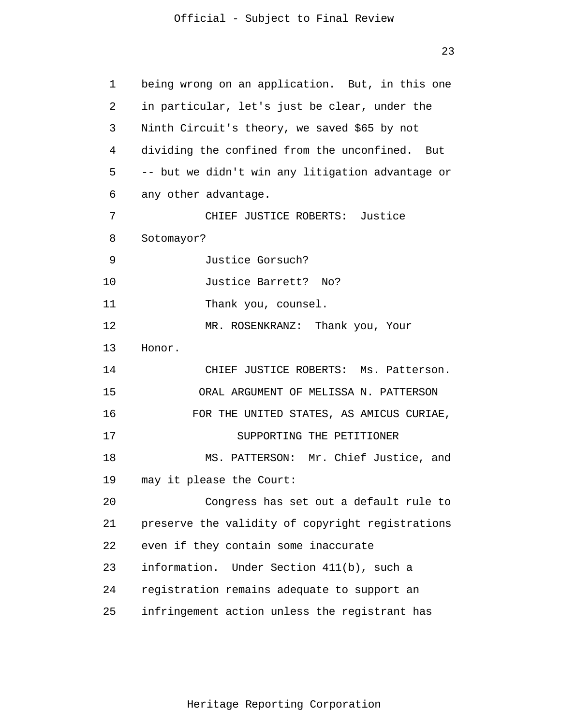23

| 1  | being wrong on an application. But, in this one  |  |  |  |
|----|--------------------------------------------------|--|--|--|
| 2  | in particular, let's just be clear, under the    |  |  |  |
| 3  | Ninth Circuit's theory, we saved \$65 by not     |  |  |  |
| 4  | dividing the confined from the unconfined. But   |  |  |  |
| 5  | -- but we didn't win any litigation advantage or |  |  |  |
| 6  | any other advantage.                             |  |  |  |
| 7  | CHIEF JUSTICE ROBERTS: Justice                   |  |  |  |
| 8  | Sotomayor?                                       |  |  |  |
| 9  | Justice Gorsuch?                                 |  |  |  |
| 10 | Justice Barrett? No?                             |  |  |  |
| 11 | Thank you, counsel.                              |  |  |  |
| 12 | MR. ROSENKRANZ: Thank you, Your                  |  |  |  |
| 13 | Honor.                                           |  |  |  |
| 14 | CHIEF JUSTICE ROBERTS: Ms. Patterson.            |  |  |  |
| 15 | ORAL ARGUMENT OF MELISSA N. PATTERSON            |  |  |  |
| 16 | FOR THE UNITED STATES, AS AMICUS CURIAE,         |  |  |  |
| 17 | SUPPORTING THE PETITIONER                        |  |  |  |
| 18 | MS. PATTERSON: Mr. Chief Justice, and            |  |  |  |
| 19 | may it please the Court:                         |  |  |  |
| 20 | Congress has set out a default rule to           |  |  |  |
| 21 | preserve the validity of copyright registrations |  |  |  |
| 22 | even if they contain some inaccurate             |  |  |  |
| 23 | information. Under Section 411(b), such a        |  |  |  |
| 24 | registration remains adequate to support an      |  |  |  |
| 25 | infringement action unless the registrant has    |  |  |  |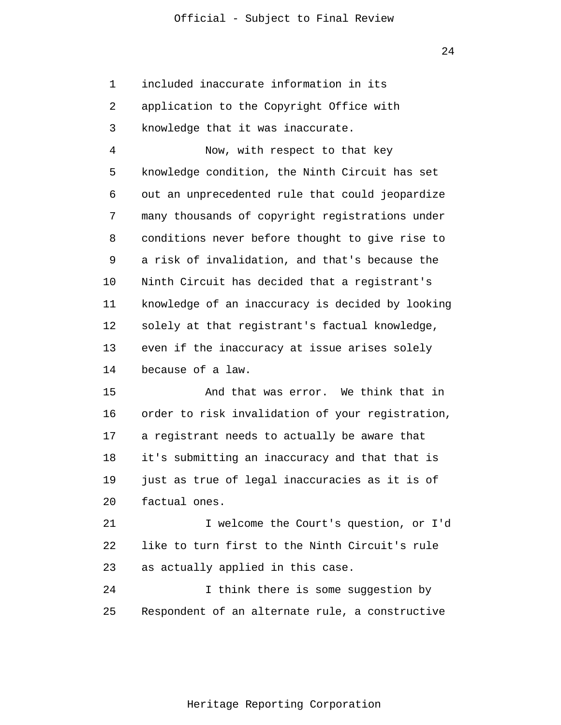1 2 3 included inaccurate information in its application to the Copyright Office with knowledge that it was inaccurate.

4 5 6 7 8 9 10 11 12 13 14 Now, with respect to that key knowledge condition, the Ninth Circuit has set out an unprecedented rule that could jeopardize many thousands of copyright registrations under conditions never before thought to give rise to a risk of invalidation, and that's because the Ninth Circuit has decided that a registrant's knowledge of an inaccuracy is decided by looking solely at that registrant's factual knowledge, even if the inaccuracy at issue arises solely because of a law.

15 16 17 18 19 20 And that was error. We think that in order to risk invalidation of your registration, a registrant needs to actually be aware that it's submitting an inaccuracy and that that is just as true of legal inaccuracies as it is of factual ones.

21 22 23 I welcome the Court's question, or I'd like to turn first to the Ninth Circuit's rule as actually applied in this case.

24 25 I think there is some suggestion by Respondent of an alternate rule, a constructive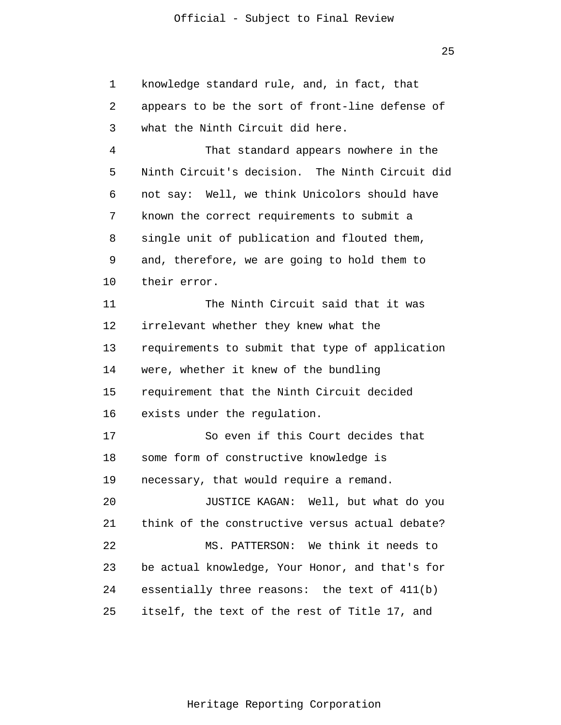1 2 3 4 5 6 7 8 9 10 11 12 13 14 15 16 17 18 19 20 21 22 23 24 25 knowledge standard rule, and, in fact, that appears to be the sort of front-line defense of what the Ninth Circuit did here. That standard appears nowhere in the Ninth Circuit's decision. The Ninth Circuit did not say: Well, we think Unicolors should have known the correct requirements to submit a single unit of publication and flouted them, and, therefore, we are going to hold them to their error. The Ninth Circuit said that it was irrelevant whether they knew what the requirements to submit that type of application were, whether it knew of the bundling requirement that the Ninth Circuit decided exists under the regulation. So even if this Court decides that some form of constructive knowledge is necessary, that would require a remand. JUSTICE KAGAN: Well, but what do you think of the constructive versus actual debate? MS. PATTERSON: We think it needs to be actual knowledge, Your Honor, and that's for essentially three reasons: the text of 411(b) itself, the text of the rest of Title 17, and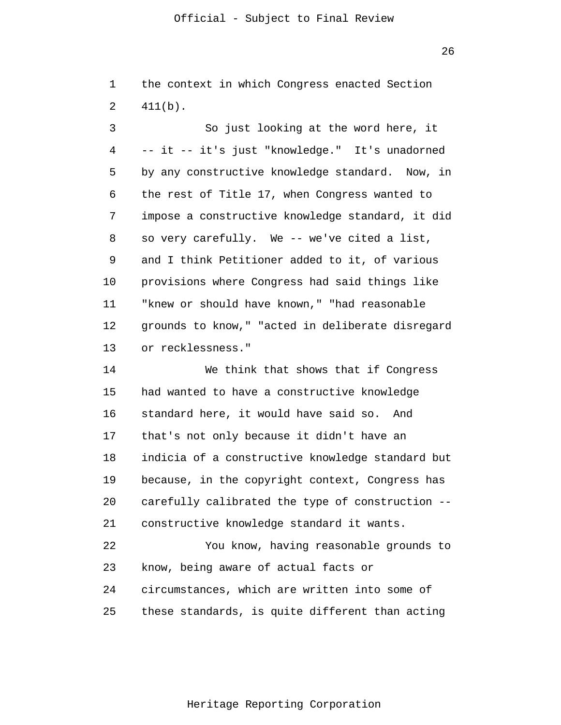26

|                   |  |  | 1 the context in which Congress enacted Section |  |
|-------------------|--|--|-------------------------------------------------|--|
| $2 \quad 411(b).$ |  |  |                                                 |  |

3 4 5 6 7 8 9 10 11 12 13 So just looking at the word here, it -- it -- it's just "knowledge." It's unadorned by any constructive knowledge standard. Now, in the rest of Title 17, when Congress wanted to impose a constructive knowledge standard, it did so very carefully. We -- we've cited a list, and I think Petitioner added to it, of various provisions where Congress had said things like "knew or should have known," "had reasonable grounds to know," "acted in deliberate disregard or recklessness."

14 15 16 17 18 19 20 21 22 23 24 25 We think that shows that if Congress had wanted to have a constructive knowledge standard here, it would have said so. And that's not only because it didn't have an indicia of a constructive knowledge standard but because, in the copyright context, Congress has carefully calibrated the type of construction - constructive knowledge standard it wants. You know, having reasonable grounds to know, being aware of actual facts or circumstances, which are written into some of these standards, is quite different than acting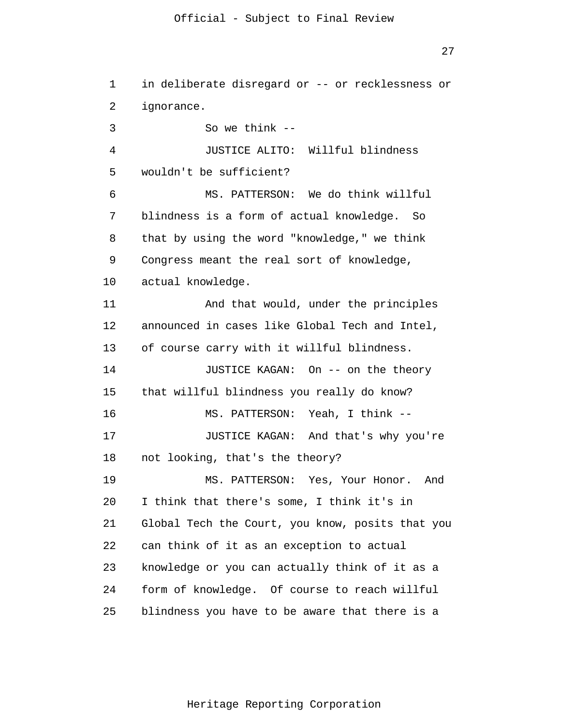1 2 3 4 5 6 7 8 9 10 11 12 13 14 15 16 17 18 19 20 21 22 23 24 25 in deliberate disregard or -- or recklessness or ignorance. So we think  $-$ JUSTICE ALITO: Willful blindness wouldn't be sufficient? MS. PATTERSON: We do think willful blindness is a form of actual knowledge. So that by using the word "knowledge," we think Congress meant the real sort of knowledge, actual knowledge. And that would, under the principles announced in cases like Global Tech and Intel, of course carry with it willful blindness. JUSTICE KAGAN: On -- on the theory that willful blindness you really do know? MS. PATTERSON: Yeah, I think -- JUSTICE KAGAN: And that's why you're not looking, that's the theory? MS. PATTERSON: Yes, Your Honor. And I think that there's some, I think it's in Global Tech the Court, you know, posits that you can think of it as an exception to actual knowledge or you can actually think of it as a form of knowledge. Of course to reach willful blindness you have to be aware that there is a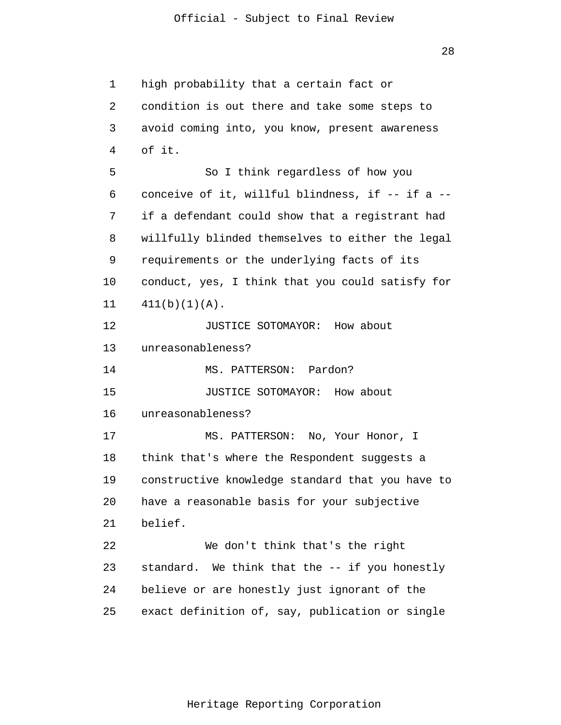1 2 3 4 5 6 7 8 9 10 11 12 13 14 15 16 17 18 19 20 21 22 23 24 25 high probability that a certain fact or condition is out there and take some steps to avoid coming into, you know, present awareness of it. So I think regardless of how you conceive of it, willful blindness, if -- if a - if a defendant could show that a registrant had willfully blinded themselves to either the legal requirements or the underlying facts of its conduct, yes, I think that you could satisfy for  $411(b)(1)(A)$ . JUSTICE SOTOMAYOR: How about unreasonableness? MS. PATTERSON: Pardon? JUSTICE SOTOMAYOR: How about unreasonableness? MS. PATTERSON: No, Your Honor, I think that's where the Respondent suggests a constructive knowledge standard that you have to have a reasonable basis for your subjective belief. We don't think that's the right standard. We think that the -- if you honestly believe or are honestly just ignorant of the exact definition of, say, publication or single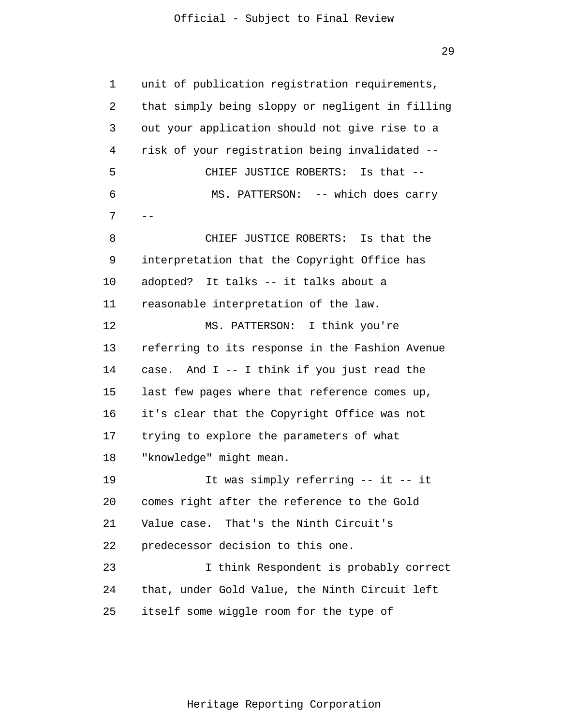1 2 3 4 5 6 7 8 9 10 11 12 13 14 15 16 17 18 19 20 21 22 23 24 25 - unit of publication registration requirements, that simply being sloppy or negligent in filling out your application should not give rise to a risk of your registration being invalidated -- CHIEF JUSTICE ROBERTS: Is that -- MS. PATTERSON: -- which does carry CHIEF JUSTICE ROBERTS: Is that the interpretation that the Copyright Office has adopted? It talks -- it talks about a reasonable interpretation of the law. MS. PATTERSON: I think you're referring to its response in the Fashion Avenue case. And I -- I think if you just read the last few pages where that reference comes up, it's clear that the Copyright Office was not trying to explore the parameters of what "knowledge" might mean. It was simply referring -- it -- it comes right after the reference to the Gold Value case. That's the Ninth Circuit's predecessor decision to this one. I think Respondent is probably correct that, under Gold Value, the Ninth Circuit left itself some wiggle room for the type of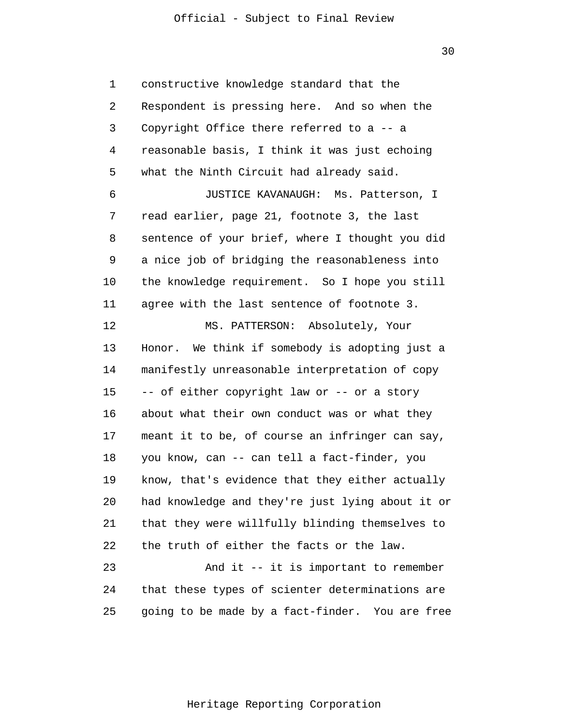30

1 2 3 4 5 6 7 8 9 10 11 12 13 14 15 16 17 18 19 20 21 22 23 24 25 constructive knowledge standard that the Respondent is pressing here. And so when the Copyright Office there referred to a -- a reasonable basis, I think it was just echoing what the Ninth Circuit had already said. JUSTICE KAVANAUGH: Ms. Patterson, I read earlier, page 21, footnote 3, the last sentence of your brief, where I thought you did a nice job of bridging the reasonableness into the knowledge requirement. So I hope you still agree with the last sentence of footnote 3. MS. PATTERSON: Absolutely, Your Honor. We think if somebody is adopting just a manifestly unreasonable interpretation of copy -- of either copyright law or -- or a story about what their own conduct was or what they meant it to be, of course an infringer can say, you know, can -- can tell a fact-finder, you know, that's evidence that they either actually had knowledge and they're just lying about it or that they were willfully blinding themselves to the truth of either the facts or the law. And it -- it is important to remember that these types of scienter determinations are going to be made by a fact-finder. You are free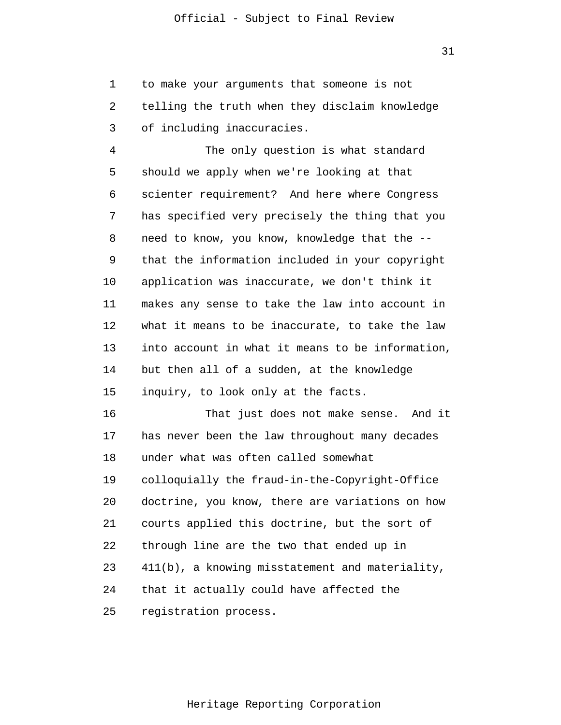1 2 3 to make your arguments that someone is not telling the truth when they disclaim knowledge of including inaccuracies.

4 5 6 7 8 9 10 11 12 13 14 15 The only question is what standard should we apply when we're looking at that scienter requirement? And here where Congress has specified very precisely the thing that you need to know, you know, knowledge that the - that the information included in your copyright application was inaccurate, we don't think it makes any sense to take the law into account in what it means to be inaccurate, to take the law into account in what it means to be information, but then all of a sudden, at the knowledge inquiry, to look only at the facts.

16 17 18 19 20 21 22 23 24 25 That just does not make sense. And it has never been the law throughout many decades under what was often called somewhat colloquially the fraud-in-the-Copyright-Office doctrine, you know, there are variations on how courts applied this doctrine, but the sort of through line are the two that ended up in 411(b), a knowing misstatement and materiality, that it actually could have affected the registration process.

31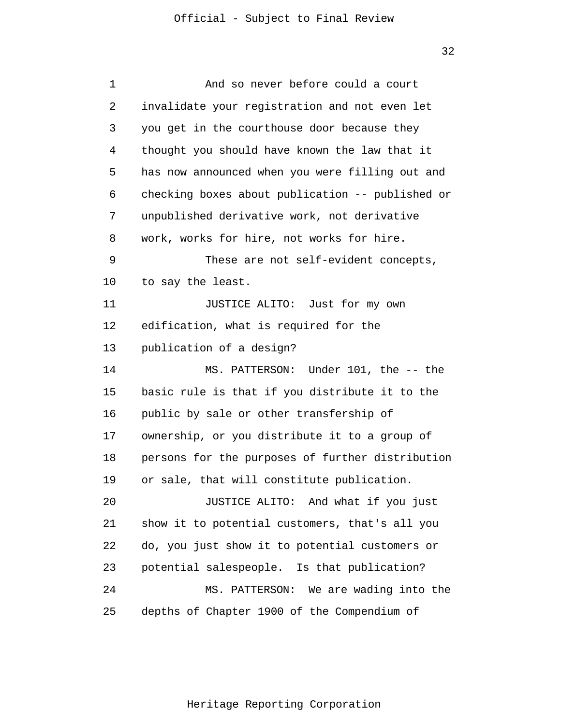| 1  | And so never before could a court                |  |  |  |
|----|--------------------------------------------------|--|--|--|
| 2  | invalidate your registration and not even let    |  |  |  |
| 3  | you get in the courthouse door because they      |  |  |  |
| 4  | thought you should have known the law that it    |  |  |  |
| 5  | has now announced when you were filling out and  |  |  |  |
| 6  | checking boxes about publication -- published or |  |  |  |
| 7  | unpublished derivative work, not derivative      |  |  |  |
| 8  | work, works for hire, not works for hire.        |  |  |  |
| 9  | These are not self-evident concepts,             |  |  |  |
| 10 | to say the least.                                |  |  |  |
| 11 | JUSTICE ALITO: Just for my own                   |  |  |  |
| 12 | edification, what is required for the            |  |  |  |
| 13 | publication of a design?                         |  |  |  |
| 14 | MS. PATTERSON: Under 101, the -- the             |  |  |  |
| 15 | basic rule is that if you distribute it to the   |  |  |  |
| 16 | public by sale or other transfership of          |  |  |  |
| 17 | ownership, or you distribute it to a group of    |  |  |  |
| 18 | persons for the purposes of further distribution |  |  |  |
| 19 | or sale, that will constitute publication.       |  |  |  |
| 20 | JUSTICE ALITO: And what if you just              |  |  |  |
| 21 | show it to potential customers, that's all you   |  |  |  |
| 22 | do, you just show it to potential customers or   |  |  |  |
| 23 | potential salespeople. Is that publication?      |  |  |  |
| 24 | MS. PATTERSON: We are wading into the            |  |  |  |
| 25 | depths of Chapter 1900 of the Compendium of      |  |  |  |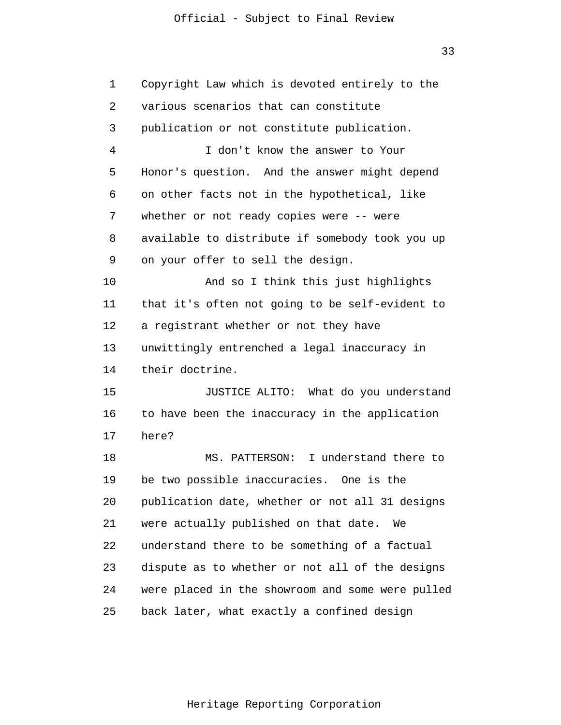33

1 2 3 4 5 6 7 8 9 10 11 12 13 14 15 16 17 18 19 20 21 22 23 24 25 Copyright Law which is devoted entirely to the various scenarios that can constitute publication or not constitute publication. I don't know the answer to Your Honor's question. And the answer might depend on other facts not in the hypothetical, like whether or not ready copies were -- were available to distribute if somebody took you up on your offer to sell the design. And so I think this just highlights that it's often not going to be self-evident to a registrant whether or not they have unwittingly entrenched a legal inaccuracy in their doctrine. JUSTICE ALITO: What do you understand to have been the inaccuracy in the application here? MS. PATTERSON: I understand there to be two possible inaccuracies. One is the publication date, whether or not all 31 designs were actually published on that date. We understand there to be something of a factual dispute as to whether or not all of the designs were placed in the showroom and some were pulled back later, what exactly a confined design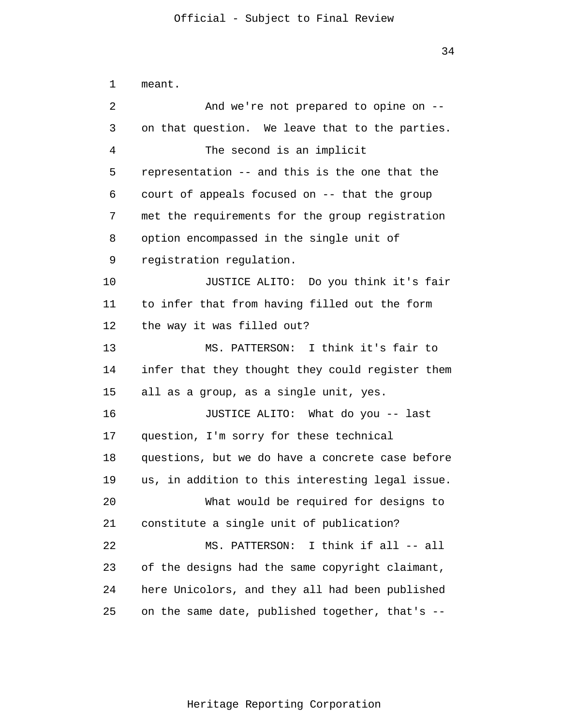1 2 3 4 5 6 7 8 9 10 11 12 13 14 15 16 17 18 19 20 21 22 23 24 25 meant. And we're not prepared to opine on - on that question. We leave that to the parties. The second is an implicit representation -- and this is the one that the court of appeals focused on -- that the group met the requirements for the group registration option encompassed in the single unit of registration regulation. JUSTICE ALITO: Do you think it's fair to infer that from having filled out the form the way it was filled out? MS. PATTERSON: I think it's fair to infer that they thought they could register them all as a group, as a single unit, yes. JUSTICE ALITO: What do you -- last question, I'm sorry for these technical questions, but we do have a concrete case before us, in addition to this interesting legal issue. What would be required for designs to constitute a single unit of publication? MS. PATTERSON: I think if all -- all of the designs had the same copyright claimant, here Unicolors, and they all had been published on the same date, published together, that's --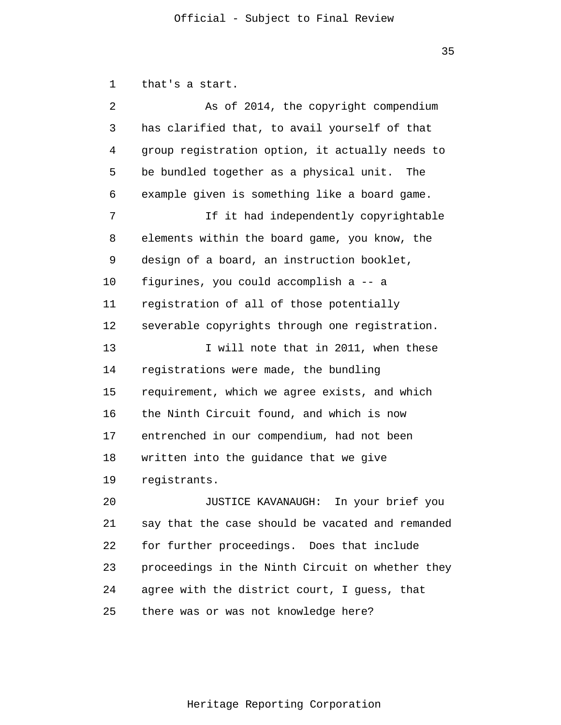1 2 3 4 5 6 7 8 9 10 11 12 13 14 15 16 17 18 19 20 21 22 23 24 25 that's a start. As of 2014, the copyright compendium has clarified that, to avail yourself of that group registration option, it actually needs to be bundled together as a physical unit. The example given is something like a board game. If it had independently copyrightable elements within the board game, you know, the design of a board, an instruction booklet, figurines, you could accomplish a -- a registration of all of those potentially severable copyrights through one registration. I will note that in 2011, when these registrations were made, the bundling requirement, which we agree exists, and which the Ninth Circuit found, and which is now entrenched in our compendium, had not been written into the guidance that we give registrants. JUSTICE KAVANAUGH: In your brief you say that the case should be vacated and remanded for further proceedings. Does that include proceedings in the Ninth Circuit on whether they agree with the district court, I guess, that there was or was not knowledge here?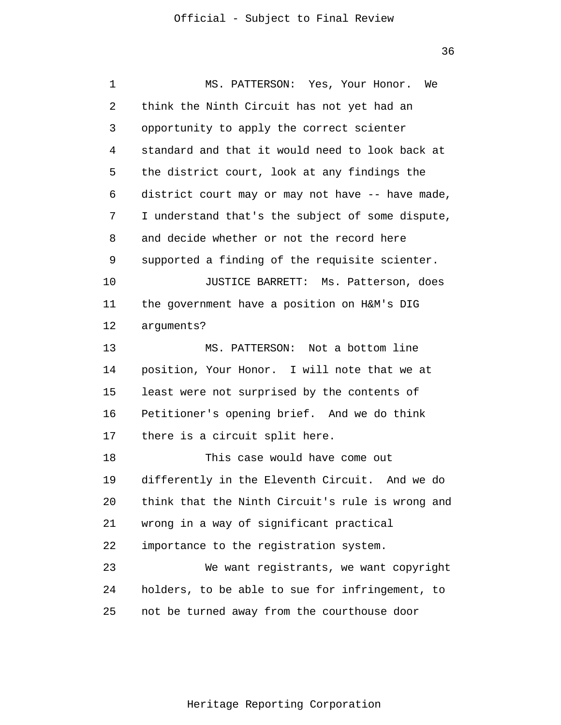36

1 2 3 4 5 6 7 8 9 10 11 12 13 14 15 16 17 18 19 20 21 22 23 24 25 MS. PATTERSON: Yes, Your Honor. We think the Ninth Circuit has not yet had an opportunity to apply the correct scienter standard and that it would need to look back at the district court, look at any findings the district court may or may not have -- have made, I understand that's the subject of some dispute, and decide whether or not the record here supported a finding of the requisite scienter. JUSTICE BARRETT: Ms. Patterson, does the government have a position on H&M's DIG arguments? MS. PATTERSON: Not a bottom line position, Your Honor. I will note that we at least were not surprised by the contents of Petitioner's opening brief. And we do think there is a circuit split here. This case would have come out differently in the Eleventh Circuit. And we do think that the Ninth Circuit's rule is wrong and wrong in a way of significant practical importance to the registration system. We want registrants, we want copyright holders, to be able to sue for infringement, to not be turned away from the courthouse door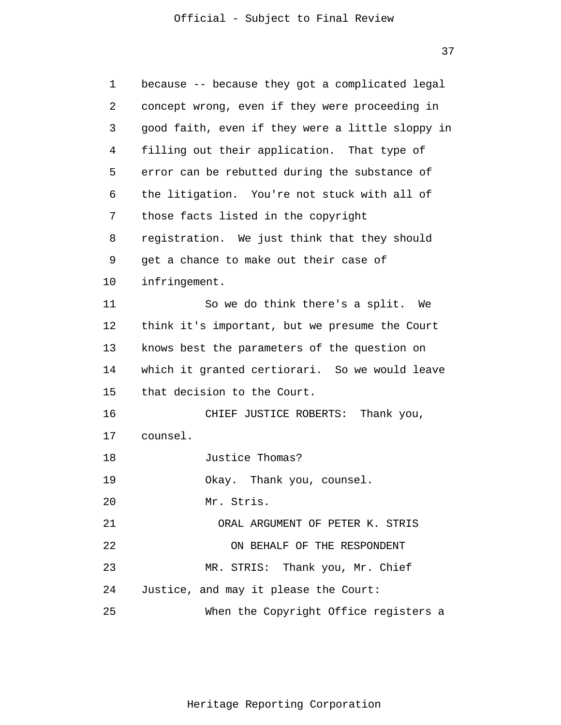37

| 1  | because -- because they got a complicated legal  |
|----|--------------------------------------------------|
| 2  | concept wrong, even if they were proceeding in   |
| 3  | good faith, even if they were a little sloppy in |
| 4  | filling out their application. That type of      |
| 5  | error can be rebutted during the substance of    |
| 6  | the litigation. You're not stuck with all of     |
| 7  | those facts listed in the copyright              |
| 8  | registration. We just think that they should     |
| 9  | get a chance to make out their case of           |
| 10 | infringement.                                    |
| 11 | So we do think there's a split. We               |
| 12 | think it's important, but we presume the Court   |
| 13 | knows best the parameters of the question on     |
| 14 | which it granted certiorari. So we would leave   |
| 15 | that decision to the Court.                      |
| 16 | CHIEF JUSTICE ROBERTS: Thank you,                |
| 17 | counsel.                                         |
| 18 | Justice Thomas?                                  |
| 19 | Okay. Thank you, counsel.                        |
| 20 | Mr. Stris.                                       |
| 21 | ORAL ARGUMENT OF PETER K. STRIS                  |
| 22 | ON BEHALF OF THE RESPONDENT                      |
| 23 | MR. STRIS: Thank you, Mr. Chief                  |
| 24 | Justice, and may it please the Court:            |
| 25 | When the Copyright Office registers a            |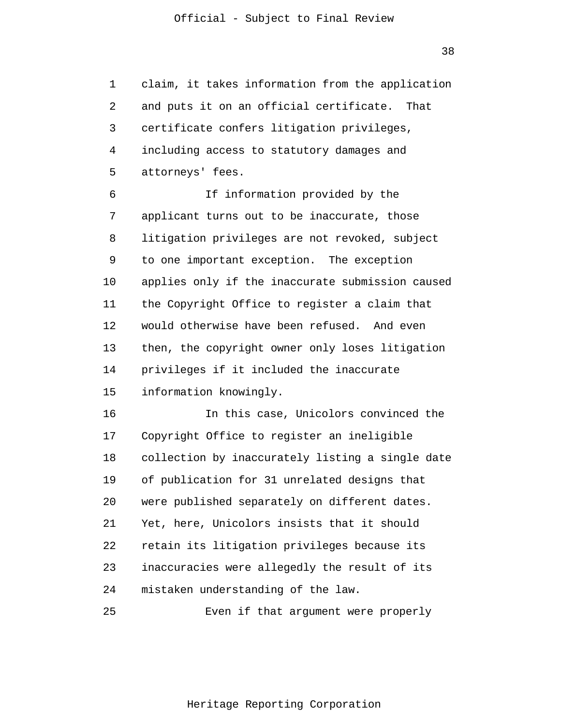1 2 3 4 5 claim, it takes information from the application and puts it on an official certificate. That certificate confers litigation privileges, including access to statutory damages and attorneys' fees.

6 7 8 9 10 11 12 13 14 15 If information provided by the applicant turns out to be inaccurate, those litigation privileges are not revoked, subject to one important exception. The exception applies only if the inaccurate submission caused the Copyright Office to register a claim that would otherwise have been refused. And even then, the copyright owner only loses litigation privileges if it included the inaccurate information knowingly.

16 17 18 19 20 21 22 23 24 In this case, Unicolors convinced the Copyright Office to register an ineligible collection by inaccurately listing a single date of publication for 31 unrelated designs that were published separately on different dates. Yet, here, Unicolors insists that it should retain its litigation privileges because its inaccuracies were allegedly the result of its mistaken understanding of the law.

25 Even if that argument were properly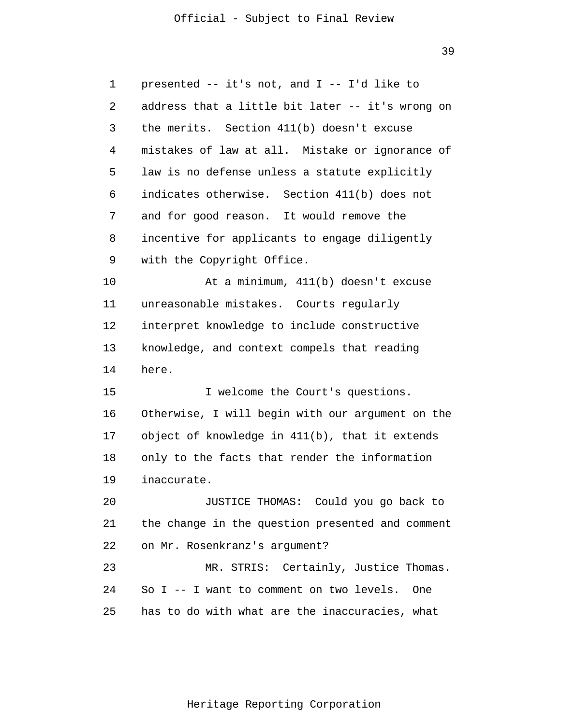39

1 2 3 4 5 6 7 8 9 10 11 12 13 14 15 16 17 18 19 20 21 22 23 24 25 presented -- it's not, and I -- I'd like to address that a little bit later -- it's wrong on the merits. Section 411(b) doesn't excuse mistakes of law at all. Mistake or ignorance of law is no defense unless a statute explicitly indicates otherwise. Section 411(b) does not and for good reason. It would remove the incentive for applicants to engage diligently with the Copyright Office. At a minimum, 411(b) doesn't excuse unreasonable mistakes. Courts regularly interpret knowledge to include constructive knowledge, and context compels that reading here. I welcome the Court's questions. Otherwise, I will begin with our argument on the object of knowledge in 411(b), that it extends only to the facts that render the information inaccurate. JUSTICE THOMAS: Could you go back to the change in the question presented and comment on Mr. Rosenkranz's argument? MR. STRIS: Certainly, Justice Thomas. So I -- I want to comment on two levels. One has to do with what are the inaccuracies, what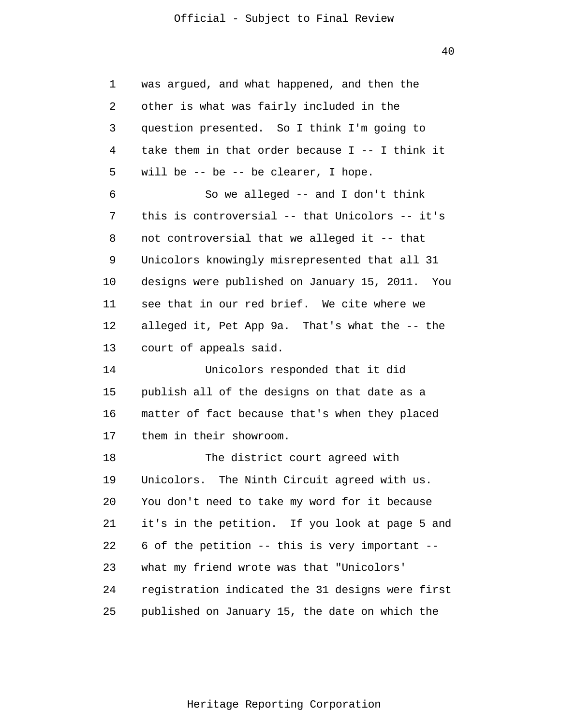40

| 1  | was argued, and what happened, and then the       |
|----|---------------------------------------------------|
| 2  | other is what was fairly included in the          |
| 3  | question presented. So I think I'm going to       |
| 4  | take them in that order because $I$ -- I think it |
| 5  | will be $-$ be $-$ be clearer, I hope.            |
| 6  | So we alleged $--$ and I don't think              |
| 7  | this is controversial -- that Unicolors -- it's   |
| 8  | not controversial that we alleged it -- that      |
| 9  | Unicolors knowingly misrepresented that all 31    |
| 10 | designs were published on January 15, 2011. You   |
| 11 | see that in our red brief. We cite where we       |
| 12 | alleged it, Pet App 9a. That's what the -- the    |
| 13 | court of appeals said.                            |
| 14 | Unicolors responded that it did                   |
| 15 | publish all of the designs on that date as a      |
| 16 | matter of fact because that's when they placed    |
| 17 | them in their showroom.                           |
| 18 | The district court agreed with                    |
| 19 | Unicolors. The Ninth Circuit agreed with us.      |
| 20 | You don't need to take my word for it because     |
| 21 | it's in the petition. If you look at page 5 and   |
| 22 | 6 of the petition -- this is very important --    |
| 23 | what my friend wrote was that "Unicolors'         |
| 24 | registration indicated the 31 designs were first  |
| 25 | published on January 15, the date on which the    |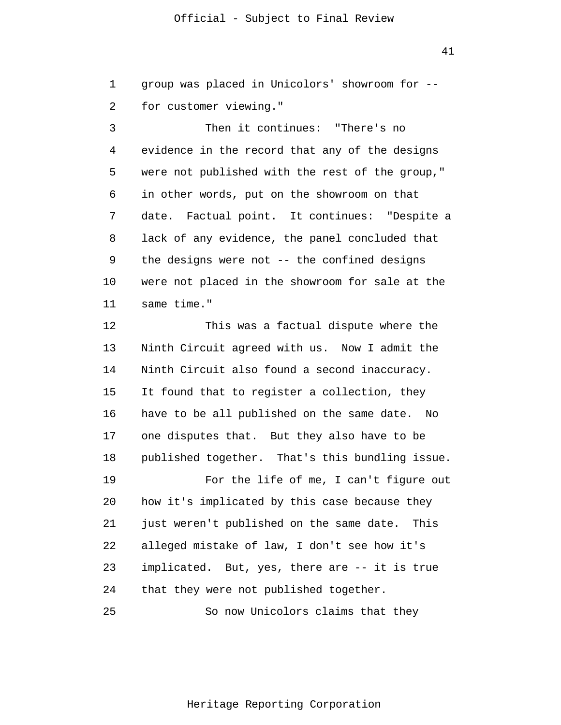1 2 group was placed in Unicolors' showroom for - for customer viewing."

3 4 5 6 7 8 9 10 11 Then it continues: "There's no evidence in the record that any of the designs were not published with the rest of the group," in other words, put on the showroom on that date. Factual point. It continues: "Despite a lack of any evidence, the panel concluded that the designs were not -- the confined designs were not placed in the showroom for sale at the same time."

12 13 14 15 16 17 18 This was a factual dispute where the Ninth Circuit agreed with us. Now I admit the Ninth Circuit also found a second inaccuracy. It found that to register a collection, they have to be all published on the same date. No one disputes that. But they also have to be published together. That's this bundling issue.

19 20 21 22 23 24 For the life of me, I can't figure out how it's implicated by this case because they just weren't published on the same date. This alleged mistake of law, I don't see how it's implicated. But, yes, there are -- it is true that they were not published together.

25 So now Unicolors claims that they 41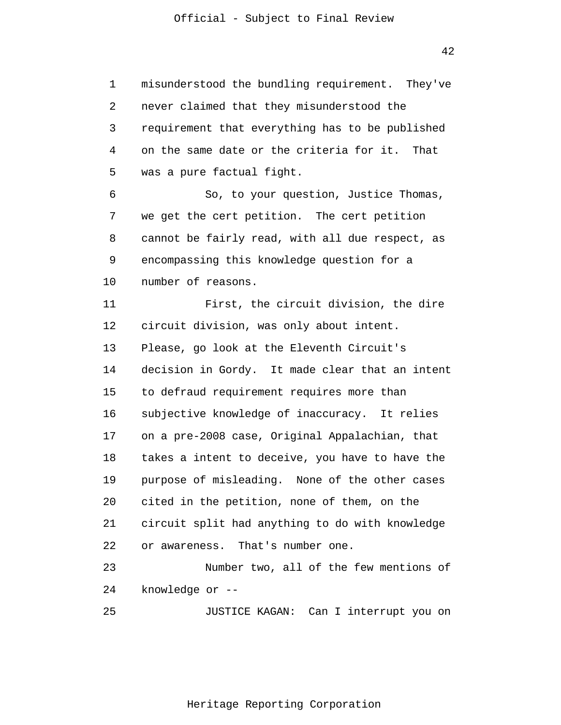1 2 3 4 5 6 7 8 9 10 11 12 13 14 15 16 17 18 19 20 21 22 23 24 25 misunderstood the bundling requirement. They've never claimed that they misunderstood the requirement that everything has to be published on the same date or the criteria for it. That was a pure factual fight. So, to your question, Justice Thomas, we get the cert petition. The cert petition cannot be fairly read, with all due respect, as encompassing this knowledge question for a number of reasons. First, the circuit division, the dire circuit division, was only about intent. Please, go look at the Eleventh Circuit's decision in Gordy. It made clear that an intent to defraud requirement requires more than subjective knowledge of inaccuracy. It relies on a pre-2008 case, Original Appalachian, that takes a intent to deceive, you have to have the purpose of misleading. None of the other cases cited in the petition, none of them, on the circuit split had anything to do with knowledge or awareness. That's number one. Number two, all of the few mentions of knowledge or -- JUSTICE KAGAN: Can I interrupt you on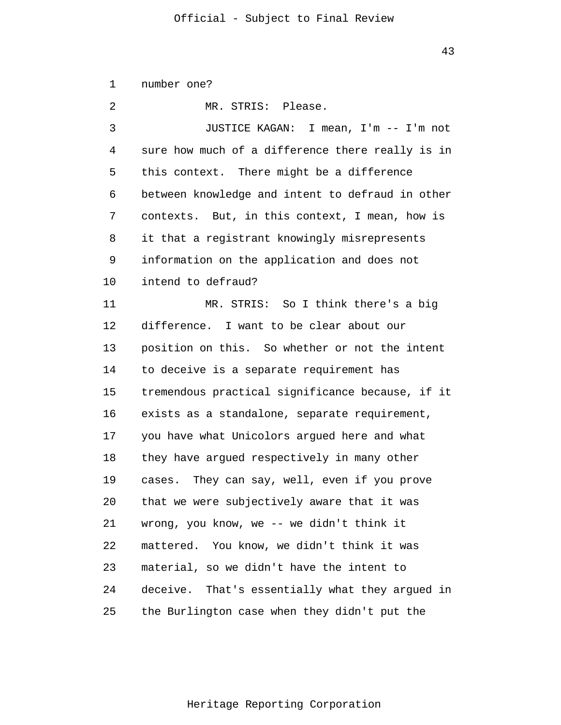1 2 3 4 5 6 7 8 9 10 11 12 13 14 15 16 17 18 19 20 21 22 23 24 25 number one? MR. STRIS: Please. JUSTICE KAGAN: I mean, I'm -- I'm not sure how much of a difference there really is in this context. There might be a difference between knowledge and intent to defraud in other contexts. But, in this context, I mean, how is it that a registrant knowingly misrepresents information on the application and does not intend to defraud? MR. STRIS: So I think there's a big difference. I want to be clear about our position on this. So whether or not the intent to deceive is a separate requirement has tremendous practical significance because, if it exists as a standalone, separate requirement, you have what Unicolors argued here and what they have argued respectively in many other cases. They can say, well, even if you prove that we were subjectively aware that it was wrong, you know, we -- we didn't think it mattered. You know, we didn't think it was material, so we didn't have the intent to deceive. That's essentially what they argued in the Burlington case when they didn't put the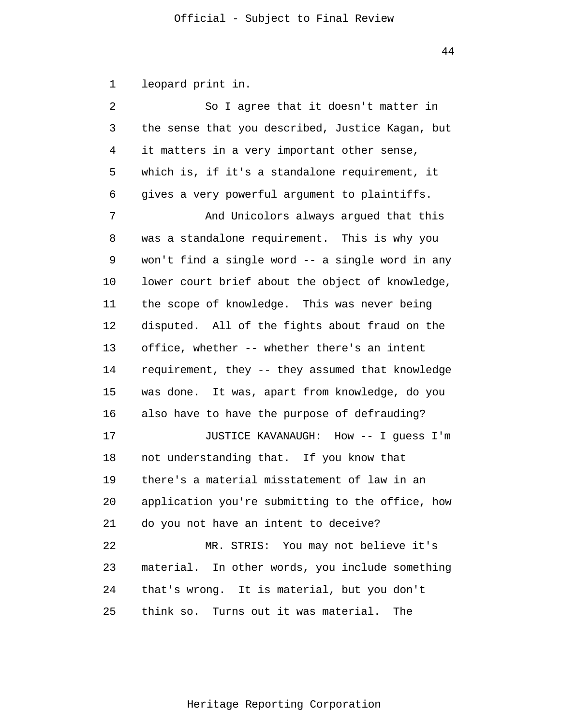1 leopard print in.

2 3 4 5 6 7 8 9 10 11 12 13 14 15 16 17 18 19 20 21 22 23 24 25 So I agree that it doesn't matter in the sense that you described, Justice Kagan, but it matters in a very important other sense, which is, if it's a standalone requirement, it gives a very powerful argument to plaintiffs. And Unicolors always argued that this was a standalone requirement. This is why you won't find a single word -- a single word in any lower court brief about the object of knowledge, the scope of knowledge. This was never being disputed. All of the fights about fraud on the office, whether -- whether there's an intent requirement, they -- they assumed that knowledge was done. It was, apart from knowledge, do you also have to have the purpose of defrauding? JUSTICE KAVANAUGH: How -- I guess I'm not understanding that. If you know that there's a material misstatement of law in an application you're submitting to the office, how do you not have an intent to deceive? MR. STRIS: You may not believe it's material. In other words, you include something that's wrong. It is material, but you don't think so. Turns out it was material. The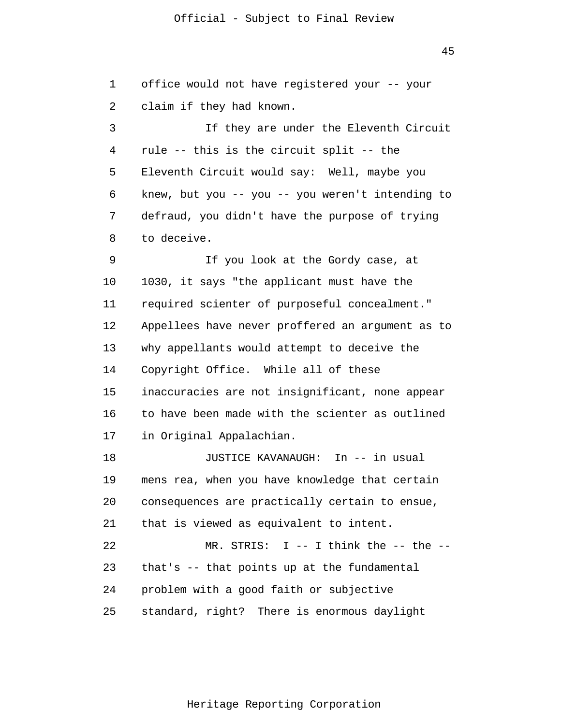45

1 2 3 4 5 6 7 8 9 10 11 12 13 14 15 16 17 18 19 20 21 22 23 24 25 office would not have registered your -- your claim if they had known. If they are under the Eleventh Circuit rule -- this is the circuit split -- the Eleventh Circuit would say: Well, maybe you knew, but you -- you -- you weren't intending to defraud, you didn't have the purpose of trying to deceive. If you look at the Gordy case, at 1030, it says "the applicant must have the required scienter of purposeful concealment." Appellees have never proffered an argument as to why appellants would attempt to deceive the Copyright Office. While all of these inaccuracies are not insignificant, none appear to have been made with the scienter as outlined in Original Appalachian. JUSTICE KAVANAUGH: In -- in usual mens rea, when you have knowledge that certain consequences are practically certain to ensue, that is viewed as equivalent to intent.  $MR.$  STRIS: I -- I think the -- the -that's -- that points up at the fundamental problem with a good faith or subjective standard, right? There is enormous daylight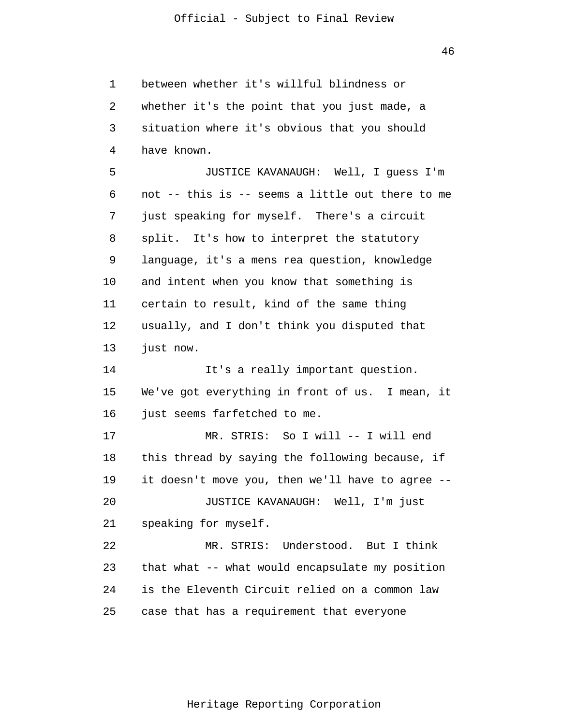1 2 3 4 5 6 7 8 9 10 11 12 13 14 15 16 17 18 19 20 21 22 23 24 25 between whether it's willful blindness or whether it's the point that you just made, a situation where it's obvious that you should have known. JUSTICE KAVANAUGH: Well, I guess I'm not -- this is -- seems a little out there to me just speaking for myself. There's a circuit split. It's how to interpret the statutory language, it's a mens rea question, knowledge and intent when you know that something is certain to result, kind of the same thing usually, and I don't think you disputed that just now. It's a really important question. We've got everything in front of us. I mean, it just seems farfetched to me. MR. STRIS: So I will -- I will end this thread by saying the following because, if it doesn't move you, then we'll have to agree -- JUSTICE KAVANAUGH: Well, I'm just speaking for myself. MR. STRIS: Understood. But I think that what -- what would encapsulate my position is the Eleventh Circuit relied on a common law case that has a requirement that everyone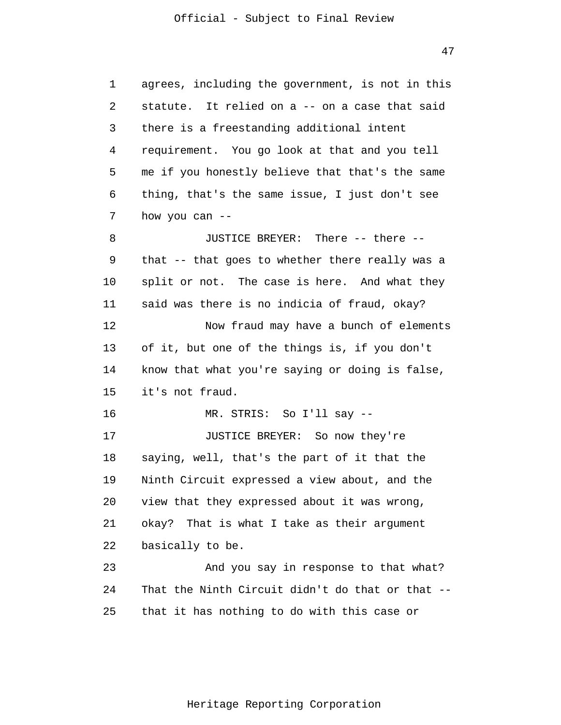1 2 3 4 5 6 7 8 9 10 11 12 13 14 15 16 17 18 19 20 21 22 23 24 25 agrees, including the government, is not in this statute. It relied on a -- on a case that said there is a freestanding additional intent requirement. You go look at that and you tell me if you honestly believe that that's the same thing, that's the same issue, I just don't see how you can -- JUSTICE BREYER: There -- there - that -- that goes to whether there really was a split or not. The case is here. And what they said was there is no indicia of fraud, okay? Now fraud may have a bunch of elements of it, but one of the things is, if you don't know that what you're saying or doing is false, it's not fraud. MR. STRIS: So I'll say -- JUSTICE BREYER: So now they're saying, well, that's the part of it that the Ninth Circuit expressed a view about, and the view that they expressed about it was wrong, okay? That is what I take as their argument basically to be. And you say in response to that what? That the Ninth Circuit didn't do that or that - that it has nothing to do with this case or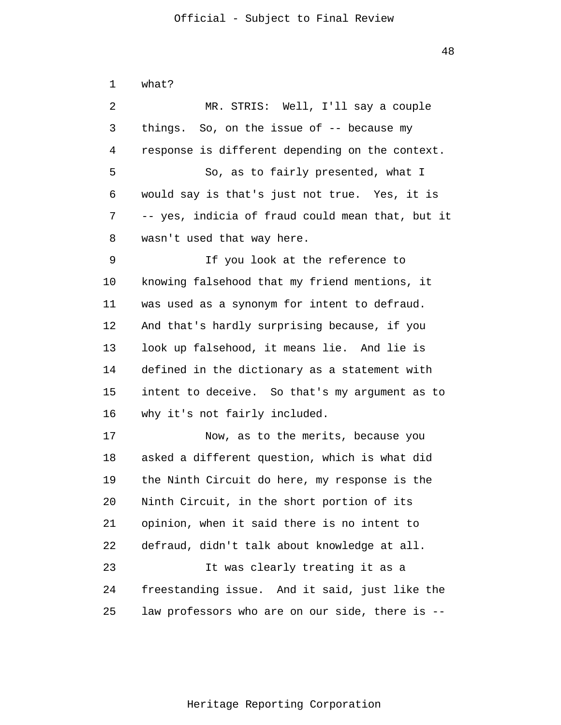1 2 3 4 5 6 7 8 9 10 11 12 13 14 15 16 17 18 19 20 21 22 23 24 25 what? MR. STRIS: Well, I'll say a couple things. So, on the issue of -- because my response is different depending on the context. So, as to fairly presented, what I would say is that's just not true. Yes, it is -- yes, indicia of fraud could mean that, but it wasn't used that way here. If you look at the reference to knowing falsehood that my friend mentions, it was used as a synonym for intent to defraud. And that's hardly surprising because, if you look up falsehood, it means lie. And lie is defined in the dictionary as a statement with intent to deceive. So that's my argument as to why it's not fairly included. Now, as to the merits, because you asked a different question, which is what did the Ninth Circuit do here, my response is the Ninth Circuit, in the short portion of its opinion, when it said there is no intent to defraud, didn't talk about knowledge at all. It was clearly treating it as a freestanding issue. And it said, just like the law professors who are on our side, there is --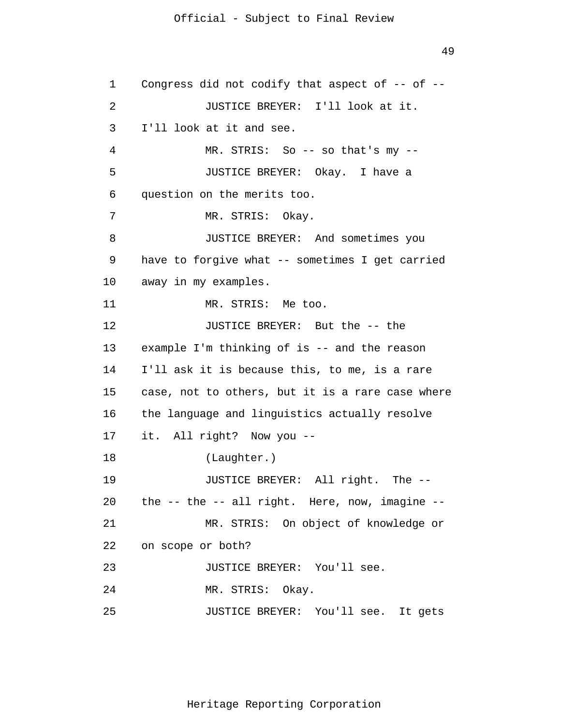1 2 3 4 5 6 7 8 9 10 11 12 13 14 15 16 17 18 19 20 21 22 23 24 25 Congress did not codify that aspect of -- of -- JUSTICE BREYER: I'll look at it. I'll look at it and see. MR. STRIS: So -- so that's my -- JUSTICE BREYER: Okay. I have a question on the merits too. MR. STRIS: Okay. JUSTICE BREYER: And sometimes you have to forgive what -- sometimes I get carried away in my examples. MR. STRIS: Me too. JUSTICE BREYER: But the -- the example I'm thinking of is -- and the reason I'll ask it is because this, to me, is a rare case, not to others, but it is a rare case where the language and linguistics actually resolve it. All right? Now you -- (Laughter.) JUSTICE BREYER: All right. The - the -- the -- all right. Here, now, imagine -- MR. STRIS: On object of knowledge or on scope or both? JUSTICE BREYER: You'll see. MR. STRIS: Okay. JUSTICE BREYER: You'll see. It gets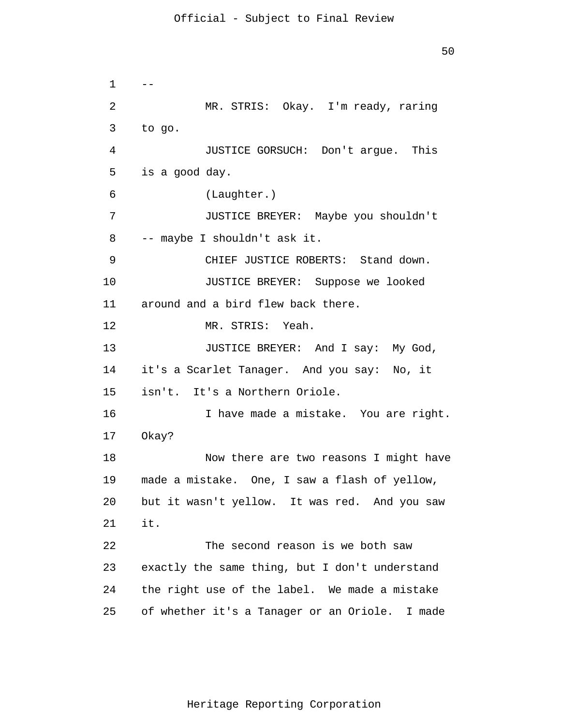1 2 3 4 5 6 7 8 9 10 11 12 13 14 15 16 17 18 19 20 21 22 23 24 25  $-$ MR. STRIS: Okay. I'm ready, raring to go. JUSTICE GORSUCH: Don't argue. This is a good day. (Laughter.) JUSTICE BREYER: Maybe you shouldn't -- maybe I shouldn't ask it. CHIEF JUSTICE ROBERTS: Stand down. JUSTICE BREYER: Suppose we looked around and a bird flew back there. MR. STRIS: Yeah. JUSTICE BREYER: And I say: My God, it's a Scarlet Tanager. And you say: No, it isn't. It's a Northern Oriole. I have made a mistake. You are right. Okay? Now there are two reasons I might have made a mistake. One, I saw a flash of yellow, but it wasn't yellow. It was red. And you saw it. The second reason is we both saw exactly the same thing, but I don't understand the right use of the label. We made a mistake of whether it's a Tanager or an Oriole. I made

Heritage Reporting Corporation

50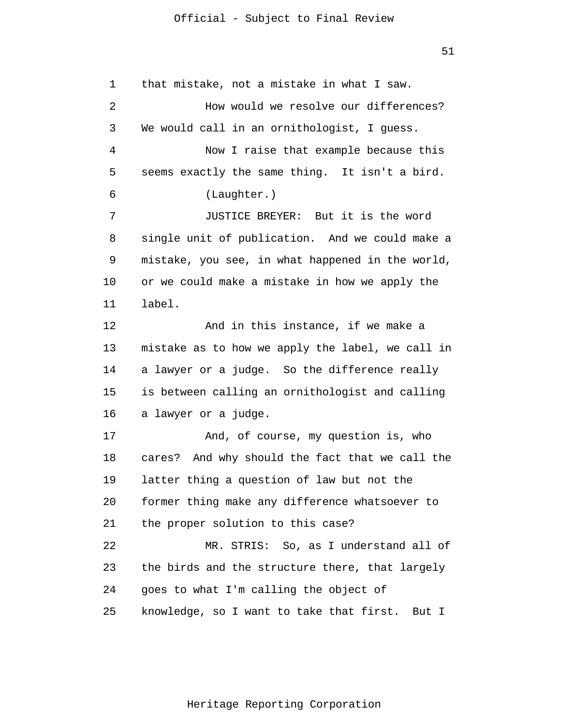1 2 3 4 5 6 7 8 9 10 11 12 13 14 15 16 17 18 19 20 21 22 23 24 25 that mistake, not a mistake in what I saw. How would we resolve our differences? We would call in an ornithologist, I quess. Now I raise that example because this seems exactly the same thing. It isn't a bird. (Laughter.) JUSTICE BREYER: But it is the word single unit of publication. And we could make a mistake, you see, in what happened in the world, or we could make a mistake in how we apply the label. And in this instance, if we make a mistake as to how we apply the label, we call in a lawyer or a judge. So the difference really is between calling an ornithologist and calling a lawyer or a judge. And, of course, my question is, who cares? And why should the fact that we call the latter thing a question of law but not the former thing make any difference whatsoever to the proper solution to this case? MR. STRIS: So, as I understand all of the birds and the structure there, that largely goes to what I'm calling the object of knowledge, so I want to take that first. But I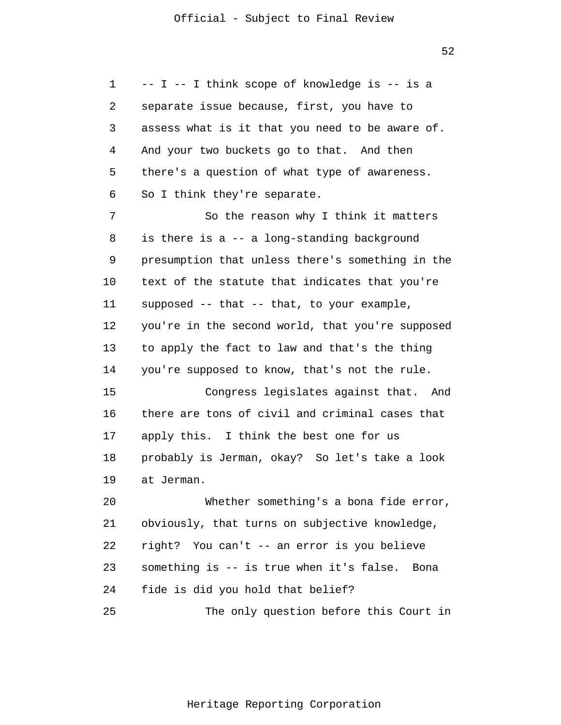52

1 2 3 4 5 6 -- I -- I think scope of knowledge is -- is a separate issue because, first, you have to assess what is it that you need to be aware of. And your two buckets go to that. And then there's a question of what type of awareness. So I think they're separate.

7 8 9 10 11 12 13 14 So the reason why I think it matters is there is a -- a long-standing background presumption that unless there's something in the text of the statute that indicates that you're supposed -- that -- that, to your example, you're in the second world, that you're supposed to apply the fact to law and that's the thing you're supposed to know, that's not the rule.

15 16 17 18 19 Congress legislates against that. And there are tons of civil and criminal cases that apply this. I think the best one for us probably is Jerman, okay? So let's take a look at Jerman.

20 21 22 23 24 25 Whether something's a bona fide error, obviously, that turns on subjective knowledge, right? You can't -- an error is you believe something is -- is true when it's false. Bona fide is did you hold that belief? The only question before this Court in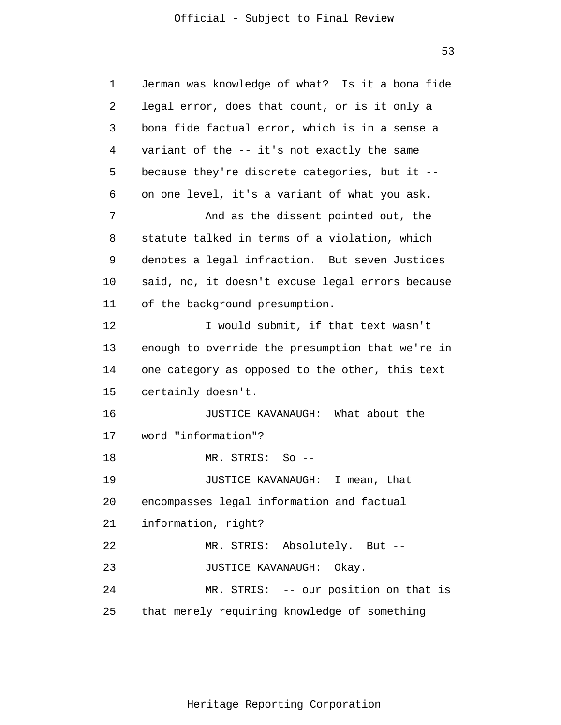53

| $\mathbf 1$    | Jerman was knowledge of what? Is it a bona fide  |
|----------------|--------------------------------------------------|
| 2              | legal error, does that count, or is it only a    |
| 3              | bona fide factual error, which is in a sense a   |
| $\overline{4}$ | variant of the -- it's not exactly the same      |
| 5              | because they're discrete categories, but it --   |
| 6              | on one level, it's a variant of what you ask.    |
| 7              | And as the dissent pointed out, the              |
| 8              | statute talked in terms of a violation, which    |
| 9              | denotes a legal infraction. But seven Justices   |
| 10             | said, no, it doesn't excuse legal errors because |
| 11             | of the background presumption.                   |
| 12             | I would submit, if that text wasn't              |
| 13             | enough to override the presumption that we're in |
| 14             | one category as opposed to the other, this text  |
| 15             | certainly doesn't.                               |
| 16             | JUSTICE KAVANAUGH: What about the                |
| 17             | word "information"?                              |
| 18             | MR. STRIS: So --                                 |
| 19             | JUSTICE KAVANAUGH:<br>I mean, that               |
| 20             | encompasses legal information and factual        |
| 21             | information, right?                              |
| 22             | MR. STRIS: Absolutely. But --                    |
| 23             | JUSTICE KAVANAUGH: Okay.                         |
| 24             | MR. STRIS: -- our position on that is            |
| 25             | that merely requiring knowledge of something     |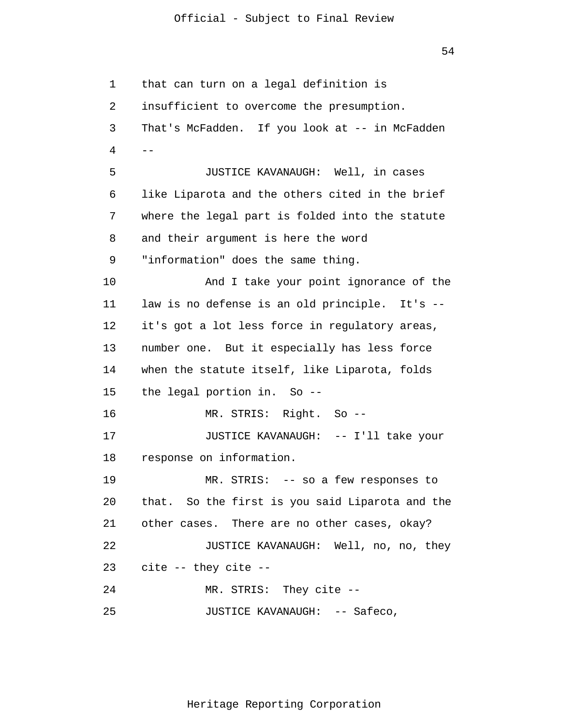54

1 2 3 4 5 6 7 8 9 10 11 12 13 14 15 16 17 18 19 20 21 22 23 24 25 - that can turn on a legal definition is insufficient to overcome the presumption. That's McFadden. If you look at -- in McFadden JUSTICE KAVANAUGH: Well, in cases like Liparota and the others cited in the brief where the legal part is folded into the statute and their argument is here the word "information" does the same thing. And I take your point ignorance of the law is no defense is an old principle. It's -it's got a lot less force in regulatory areas, number one. But it especially has less force when the statute itself, like Liparota, folds the legal portion in. So -- MR. STRIS: Right. So -- JUSTICE KAVANAUGH: -- I'll take your response on information. MR. STRIS: -- so a few responses to that. So the first is you said Liparota and the other cases. There are no other cases, okay? JUSTICE KAVANAUGH: Well, no, no, they cite -- they cite -- MR. STRIS: They cite -- JUSTICE KAVANAUGH: -- Safeco,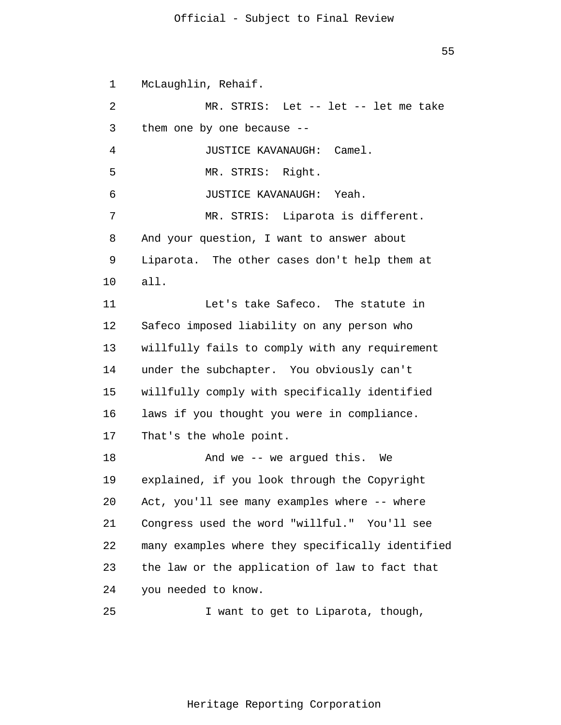55

1 2 3 4 5 6 7 8 9 10 11 12 13 14 15 16 17 18 19 20 21 22 23 24 McLaughlin, Rehaif. MR. STRIS: Let -- let -- let me take them one by one because -- JUSTICE KAVANAUGH: Camel. MR. STRIS: Right. JUSTICE KAVANAUGH: Yeah. MR. STRIS: Liparota is different. And your question, I want to answer about Liparota. The other cases don't help them at all. Let's take Safeco. The statute in Safeco imposed liability on any person who willfully fails to comply with any requirement under the subchapter. You obviously can't willfully comply with specifically identified laws if you thought you were in compliance. That's the whole point. And we -- we argued this. We explained, if you look through the Copyright Act, you'll see many examples where -- where Congress used the word "willful." You'll see many examples where they specifically identified the law or the application of law to fact that you needed to know.

25 I want to get to Liparota, though,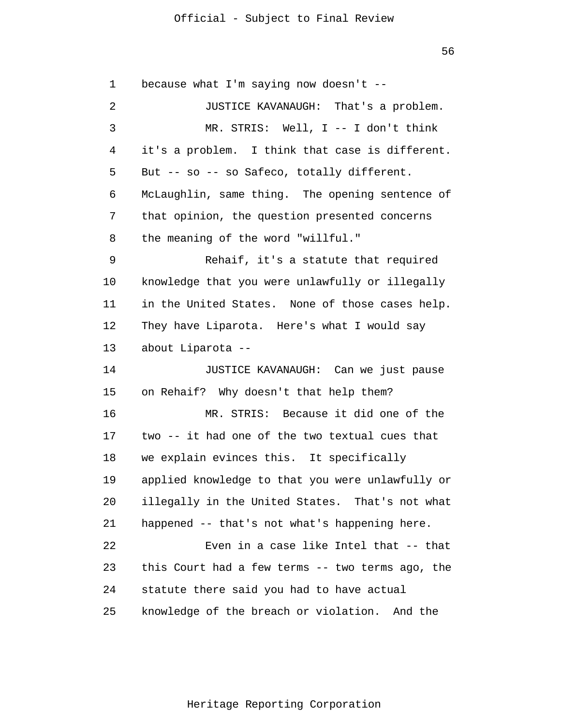56

1 2 3 4 5 6 7 8 9 10 11 12 13 14 15 16 17 18 19 20 21 22 23 24 25 because what I'm saying now doesn't -- JUSTICE KAVANAUGH: That's a problem. MR. STRIS: Well, I -- I don't think it's a problem. I think that case is different. But -- so -- so Safeco, totally different. McLaughlin, same thing. The opening sentence of that opinion, the question presented concerns the meaning of the word "willful." Rehaif, it's a statute that required knowledge that you were unlawfully or illegally in the United States. None of those cases help. They have Liparota. Here's what I would say about Liparota -- JUSTICE KAVANAUGH: Can we just pause on Rehaif? Why doesn't that help them? MR. STRIS: Because it did one of the two -- it had one of the two textual cues that we explain evinces this. It specifically applied knowledge to that you were unlawfully or illegally in the United States. That's not what happened -- that's not what's happening here. Even in a case like Intel that -- that this Court had a few terms -- two terms ago, the statute there said you had to have actual knowledge of the breach or violation. And the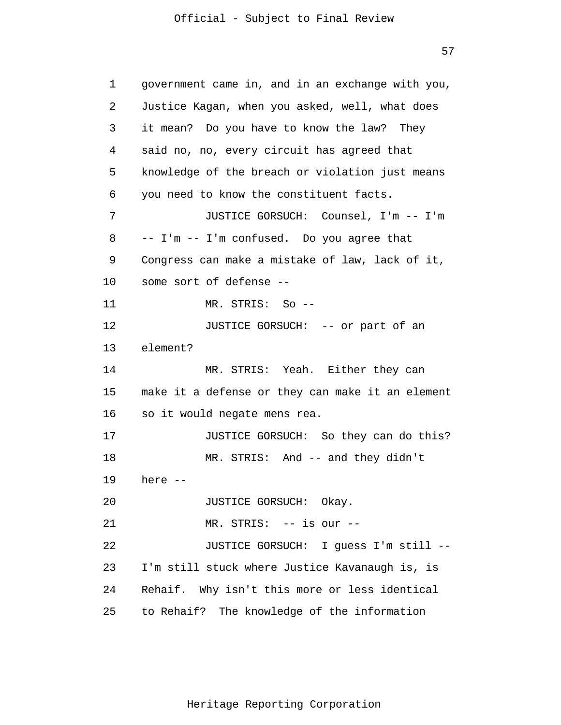57

1 2 3 4 5 6 7 8 9 10 11 12 13 14 15 16 17 18 19 20 21 22 23 24 25 government came in, and in an exchange with you, Justice Kagan, when you asked, well, what does it mean? Do you have to know the law? They said no, no, every circuit has agreed that knowledge of the breach or violation just means you need to know the constituent facts. JUSTICE GORSUCH: Counsel, I'm -- I'm -- I'm -- I'm confused. Do you agree that Congress can make a mistake of law, lack of it, some sort of defense -- MR. STRIS: So -- JUSTICE GORSUCH: -- or part of an element? MR. STRIS: Yeah. Either they can make it a defense or they can make it an element so it would negate mens rea. JUSTICE GORSUCH: So they can do this? MR. STRIS: And -- and they didn't here -- JUSTICE GORSUCH: Okay. MR. STRIS: -- is our -- JUSTICE GORSUCH: I guess I'm still -- I'm still stuck where Justice Kavanaugh is, is Rehaif. Why isn't this more or less identical to Rehaif? The knowledge of the information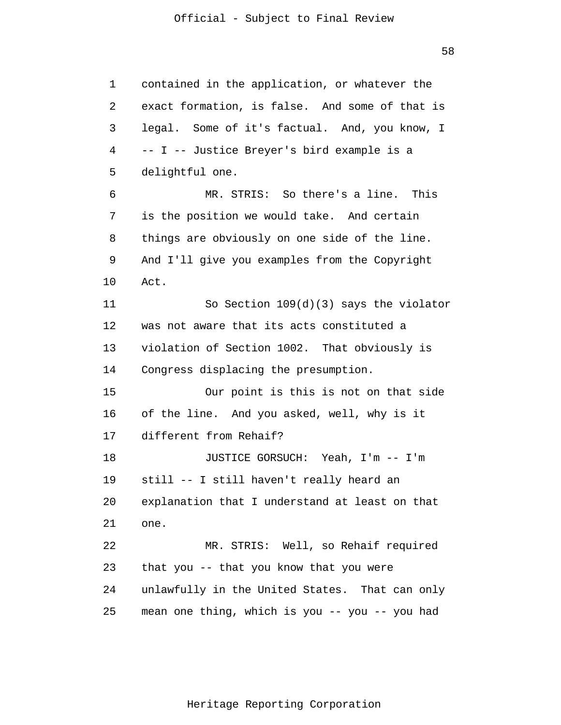1 2 3 4 5 6 7 8 9 10 11 12 13 14 15 16 17 18 19 20 21 22 23 24 25 contained in the application, or whatever the exact formation, is false. And some of that is legal. Some of it's factual. And, you know, I -- I -- Justice Breyer's bird example is a delightful one. MR. STRIS: So there's a line. This is the position we would take. And certain things are obviously on one side of the line. And I'll give you examples from the Copyright Act. So Section 109(d)(3) says the violator was not aware that its acts constituted a violation of Section 1002. That obviously is Congress displacing the presumption. Our point is this is not on that side of the line. And you asked, well, why is it different from Rehaif? JUSTICE GORSUCH: Yeah, I'm -- I'm still -- I still haven't really heard an explanation that I understand at least on that one. MR. STRIS: Well, so Rehaif required that you -- that you know that you were unlawfully in the United States. That can only mean one thing, which is you -- you -- you had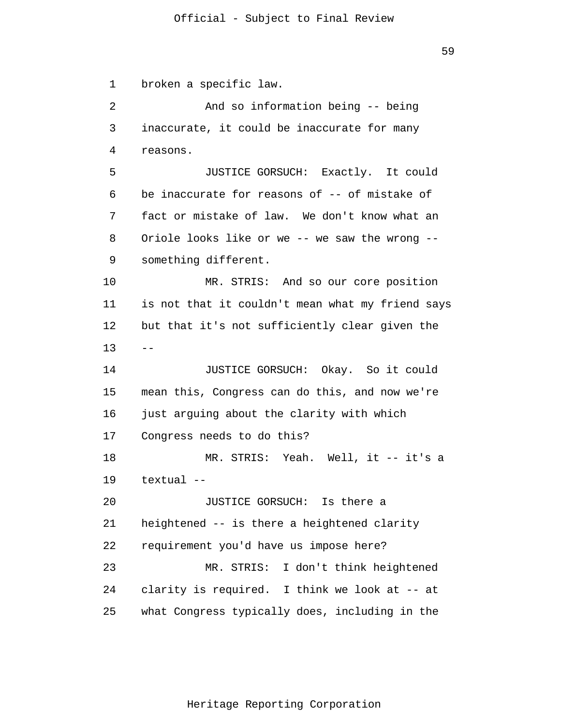1 2 3 4 5 6 7 8 9 10 11 12 13 14 15 16 17 18 19 20 21 22 23 24 25 - broken a specific law. And so information being -- being inaccurate, it could be inaccurate for many reasons. JUSTICE GORSUCH: Exactly. It could be inaccurate for reasons of -- of mistake of fact or mistake of law. We don't know what an Oriole looks like or we -- we saw the wrong - something different. MR. STRIS: And so our core position is not that it couldn't mean what my friend says but that it's not sufficiently clear given the JUSTICE GORSUCH: Okay. So it could mean this, Congress can do this, and now we're just arguing about the clarity with which Congress needs to do this? MR. STRIS: Yeah. Well, it -- it's a textual -- JUSTICE GORSUCH: Is there a heightened -- is there a heightened clarity requirement you'd have us impose here? MR. STRIS: I don't think heightened clarity is required. I think we look at -- at what Congress typically does, including in the

59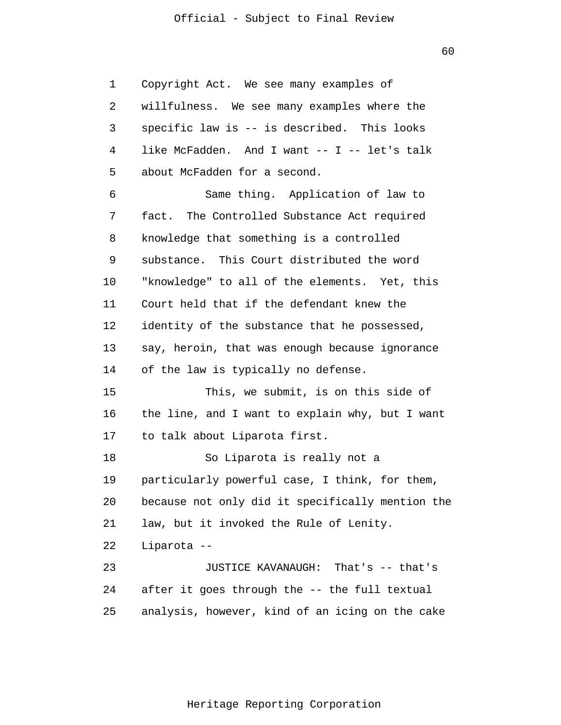1 2 3 4 5 6 7 8 9 10 11 12 13 14 15 16 17 18 19 20 21 22 23 24 25 Copyright Act. We see many examples of willfulness. We see many examples where the specific law is -- is described. This looks like McFadden. And I want -- I -- let's talk about McFadden for a second. Same thing. Application of law to fact. The Controlled Substance Act required knowledge that something is a controlled substance. This Court distributed the word "knowledge" to all of the elements. Yet, this Court held that if the defendant knew the identity of the substance that he possessed, say, heroin, that was enough because ignorance of the law is typically no defense. This, we submit, is on this side of the line, and I want to explain why, but I want to talk about Liparota first. So Liparota is really not a particularly powerful case, I think, for them, because not only did it specifically mention the law, but it invoked the Rule of Lenity. Liparota -- JUSTICE KAVANAUGH: That's -- that's after it goes through the -- the full textual analysis, however, kind of an icing on the cake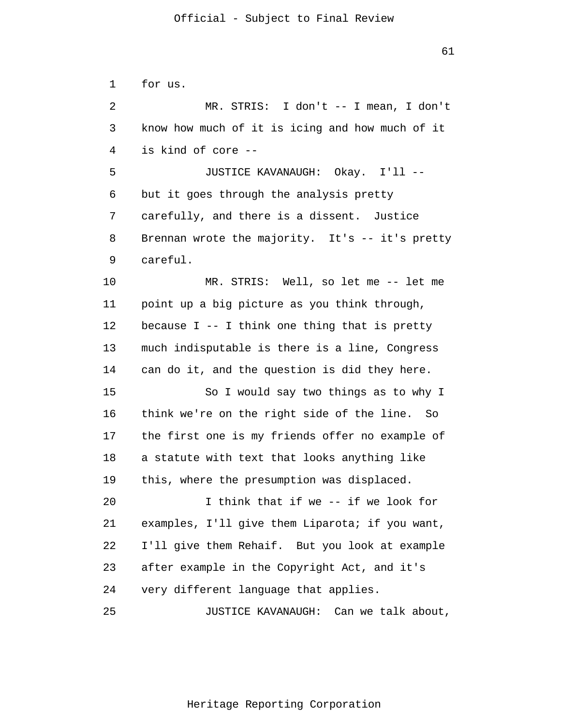1 2 3 4 5 6 7 8 9 10 11 12 13 14 15 16 17 18 19 20 21 22 23 24 25 for us. MR. STRIS: I don't -- I mean, I don't know how much of it is icing and how much of it is kind of core -- JUSTICE KAVANAUGH: Okay. I'll - but it goes through the analysis pretty carefully, and there is a dissent. Justice Brennan wrote the majority. It's -- it's pretty careful. MR. STRIS: Well, so let me -- let me point up a big picture as you think through, because  $I - - I$  think one thing that is pretty much indisputable is there is a line, Congress can do it, and the question is did they here. So I would say two things as to why I think we're on the right side of the line. So the first one is my friends offer no example of a statute with text that looks anything like this, where the presumption was displaced. I think that if we -- if we look for examples, I'll give them Liparota; if you want, I'll give them Rehaif. But you look at example after example in the Copyright Act, and it's very different language that applies. JUSTICE KAVANAUGH: Can we talk about,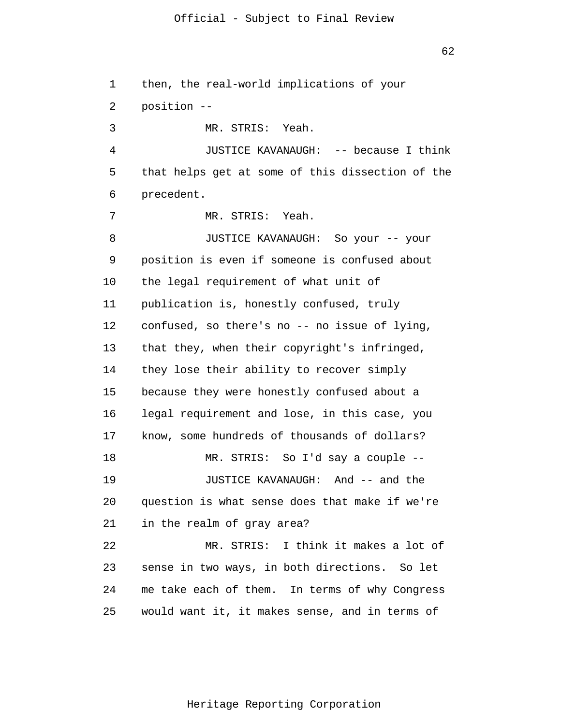1 2 3 4 5 6 7 8 9 10 11 12 13 14 15 16 17 18 19 20 21 22 23 24 25 then, the real-world implications of your position -- MR. STRIS: Yeah. JUSTICE KAVANAUGH: -- because I think that helps get at some of this dissection of the precedent. MR. STRIS: Yeah. JUSTICE KAVANAUGH: So your -- your position is even if someone is confused about the legal requirement of what unit of publication is, honestly confused, truly confused, so there's no -- no issue of lying, that they, when their copyright's infringed, they lose their ability to recover simply because they were honestly confused about a legal requirement and lose, in this case, you know, some hundreds of thousands of dollars? MR. STRIS: So I'd say a couple -- JUSTICE KAVANAUGH: And -- and the question is what sense does that make if we're in the realm of gray area? MR. STRIS: I think it makes a lot of sense in two ways, in both directions. So let me take each of them. In terms of why Congress would want it, it makes sense, and in terms of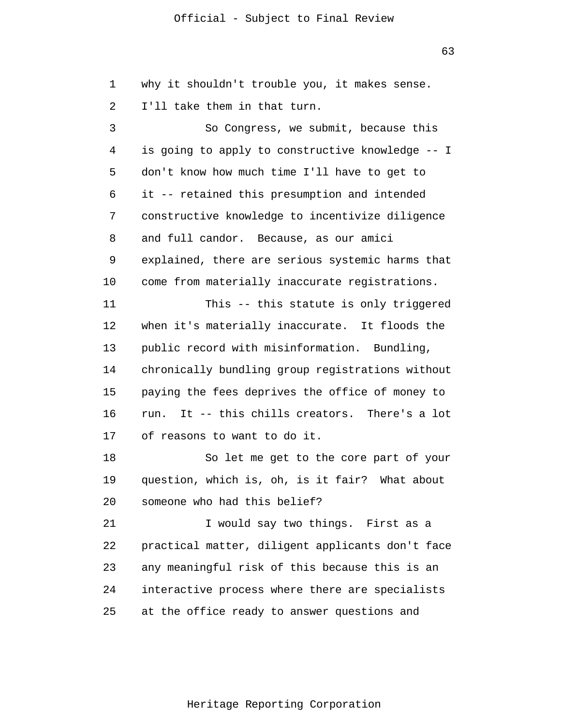63

1 2 3 4 5 6 7 8 9 10 11 12 13 14 15 16 17 18 19 20 21 22 23 24 25 why it shouldn't trouble you, it makes sense. I'll take them in that turn. So Congress, we submit, because this is going to apply to constructive knowledge -- I don't know how much time I'll have to get to it -- retained this presumption and intended constructive knowledge to incentivize diligence and full candor. Because, as our amici explained, there are serious systemic harms that come from materially inaccurate registrations. This -- this statute is only triggered when it's materially inaccurate. It floods the public record with misinformation. Bundling, chronically bundling group registrations without paying the fees deprives the office of money to run. It -- this chills creators. There's a lot of reasons to want to do it. So let me get to the core part of your question, which is, oh, is it fair? What about someone who had this belief? I would say two things. First as a practical matter, diligent applicants don't face any meaningful risk of this because this is an interactive process where there are specialists at the office ready to answer questions and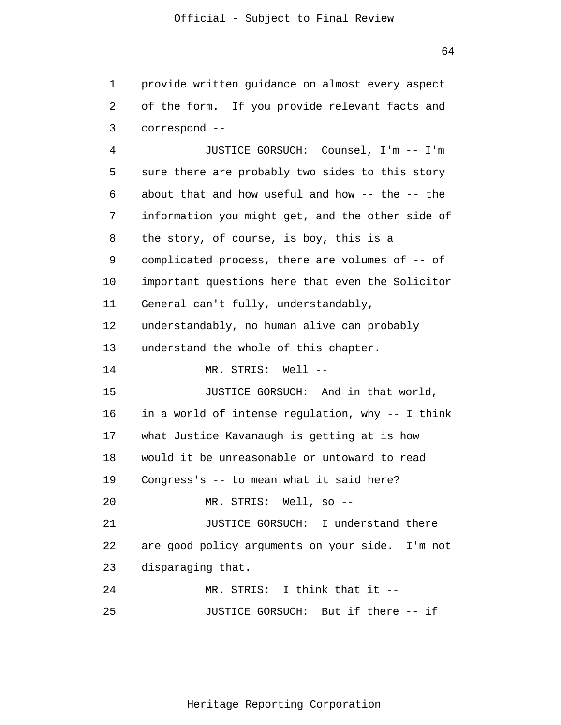1 2 3 4 provide written guidance on almost every aspect of the form. If you provide relevant facts and correspond -- JUSTICE GORSUCH: Counsel, I'm -- I'm

5 6 7 8 9 10 11 12 13 14 15 16 17 18 19 20 21 22 23 24 25 sure there are probably two sides to this story about that and how useful and how -- the -- the information you might get, and the other side of the story, of course, is boy, this is a complicated process, there are volumes of -- of important questions here that even the Solicitor General can't fully, understandably, understandably, no human alive can probably understand the whole of this chapter. MR. STRIS: Well -- JUSTICE GORSUCH: And in that world, in a world of intense regulation, why -- I think what Justice Kavanaugh is getting at is how would it be unreasonable or untoward to read Congress's -- to mean what it said here? MR. STRIS: Well, so -- JUSTICE GORSUCH: I understand there are good policy arguments on your side. I'm not disparaging that. MR. STRIS: I think that it -- JUSTICE GORSUCH: But if there -- if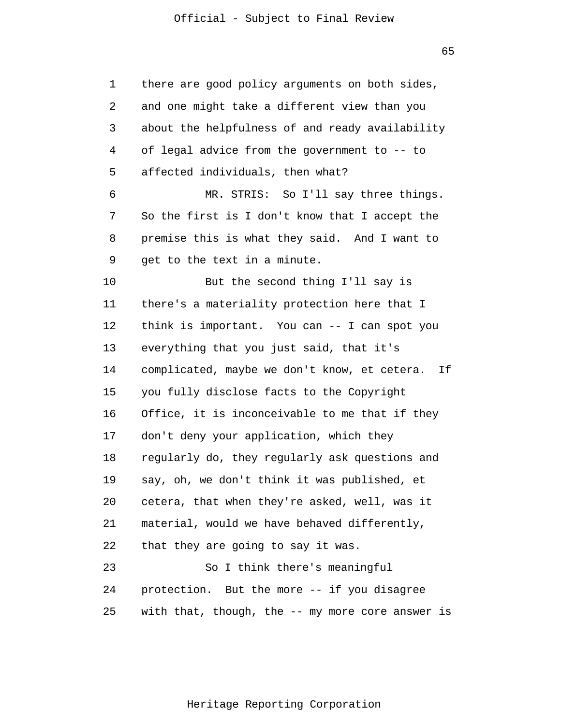65

1 2 3 4 5 6 7 8 9 10 11 12 13 14 15 16 17 18 19 20 21 22 23 24 25 there are good policy arguments on both sides, and one might take a different view than you about the helpfulness of and ready availability of legal advice from the government to -- to affected individuals, then what? MR. STRIS: So I'll say three things. So the first is I don't know that I accept the premise this is what they said. And I want to get to the text in a minute. But the second thing I'll say is there's a materiality protection here that I think is important. You can -- I can spot you everything that you just said, that it's complicated, maybe we don't know, et cetera. If you fully disclose facts to the Copyright Office, it is inconceivable to me that if they don't deny your application, which they regularly do, they regularly ask questions and say, oh, we don't think it was published, et cetera, that when they're asked, well, was it material, would we have behaved differently, that they are going to say it was. So I think there's meaningful protection. But the more -- if you disagree with that, though, the -- my more core answer is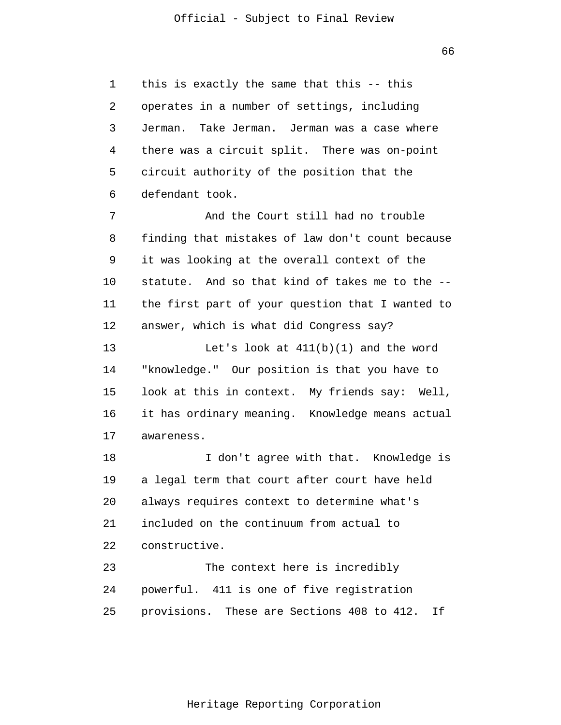1 2 3 4 5 6 this is exactly the same that this -- this operates in a number of settings, including Jerman. Take Jerman. Jerman was a case where there was a circuit split. There was on-point circuit authority of the position that the defendant took.

7 8 9 10 11 12 And the Court still had no trouble finding that mistakes of law don't count because it was looking at the overall context of the statute. And so that kind of takes me to the - the first part of your question that I wanted to answer, which is what did Congress say?

13 14 15 16 17 Let's look at  $411(b)(1)$  and the word "knowledge." Our position is that you have to look at this in context. My friends say: Well, it has ordinary meaning. Knowledge means actual awareness.

18 19 20 21 22 23 I don't agree with that. Knowledge is a legal term that court after court have held always requires context to determine what's included on the continuum from actual to constructive. The context here is incredibly

24 25 powerful. 411 is one of five registration provisions. These are Sections 408 to 412. If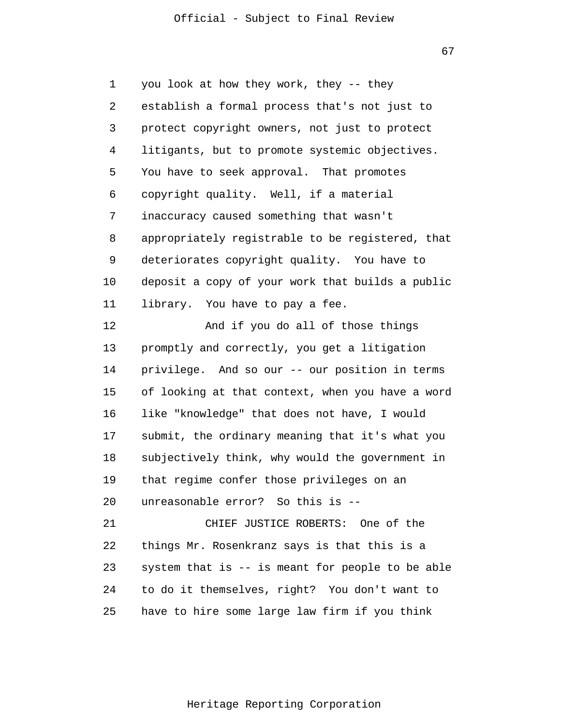67

1 2 3 4 5 6 7 8 9 10 11 12 13 14 15 16 17 18 19 20 21 22 23 24 25 you look at how they work, they -- they establish a formal process that's not just to protect copyright owners, not just to protect litigants, but to promote systemic objectives. You have to seek approval. That promotes copyright quality. Well, if a material inaccuracy caused something that wasn't appropriately registrable to be registered, that deteriorates copyright quality. You have to deposit a copy of your work that builds a public library. You have to pay a fee. And if you do all of those things promptly and correctly, you get a litigation privilege. And so our -- our position in terms of looking at that context, when you have a word like "knowledge" that does not have, I would submit, the ordinary meaning that it's what you subjectively think, why would the government in that regime confer those privileges on an unreasonable error? So this is -- CHIEF JUSTICE ROBERTS: One of the things Mr. Rosenkranz says is that this is a system that is -- is meant for people to be able to do it themselves, right? You don't want to have to hire some large law firm if you think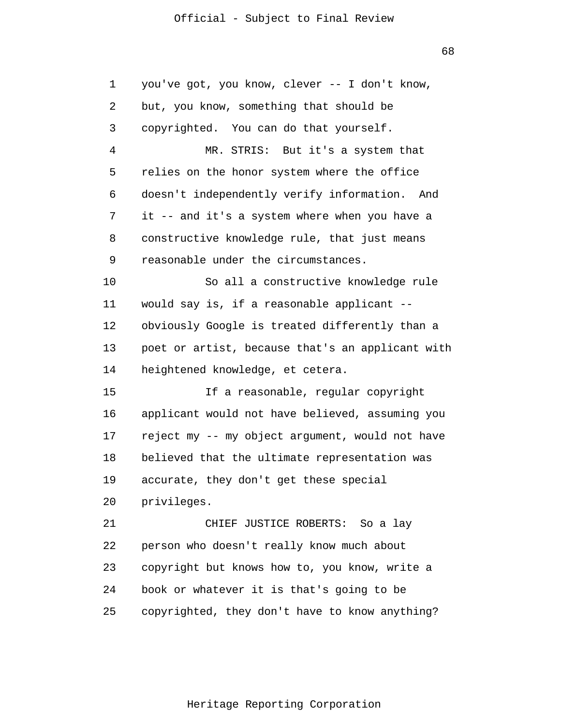68

| 1  | you've got, you know, clever -- I don't know,    |
|----|--------------------------------------------------|
| 2  | but, you know, something that should be          |
| 3  | copyrighted. You can do that yourself.           |
| 4  | MR. STRIS: But it's a system that                |
| 5  | relies on the honor system where the office      |
| 6  | doesn't independently verify information. And    |
| 7  | it -- and it's a system where when you have a    |
| 8  | constructive knowledge rule, that just means     |
| 9  | reasonable under the circumstances.              |
| 10 | So all a constructive knowledge rule             |
| 11 | would say is, if a reasonable applicant --       |
| 12 | obviously Google is treated differently than a   |
| 13 | poet or artist, because that's an applicant with |
| 14 | heightened knowledge, et cetera.                 |
| 15 | If a reasonable, regular copyright               |
| 16 | applicant would not have believed, assuming you  |
| 17 | reject my -- my object argument, would not have  |
| 18 | believed that the ultimate representation was    |
| 19 | accurate, they don't get these special           |
| 20 | privileges.                                      |
| 21 | CHIEF JUSTICE ROBERTS: So a lay                  |
| 22 | person who doesn't really know much about        |
| 23 | copyright but knows how to, you know, write a    |
| 24 | book or whatever it is that's going to be        |
| 25 | copyrighted, they don't have to know anything?   |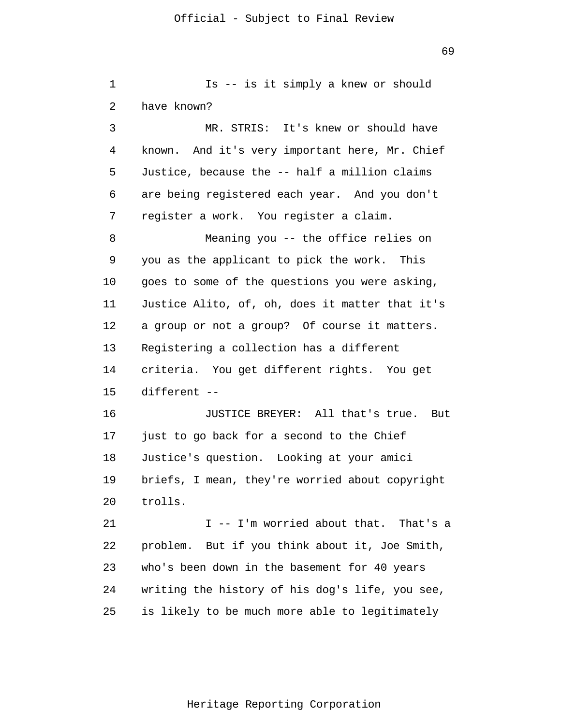1 2 3 4 5 6 7 8 9 10 11 12 13 14 15 16 17 18 19 20 21 22 23 24 25 Is -- is it simply a knew or should have known? MR. STRIS: It's knew or should have known. And it's very important here, Mr. Chief Justice, because the -- half a million claims are being registered each year. And you don't register a work. You register a claim. Meaning you -- the office relies on you as the applicant to pick the work. This goes to some of the questions you were asking, Justice Alito, of, oh, does it matter that it's a group or not a group? Of course it matters. Registering a collection has a different criteria. You get different rights. You get different -- JUSTICE BREYER: All that's true. But just to go back for a second to the Chief Justice's question. Looking at your amici briefs, I mean, they're worried about copyright trolls. I -- I'm worried about that. That's a problem. But if you think about it, Joe Smith, who's been down in the basement for 40 years writing the history of his dog's life, you see, is likely to be much more able to legitimately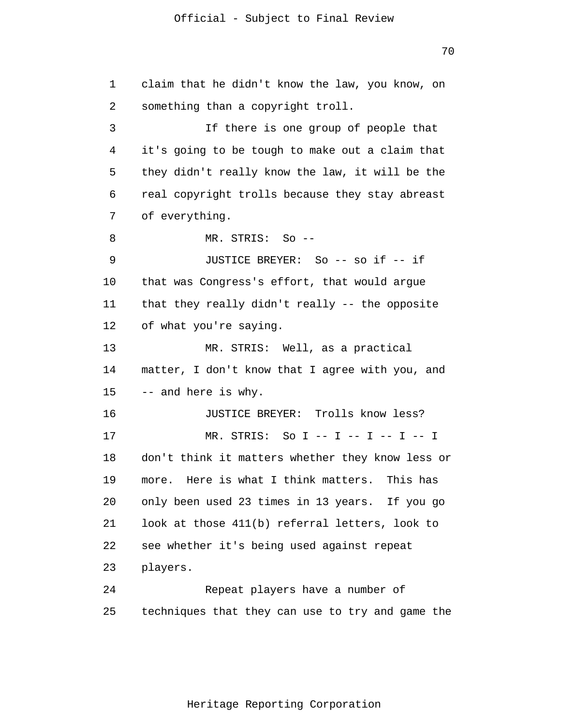1 2 3 4 5 6 7 8 9 10 11 12 13 14 15 16 17 18 19 20 21 22 23 24 25 claim that he didn't know the law, you know, on something than a copyright troll. If there is one group of people that it's going to be tough to make out a claim that they didn't really know the law, it will be the real copyright trolls because they stay abreast of everything. MR. STRIS: So -- JUSTICE BREYER: So -- so if -- if that was Congress's effort, that would argue that they really didn't really -- the opposite of what you're saying. MR. STRIS: Well, as a practical matter, I don't know that I agree with you, and -- and here is why. JUSTICE BREYER: Trolls know less? MR. STRIS: So I -- I -- I -- I -- I don't think it matters whether they know less or more. Here is what I think matters. This has only been used 23 times in 13 years. If you go look at those 411(b) referral letters, look to see whether it's being used against repeat players. Repeat players have a number of techniques that they can use to try and game the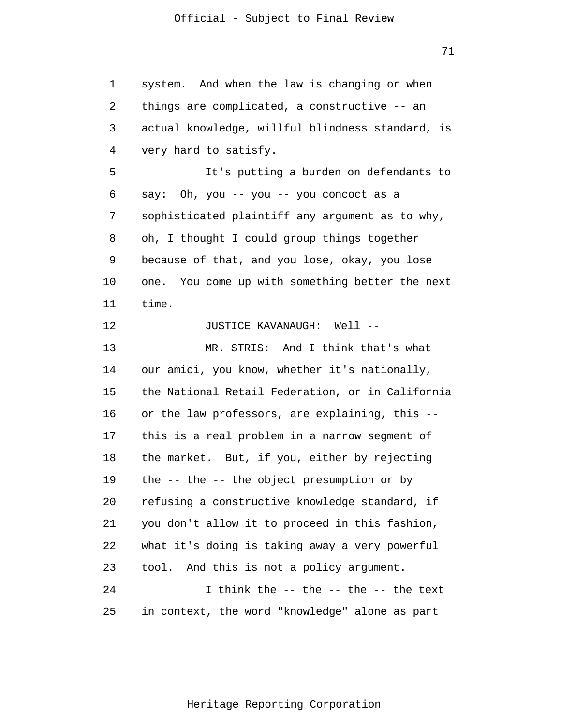71

1 2 3 4 5 6 7 8 9 10 11 12 13 14 15 16 17 18 19 20 21 22 23 24 25 system. And when the law is changing or when things are complicated, a constructive -- an actual knowledge, willful blindness standard, is very hard to satisfy. It's putting a burden on defendants to say: Oh, you -- you -- you concoct as a sophisticated plaintiff any argument as to why, oh, I thought I could group things together because of that, and you lose, okay, you lose one. You come up with something better the next time. JUSTICE KAVANAUGH: Well -- MR. STRIS: And I think that's what our amici, you know, whether it's nationally, the National Retail Federation, or in California or the law professors, are explaining, this - this is a real problem in a narrow segment of the market. But, if you, either by rejecting the -- the -- the object presumption or by refusing a constructive knowledge standard, if you don't allow it to proceed in this fashion, what it's doing is taking away a very powerful tool. And this is not a policy argument. I think the -- the -- the -- the text in context, the word "knowledge" alone as part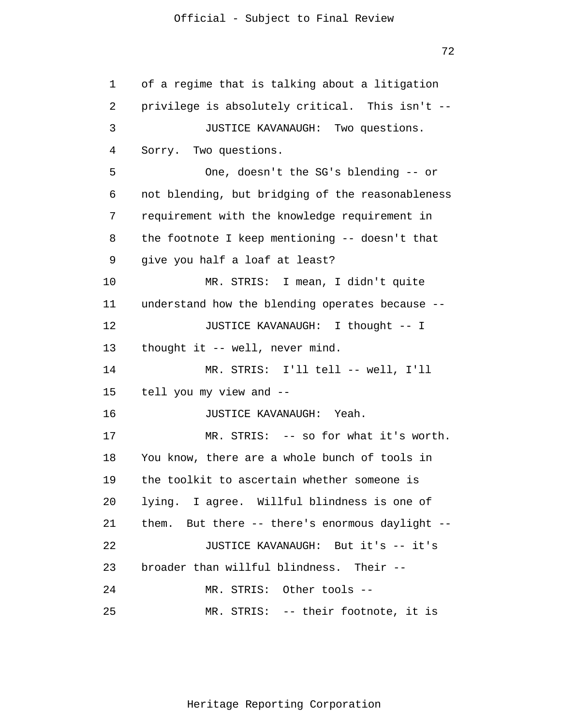1 2 3 4 5 6 7 8 9 10 11 12 13 14 15 16 17 18 19 20 21 22 23 24 25 of a regime that is talking about a litigation privilege is absolutely critical. This isn't -- JUSTICE KAVANAUGH: Two questions. Sorry. Two questions. One, doesn't the SG's blending -- or not blending, but bridging of the reasonableness requirement with the knowledge requirement in the footnote I keep mentioning -- doesn't that give you half a loaf at least? MR. STRIS: I mean, I didn't quite understand how the blending operates because -- JUSTICE KAVANAUGH: I thought -- I thought it -- well, never mind. MR. STRIS: I'll tell -- well, I'll tell you my view and -- JUSTICE KAVANAUGH: Yeah. MR. STRIS: -- so for what it's worth. You know, there are a whole bunch of tools in the toolkit to ascertain whether someone is lying. I agree. Willful blindness is one of them. But there -- there's enormous daylight -- JUSTICE KAVANAUGH: But it's -- it's broader than willful blindness. Their -- MR. STRIS: Other tools -- MR. STRIS: -- their footnote, it is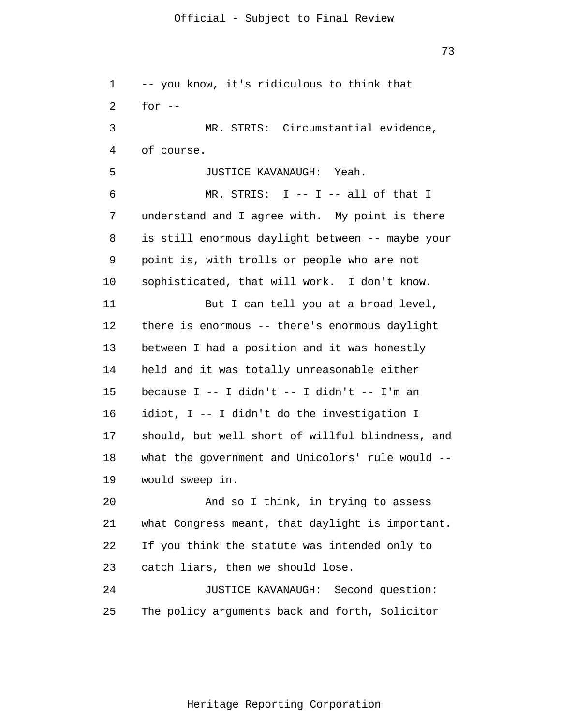1 2 3 4 5 6 7 8 9 10 11 12 13 14 15 16 17 18 19 20 21 22 23 24 25 -- you know, it's ridiculous to think that for  $--$ MR. STRIS: Circumstantial evidence, of course. JUSTICE KAVANAUGH: Yeah. MR. STRIS: I -- I -- all of that I understand and I agree with. My point is there is still enormous daylight between -- maybe your point is, with trolls or people who are not sophisticated, that will work. I don't know. But I can tell you at a broad level, there is enormous -- there's enormous daylight between I had a position and it was honestly held and it was totally unreasonable either because  $I$  -- I didn't -- I didn't -- I'm an idiot, I -- I didn't do the investigation I should, but well short of willful blindness, and what the government and Unicolors' rule would - would sweep in. And so I think, in trying to assess what Congress meant, that daylight is important. If you think the statute was intended only to catch liars, then we should lose. JUSTICE KAVANAUGH: Second question: The policy arguments back and forth, Solicitor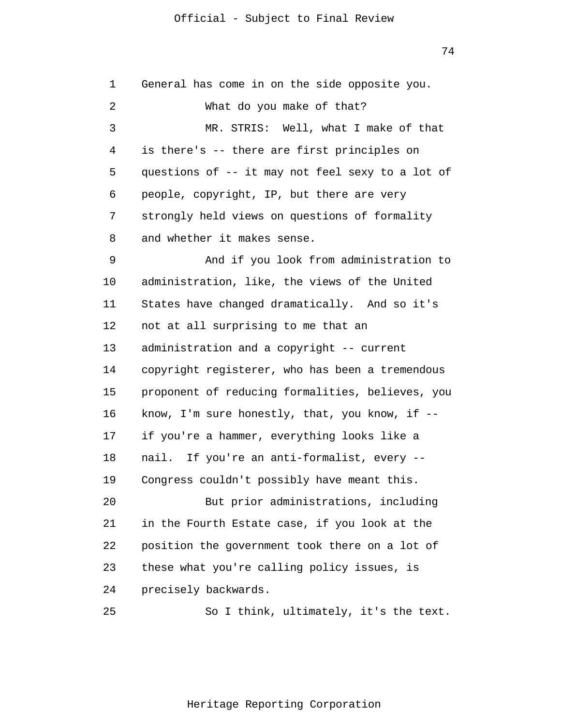1 2 3 4 5 6 7 8 9 10 11 12 13 14 15 16 17 18 19 20 21 22 23 24 25 General has come in on the side opposite you. What do you make of that? MR. STRIS: Well, what I make of that is there's -- there are first principles on questions of -- it may not feel sexy to a lot of people, copyright, IP, but there are very strongly held views on questions of formality and whether it makes sense. And if you look from administration to administration, like, the views of the United States have changed dramatically. And so it's not at all surprising to me that an administration and a copyright -- current copyright registerer, who has been a tremendous proponent of reducing formalities, believes, you know, I'm sure honestly, that, you know, if - if you're a hammer, everything looks like a nail. If you're an anti-formalist, every -- Congress couldn't possibly have meant this. But prior administrations, including in the Fourth Estate case, if you look at the position the government took there on a lot of these what you're calling policy issues, is precisely backwards. So I think, ultimately, it's the text.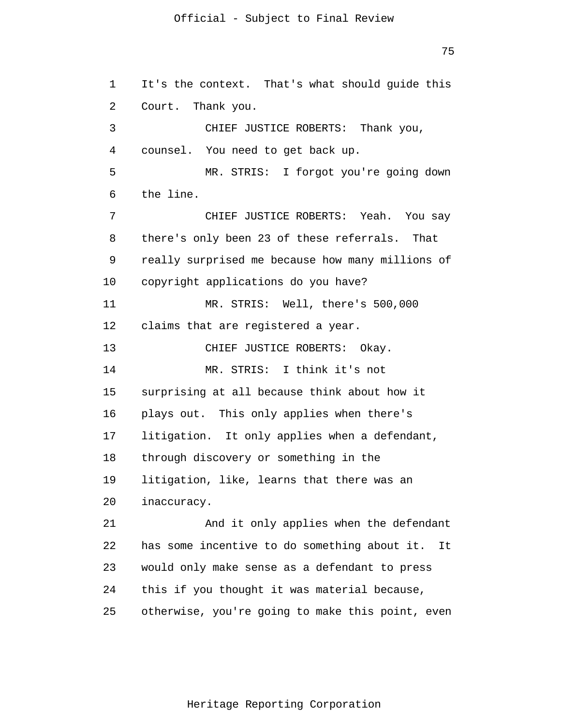75

1 2 3 4 5 6 7 8 9 10 11 12 13 14 15 16 17 18 19 20 21 22 23 24 25 It's the context. That's what should guide this Court. Thank you. CHIEF JUSTICE ROBERTS: Thank you, counsel. You need to get back up. MR. STRIS: I forgot you're going down the line. CHIEF JUSTICE ROBERTS: Yeah. You say there's only been 23 of these referrals. That really surprised me because how many millions of copyright applications do you have? MR. STRIS: Well, there's 500,000 claims that are registered a year. CHIEF JUSTICE ROBERTS: Okay. MR. STRIS: I think it's not surprising at all because think about how it plays out. This only applies when there's litigation. It only applies when a defendant, through discovery or something in the litigation, like, learns that there was an inaccuracy. And it only applies when the defendant has some incentive to do something about it. It would only make sense as a defendant to press this if you thought it was material because, otherwise, you're going to make this point, even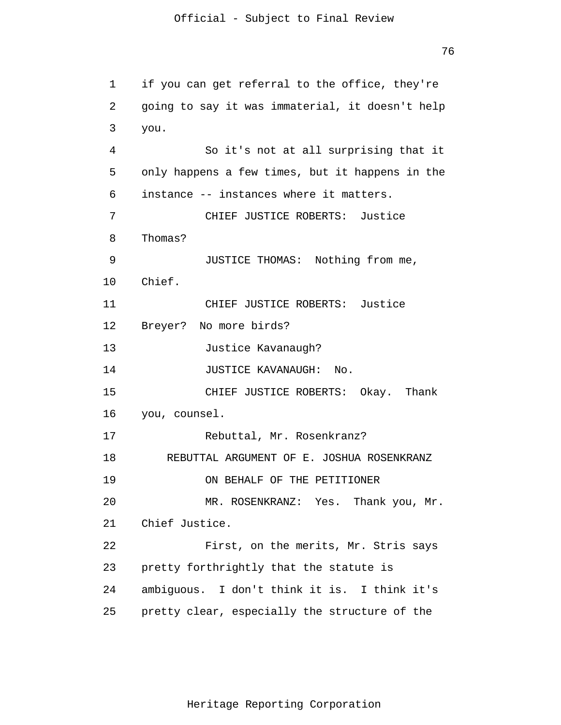76

```
1 
 2 
 3 
 4 
 5 
 6 
 7 
 8 
 9 
10 
11 
12 
13 
14 
15 
16 
17 
18 
19 
20 
21 
22 
23 
24 
25 
      if you can get referral to the office, they're
       going to say it was immaterial, it doesn't help
       you.
                  So it's not at all surprising that it 
      only happens a few times, but it happens in the
       instance -- instances where it matters. 
                 CHIEF JUSTICE ROBERTS: Justice
       Thomas?
                 JUSTICE THOMAS: Nothing from me, 
      Chief. 
                CHIEF JUSTICE ROBERTS: Justice 
      Breyer? No more birds? 
                Justice Kavanaugh? 
                JUSTICE KAVANAUGH: No. 
                CHIEF JUSTICE ROBERTS: Okay. Thank 
      you, counsel. 
                Rebuttal, Mr. Rosenkranz? 
          REBUTTAL ARGUMENT OF E. JOSHUA ROSENKRANZ 
                 ON BEHALF OF THE PETITIONER 
                MR. ROSENKRANZ: Yes. Thank you, Mr. 
      Chief Justice. 
                 First, on the merits, Mr. Stris says 
      pretty forthrightly that the statute is 
      ambiguous. I don't think it is. I think it's 
      pretty clear, especially the structure of the
```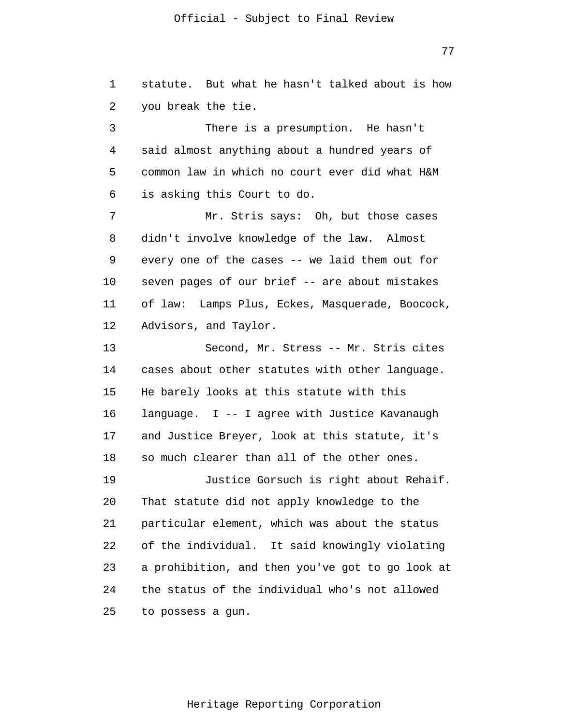77

1 2 3 statute. But what he hasn't talked about is how you break the tie. There is a presumption. He hasn't

4 5 6 said almost anything about a hundred years of common law in which no court ever did what H&M is asking this Court to do.

7 8 9 10 11 12 Mr. Stris says: Oh, but those cases didn't involve knowledge of the law. Almost every one of the cases -- we laid them out for seven pages of our brief -- are about mistakes of law: Lamps Plus, Eckes, Masquerade, Boocock, Advisors, and Taylor.

13 14 15 16 17 18 Second, Mr. Stress -- Mr. Stris cites cases about other statutes with other language. He barely looks at this statute with this language. I -- I agree with Justice Kavanaugh and Justice Breyer, look at this statute, it's so much clearer than all of the other ones.

19 20 21 22 23 24 25 Justice Gorsuch is right about Rehaif. That statute did not apply knowledge to the particular element, which was about the status of the individual. It said knowingly violating a prohibition, and then you've got to go look at the status of the individual who's not allowed to possess a gun.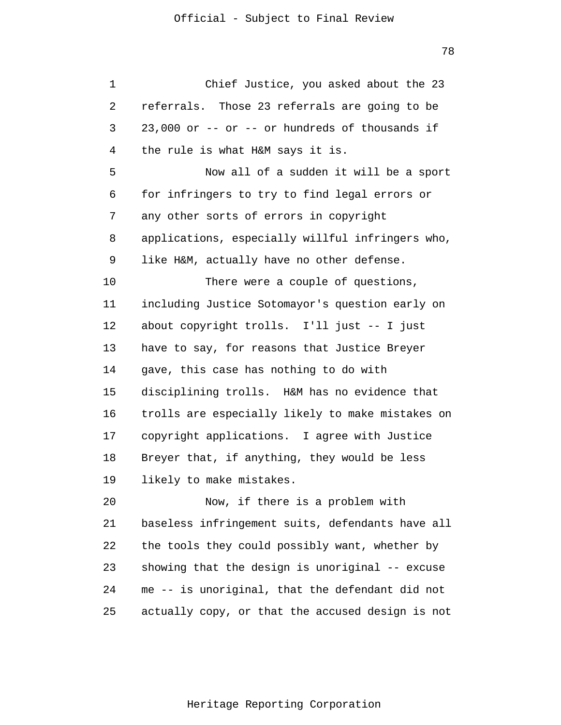| 1  | Chief Justice, you asked about the 23            |
|----|--------------------------------------------------|
| 2  | referrals. Those 23 referrals are going to be    |
| 3  | 23,000 or -- or -- or hundreds of thousands if   |
| 4  | the rule is what H&M says it is.                 |
| 5  | Now all of a sudden it will be a sport           |
| 6  | for infringers to try to find legal errors or    |
| 7  | any other sorts of errors in copyright           |
| 8  | applications, especially willful infringers who, |
| 9  | like H&M, actually have no other defense.        |
| 10 | There were a couple of questions,                |
| 11 | including Justice Sotomayor's question early on  |
| 12 | about copyright trolls. I'll just -- I just      |
| 13 | have to say, for reasons that Justice Breyer     |
| 14 | gave, this case has nothing to do with           |
| 15 | disciplining trolls. H&M has no evidence that    |
| 16 | trolls are especially likely to make mistakes on |
| 17 | copyright applications. I agree with Justice     |
| 18 | Breyer that, if anything, they would be less     |
| 19 | likely to make mistakes.                         |
| 20 | Now, if there is a problem with                  |
| 21 | baseless infringement suits, defendants have all |
| 22 | the tools they could possibly want, whether by   |
| 23 | showing that the design is unoriginal -- excuse  |
| 24 | me -- is unoriginal, that the defendant did not  |
| 25 | actually copy, or that the accused design is not |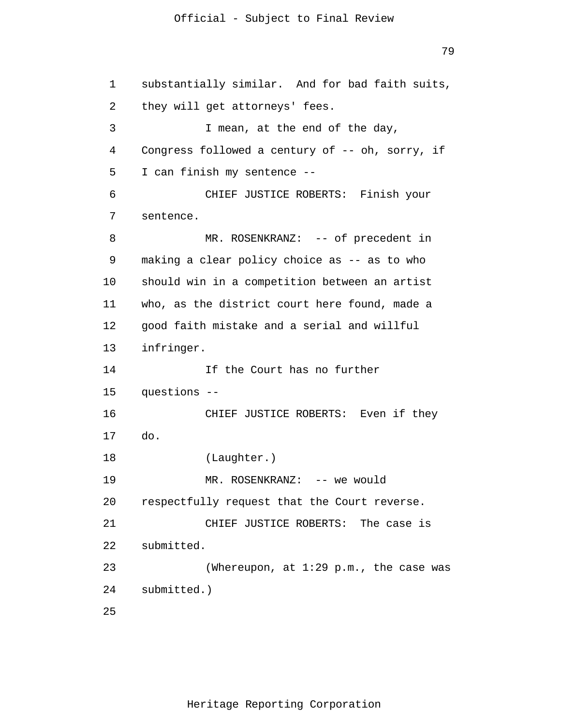79

1 2 3 4 5 6 7 8 9 10 11 12 13 14 15 16 17 18 19 20 21 22 23 24 25 substantially similar. And for bad faith suits, they will get attorneys' fees. I mean, at the end of the day, Congress followed a century of -- oh, sorry, if I can finish my sentence -- CHIEF JUSTICE ROBERTS: Finish your sentence. MR. ROSENKRANZ: -- of precedent in making a clear policy choice as -- as to who should win in a competition between an artist who, as the district court here found, made a good faith mistake and a serial and willful infringer. If the Court has no further questions -- CHIEF JUSTICE ROBERTS: Even if they do. (Laughter.) MR. ROSENKRANZ: -- we would respectfully request that the Court reverse. CHIEF JUSTICE ROBERTS: The case is submitted. (Whereupon, at 1:29 p.m., the case was submitted.)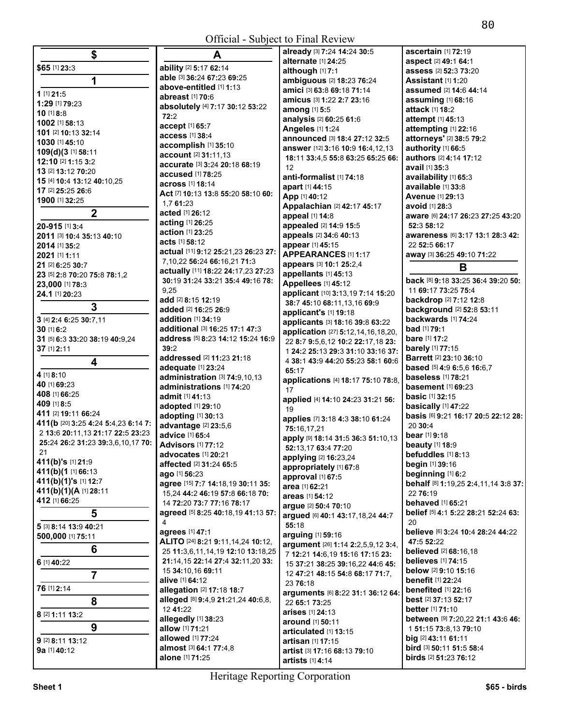| \$                                  | A                                         | already [3] 7:24 14:24 30:5                      | ascertain [1] 72:19                                                  |
|-------------------------------------|-------------------------------------------|--------------------------------------------------|----------------------------------------------------------------------|
|                                     |                                           | alternate [1] 24:25                              | aspect [2] 49:1 64:1                                                 |
| \$65 [1] 23:3                       | ability [2] 5:17 62:14                    | although [1] 7:1                                 | assess [2] 52:3 73:20                                                |
| 1                                   | able [3] 36:24 67:23 69:25                | ambiguous [2] 18:23 76:24                        | <b>Assistant</b> [1] 1:20                                            |
|                                     | above-entitled [1] 1:13                   |                                                  |                                                                      |
| 1 [1] 21:5                          | abreast [1] 70:6                          | amici [3] 63:8 69:18 71:14                       | assumed [2] 14:6 44:14                                               |
| 1:29 [1] 79:23                      |                                           | amicus [3] 1:22 2:7 23:16                        | assuming [1] 68:16                                                   |
| $10$ [1] 8:8                        | absolutely [4] 7:17 30:12 53:22           | among [1] 5:5                                    | attack [1] 18:2                                                      |
|                                     | 72:2                                      | analysis [2] 60:25 61:6                          | attempt [1] 45:13                                                    |
| 1002 [1] 58:13                      | accept [1] 65:7                           | Angeles [1] 1:24                                 | attempting [1] 22:16                                                 |
| 101 [2] 10:13 32:14                 | access [1] 38:4                           |                                                  |                                                                      |
| 1030 [1] 45:10                      | accomplish [1] 35:10                      | announced [3] 18:4 27:12 32:5                    | attorneys' [2] 38:5 79:2                                             |
| 109(d)(3 [1] 58:11                  |                                           | answer [12] 3:16 10:9 16:4,12,13                 | authority [1] 66:5                                                   |
| 12:10 [2] 1:15 3:2                  | account [2] 31:11,13                      | 18:11 33:4,5 55:8 63:25 65:25 66:                | authors [2] 4:14 17:12                                               |
| 13 [2] 13:12 70:20                  | accurate [3] 3:24 20:18 68:19             | 12                                               | avail [1] 35:3                                                       |
|                                     | accused [1] 78:25                         | anti-formalist [1] 74:18                         | availability [1] 65:3                                                |
| 15 [4] 10:4 13:12 40:10,25          | <b>across</b> [1] <b>18:14</b>            | apart [1] 44:15                                  | available [1] 33:8                                                   |
| 17 [2] 25:25 26:6                   | Act [7] 10:13 13:8 55:20 58:10 60:        |                                                  |                                                                      |
| 1900 [1] 32:25                      | 1,7 61:23                                 | App [1] 40:12                                    | Avenue [1] 29:13                                                     |
|                                     |                                           | Appalachian [2] 42:17 45:17                      | <b>avoid</b> [1] <b>28:3</b>                                         |
| $\mathbf 2$                         | acted [1] 26:12                           | appeal [1] 14:8                                  | aware [6] 24:17 26:23 27:25 43:20                                    |
| 20-915 [1] 3:4                      | acting [1] 26:25                          | appealed [2] 14:9 15:5                           | 52:3 58:12                                                           |
| 2011 [3] 10:4 35:13 40:10           | action [1] 23:25                          | appeals [2] 34:6 40:13                           | awareness [6] 3:17 13:1 28:3 42:                                     |
|                                     | <b>acts [1] 58:12</b>                     |                                                  |                                                                      |
| 2014 [1] 35:2                       | actual [11] 9:12 25:21,23 26:23 27:       | appear [1] 45:15                                 | 22 52:5 66:17                                                        |
| 2021 [1] 1:11                       |                                           | APPEARANCES [1] 1:17                             | away [3] 36:25 49:10 71:22                                           |
| 21 [2] 6:25 30:7                    | 7,10,22 56:24 66:16,21 71:3               | appears [3] 10:1 25:2,4                          | B                                                                    |
| 23 [5] 2:8 70:20 75:8 78:1,2        | actually [11] 18:22 24:17,23 27:23        | appellants [1] 45:13                             |                                                                      |
| 23,000 [1] 78:3                     | 30:19 31:24 33:21 35:4 49:16 78:          | Appellees [1] 45:12                              | back [8] 9:18 33:25 36:4 39:20 50:                                   |
|                                     | 9,25                                      | applicant [10] 3:13,19 7:14 15:20                | 11 69:17 73:25 75:4                                                  |
| 24.1 [1] 20:23                      | add [2] 8:15 12:19                        |                                                  | backdrop [2] 7:12 12:8                                               |
| $\overline{3}$                      | added [2] 16:25 26:9                      | 38:7 45:10 68:11,13,16 69:9                      | background [2] 52:8 53:11                                            |
|                                     |                                           | applicant's [1] 19:18                            |                                                                      |
| 3 [4] 2:4 6:25 30:7,11              | addition [1] 34:19                        | applicants [3] 18:16 39:8 63:22                  | backwards [1] 74:24                                                  |
| 30 [1] 6:2                          | additional [3] 16:25 17:1 47:3            | application [27] 5:12,14,16,18,20,               | <b>bad</b> [1] <b>79:1</b>                                           |
| 31 [5] 6:3 33:20 38:19 40:9,24      | address [5] 8:23 14:12 15:24 16:9         | 22 8:7 9:5,6,12 10:2 22:17,18 23:                | bare [1] 17:2                                                        |
| 37 [1] 2:11                         | 39:2                                      |                                                  | <b>barely</b> [1] 77:15                                              |
|                                     | addressed [2] 11:23 21:18                 | 1 24:2 25:13 29:3 31:10 33:16 37:                | <b>Barrett [2] 23:10 36:10</b>                                       |
| 4                                   |                                           | 4 38:1 43:9 44:20 55:23 58:1 60:6                |                                                                      |
| 4 [1] 8:10                          | adequate [1] 23:24                        | 65:17                                            | based [5] 4:9 6:5,6 16:6,7                                           |
|                                     | administration [3] 74:9,10,13             | applications [4] 18:17 75:10 78:8,               | baseless [1] 78:21                                                   |
| 40 [1] 69:23                        | administrations [1] 74:20                 | 17                                               | <b>basement</b> [1] 69:23                                            |
| 408 [1] 66:25                       | admit [1] 41:13                           | applied [4] 14:10 24:23 31:21 56:                | <b>basic</b> [1] 32:15                                               |
| 409 [1] 8:5                         | adopted [1] 29:10                         |                                                  | basically [1] 47:22                                                  |
| 411 [2] 19:11 66:24                 | adopting [1] 30:13                        | 19                                               | basis [6] 9:21 16:17 20:5 22:12 28:                                  |
| 411(b [20] 3:25 4:24 5:4,23 6:14 7: |                                           | applies [7] 3:18 4:3 38:10 61:24                 |                                                                      |
| 2 13:6 20:11,13 21:17 22:5 23:23    | advantage [2] 23:5,6                      | 75:16,17,21                                      | 20 30:4                                                              |
|                                     | advice [1] 65:4                           | apply [9] 18:14 31:5 36:3 51:10,13               | bear [1] 9:18                                                        |
| 25:24 26:2 31:23 39:3,6,10,17 70:   | <b>Advisors</b> [1] 77:12                 | 52:13,17 63:4 77:20                              | <b>beauty</b> [1] 18:9                                               |
| 21                                  | <b>advocates</b> [1] <b>20:</b> 21        | <b>applying</b> [2] <b>16:</b> 23,24             | befuddles [1] 8:13                                                   |
| 411(b)'s [1] 21:9                   |                                           |                                                  |                                                                      |
|                                     |                                           |                                                  |                                                                      |
|                                     | affected [2] 31:24 65:5                   | appropriately [1] 67:8                           | begin [1] 39:16                                                      |
| 411(b)(1 [1] 66:13                  | ago [1] 56:23                             | approval [1] 67:5                                | beginning [1] 6:2                                                    |
| 411(b)(1)'s [1] 12:7                | agree [15] 7:7 14:18,19 30:11 35:         | area [1] 62:21                                   |                                                                      |
| 411(b)(1)(A [1] 28:11               | 15,24 44:2 46:19 57:8 66:18 70:           | areas [1] 54:12                                  | 22 76:19                                                             |
| 412 [1] 66:25                       | 14 72:20 73:7 77:16 78:17                 |                                                  | <b>behaved</b> [1] 65:21                                             |
|                                     | agreed [5] 8:25 40:18,19 41:13 57:        | argue [2] 50:4 70:10                             | belief [5] 4:1 5:22 28:21 52:24 63:                                  |
| 5                                   |                                           | argued [6] 40:1 43:17,18,24 44:7                 |                                                                      |
| 5 [3] 8:14 13:9 40:21               | 4                                         | 55:18                                            | 20                                                                   |
| 500,000 [1] 75:11                   | agrees [1] 47:1                           | arguing [1] 59:16                                | believe [6] 3:24 10:4 28:24 44:22                                    |
|                                     | ALITO [24] 8:21 9:11,14,24 10:12,         | argument [26] 1:14 2:2,5,9,12 3:4,               | 47:5 52:22                                                           |
| 6                                   | 25 11:3,6,11,14,19 12:10 13:18,25         |                                                  | behalf [8] 1:19,25 2:4,11,14 3:8 37:<br><b>believed</b> [2] 68:16,18 |
| 6 [1] $40:22$                       | 21:14,15 22:14 27:4 32:11,20 33:          | 7 12:21 14:6,19 15:16 17:15 23:                  | <b>believes</b> [1] 74:15                                            |
|                                     | 15 34:10,16 69:11                         | 15 37:21 38:25 39:16,22 44:6 45:                 | below [2] 9:10 15:16                                                 |
| $\overline{7}$                      |                                           | 12 47:21 48:15 54:8 68:17 71:7,                  |                                                                      |
|                                     | alive [1] 64:12                           | 23 76:18                                         | <b>benefit</b> [1] 22:24                                             |
| 76 [1] 2:14                         | allegation [2] 17:18 18:7                 | arguments [6] 8:22 31:1 36:12 64:                | benefited [1] 22:16                                                  |
| 8                                   | alleged [8] 9:4,9 21:21,24 40:6,8,        | 22 65:1 73:25                                    | best [2] 37:13 52:17                                                 |
|                                     | 12 41:22                                  |                                                  | <b>better</b> [1] <b>71:10</b>                                       |
| 8 [2] 1:11 13:2                     | allegedly [1] 38:23                       | arises [1] 24:13                                 | between [9] 7:20,22 21:1 43:6 46:                                    |
| 9                                   | allow [1] 71:21                           | around [1] 50:11                                 |                                                                      |
|                                     |                                           | articulated [1] 13:15                            | 1 51:15 73:8,13 79:10                                                |
| 9 [2] 8:11 13:12                    | allowed [1] 77:24                         | artisan [1] 17:15                                | big [2] 43:11 61:11                                                  |
| 9a [1] 40:12                        | almost [3] 64:1 77:4,8<br>alone [1] 71:25 | artist [3] 17:16 68:13 79:10<br>artists [1] 4:14 | bird [3] 50:11 51:5 58:4<br>birds [2] 51:23 76:12                    |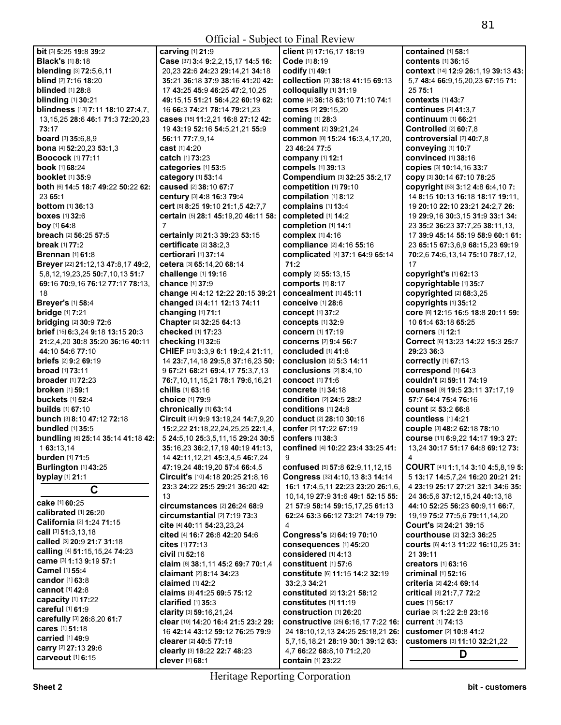| <b>bit</b> [3] <b>5:25 19:8 39:2</b>                      | carving [1] 21:9                                                  | client [3] 17:16,17 18:19                                                   | contained $[1]$ 58:1                                                    |
|-----------------------------------------------------------|-------------------------------------------------------------------|-----------------------------------------------------------------------------|-------------------------------------------------------------------------|
| <b>Black's [1] 8:18</b>                                   | Case [37] 3:4 9:2,2,15,17 14:5 16:                                | Code [1] 8:19                                                               | <b>contents</b> [1] 36:15                                               |
| blending [3] 72:5,6,11                                    | 20,23 22:6 24:23 29:14,21 34:18                                   | codify [1] 49:1                                                             | context [14] 12:9 26:1, 19 39:13 43:                                    |
| <b>blind</b> [2] 7:16 18:20                               | 35:21 36:18 37:9 38:16 41:20 42:                                  | collection [3] 38:18 41:15 69:13                                            | 5,7 48:4 66:9,15,20,23 67:15 71:                                        |
| <b>blinded</b> [1] 28:8                                   | 17 43:25 45:9 46:25 47:2,10,25                                    | colloquially [1] 31:19                                                      | 25 75:1                                                                 |
| <b>blinding</b> [1] 30:21                                 | 49:15,15 51:21 56:4,22 60:19 62:                                  | come [4] 36:18 63:10 71:10 74:1                                             | <b>contexts</b> [1] 43:7                                                |
| blindness [13] 7:11 18:10 27:4,7,                         | 16 66:3 74:21 78:14 79:21,23                                      | comes [2] 29:15,20                                                          | <b>continues</b> [2] 41:3,7                                             |
| 13, 15, 25 28: 6 46: 1 71: 3 72: 20, 23<br>73:17          | cases [15] 11:2,21 16:8 27:12 42:                                 | coming [1] 28:3                                                             | continuum [1] 66:21<br>Controlled [2] 60:7,8                            |
| <b>board</b> [3] 35:6,8,9                                 | 19 43:19 52:16 54:5,21,21 55:9<br>56:11 77:7,9,14                 | comment [2] 39:21,24<br>common [8] 15:24 16:3,4,17,20,                      | controversial [2] 40:7,8                                                |
| bona [4] 52:20,23 53:1,3                                  | <b>cast</b> [1] <b>4:</b> 20                                      | 23 46:24 77:5                                                               | conveying [1] 10:7                                                      |
| <b>Boocock</b> [1] 77:11                                  | <b>catch</b> [1] <b>73:23</b>                                     | <b>company</b> [1] 12:1                                                     | convinced [1] 38:16                                                     |
| <b>book</b> [1] 68:24                                     | categories [1] 53:5                                               | <b>compels</b> [1] 39:13                                                    | Copies [3] 10:14,16 33:7                                                |
| <b>booklet</b> [1] 35:9                                   | category [1] 53:14                                                | Compendium [3] 32:25 35:2,17                                                | COPY [3] 30:14 67:10 78:25                                              |
| both [6] 14:5 18:7 49:22 50:22 62:                        | caused [2] 38:10 67:7                                             | competition [1] 79:10                                                       | copyright [53] 3:12 4:8 6:4,10 7:                                       |
| 23 65:1                                                   | century [3] 4:8 16:3 79:4                                         | compilation [1] 8:12                                                        | 14 8:15 10:13 16:18 18:17 19:11,                                        |
| <b>bottom</b> $[1]$ 36:13                                 | cert [6] 8:25 19:10 21:1,5 42:7,7                                 | complains [1] 13:4                                                          | 19 20:10 22:10 23:21 24:2,7 26:                                         |
| <b>boxes</b> $[1]$ 32:6                                   | certain [5] 28:1 45:19,20 46:11 58:                               | completed [1] 14:2                                                          | 19 29:9,16 30:3,15 31:9 33:1 34:                                        |
| boy [1] $64:8$                                            | $\overline{7}$                                                    | completion [1] 14:1                                                         | 23 35:2 36:23 37:7,25 38:11,13,                                         |
| <b>breach</b> [2] 56:25 57:5                              | certainly [3] 21:3 39:23 53:15                                    | complex [1] 4:16                                                            | 17 39:9 45:14 55:19 58:9 60:1 61:                                       |
| <b>break</b> [1] 77:2                                     | certificate [2] 38:2,3                                            | compliance [2] 4:16 55:16                                                   | 23 65:15 67:3,6,9 68:15,23 69:19                                        |
| <b>Brennan</b> [1] 61:8                                   | certiorari [1] 37:14                                              | complicated [4] 37:1 64:9 65:14                                             | 70:2,6 74:6,13,14 75:10 78:7,12,                                        |
| Breyer [22] 21:12,13 47:8,17 49:2,                        | cetera [3] 65:14,20 68:14                                         | 71:2                                                                        | 17                                                                      |
| 5,8,12,19,23,25 50:7,10,13 51:7                           | challenge [1] 19:16                                               | comply [2] 55:13,15                                                         | copyright's [1] 62:13                                                   |
| 69:16 70:9,16 76:12 77:17 78:13,<br>18                    | <b>chance</b> [1] 37:9                                            | comports [1] 8:17<br>concealment [1] 45:11                                  | copyrightable [1] 35:7                                                  |
| <b>Breyer's [1] 58:4</b>                                  | change [4] 4:12 12:22 20:15 39:21<br>changed [3] 4:11 12:13 74:11 | conceive $[1]$ 28:6                                                         | copyrighted [2] 68:3,25<br>copyrights [1] 35:12                         |
| <b>bridge</b> [1] 7:21                                    | changing [1] 71:1                                                 | <b>concept</b> [1] 37:2                                                     | core [8] 12:15 16:5 18:8 20:11 59:                                      |
| <b>bridging</b> [2] 30:9 72:6                             | Chapter [2] 32:25 64:13                                           | concepts [1] 32:9                                                           | 10 61:4 63:18 65:25                                                     |
| brief [15] 6:3,24 9:18 13:15 20:3                         | checked [1] 17:23                                                 | concern [1] 17:19                                                           | <b>corners</b> [1] 12:1                                                 |
| 21:2,4,20 30:8 35:20 36:16 40:11                          | checking [1] 32:6                                                 | <b>concerns</b> [2] 9:4 56:7                                                | Correct [6] 13:23 14:22 15:3 25:7                                       |
| 44:10 54:6 77:10                                          | CHIEF [31] 3:3,9 6:1 19:2,4 21:11,                                | <b>concluded</b> [1] 41:8                                                   | 29:23 36:3                                                              |
| <b>briefs</b> [2] 9:2 69:19                               | 14 23:7,14,18 29:5,8 37:16,23 50:                                 | conclusion [2] 5:3 14:11                                                    | correctly [1] 67:13                                                     |
| broad [1] 73:11                                           | 9 67:21 68:21 69:4,17 75:3,7,13                                   | conclusions $[2]$ 8:4,10                                                    | correspond [1] 64:3                                                     |
| <b>broader</b> $[1]$ 72:23                                | 76:7,10,11,15,21 78:1 79:6,16,21                                  | <b>concoct</b> [1] 71:6                                                     | couldn't [2] 59:11 74:19                                                |
| <b>broken</b> [1] 59:1                                    | chills [1] 63:16                                                  | <b>concrete</b> [1] 34:18                                                   | counsel [8] 19:5 23:11 37:17,19                                         |
| <b>buckets</b> [1] <b>52:4</b><br><b>builds</b> [1] 67:10 | <b>choice</b> [1] 79:9                                            | <b>condition</b> [2] 24:5 28:2<br><b>conditions</b> [1] 24:8                | 57:7 64:4 75:4 76:16<br><b>count</b> [2] 53:2 66:8                      |
| bunch [3] 8:10 47:12 72:18                                | chronically [1] 63:14<br>Circuit [47] 9:9 13:19,24 14:7,9,20      | conduct [2] 28:10 30:16                                                     | <b>countless</b> [1] 4:21                                               |
| <b>bundled</b> [1] 35:5                                   | 15:2,22 21:18,22,24,25,25 22:1,4,                                 | confer [2] 17:22 67:19                                                      | couple [3] 48:2 62:18 78:10                                             |
| bundling [6] 25:14 35:14 41:18 42:                        | 5 24:5, 10 25:3, 5, 11, 15 29: 24 30: 5                           | confers [1] 38:3                                                            | course [11] 6:9,22 14:17 19:3 27:                                       |
| 1 63:13,14                                                | 35:16,23 36:2,17,19 40:19 41:13,                                  | confined [4] 10:22 23:4 33:25 41:                                           | 13,24 30:17 51:17 64:8 69:12 73:                                        |
| burden [1] 71:5                                           | 14 42:11, 12, 21 45: 3, 4, 5 46: 7, 24                            |                                                                             |                                                                         |
| <b>Burlington</b> [1] 43:25                               | 47:19,24 48:19,20 57:4 66:4,5                                     | confused [5] 57:8 62:9,11,12,15                                             | COURT [41] 1:1,14 3:10 4:5,8,19 5:                                      |
| byplay [1] 21:1                                           | Circuit's [10] 4:18 20:25 21:8,16                                 | Congress [32] 4:10,13 8:3 14:14                                             | 5 13:17 14:5,7,24 16:20 20:21 21:                                       |
| C                                                         | 23:3 24:22 25:5 29:21 36:20 42:                                   | 16:1 17:4,5,11 22:23 23:20 26:1,6,                                          | 4 23:19 25:17 27:21 32:1 34:6 35:                                       |
| cake [1] 60:25                                            | 13<br>circumstances [2] 26:24 68:9                                | 10,14,19 27:9 31:6 49:1 52:15 55:                                           | 24 36:5.6 37:12.15.24 40:13.18                                          |
| calibrated [1] 26:20                                      | circumstantial $[2]$ 7:19 73:3                                    | 21 57:9 58:14 59:15,17,25 61:13<br>62:24 63:3 66:12 73:21 74:19 79:         | 44:10 52:25 56:23 60:9,11 66:7,<br>19, 19 75: 2 77: 5, 6 79: 11, 14, 20 |
| California [2] 1:24 71:15                                 | cite [4] 40:11 54:23,23,24                                        | 4                                                                           | Court's [2] 24:21 39:15                                                 |
| <b>call</b> [3] $51:3,13,18$                              | cited [4] 16:7 26:8 42:20 54:6                                    | Congress's [2] 64:19 70:10                                                  | courthouse [2] 32:3 36:25                                               |
| called [3] 20:9 21:7 31:18                                | cites [1] 77:13                                                   | consequences [1] 45:20                                                      | courts [6] 4:13 11:22 16:10,25 31:                                      |
| calling [4] 51:15,15,24 74:23                             | civil [1] 52:16                                                   | considered [1] 4:13                                                         | 21 39:11                                                                |
| came [3] 1:13 9:19 57:1                                   | claim [6] 38:1,11 45:2 69:7 70:1,4                                | constituent [1] 57:6                                                        | creators [1] 63:16                                                      |
| <b>Camel</b> [1] 55:4                                     | claimant [2] 8:14 34:23                                           | constitute [6] 11:15 14:2 32:19                                             | criminal [1] 52:16                                                      |
| candor [1] 63:8                                           | claimed $[1]$ 42:2                                                | 33:2,3 34:21                                                                | criteria [2] 42:4 69:14                                                 |
| cannot [1] 42:8                                           | claims [3] 41:25 69:5 75:12                                       | constituted [2] 13:21 58:12                                                 | critical [3] 21:7,7 72:2                                                |
| capacity [1] 17:22<br>careful [1] 61:9                    | clarified $[1]$ 35:3                                              | constitutes [1] 11:19                                                       | cues [1] 56:17                                                          |
| carefully [3] 26:8,20 61:7                                | clarity [3] 59:16,21,24                                           | construction [1] 26:20                                                      | curiae [3] 1:22 2:8 23:16                                               |
| cares [1] 51:18                                           | clear [10] 14:20 16:4 21:5 23:2 29:                               | constructive [25] 6:16,17 7:22 16:                                          | current [1] 74:13                                                       |
| carried [1] 49:9                                          | 16 42:14 43:12 59:12 76:25 79:9<br>clearer [2] 40:5 77:18         | 24 18:10, 12, 13 24: 25 25: 18, 21 26:<br>5,7,15,18,21 28:19 30:1 39:12 63: | customer [2] 10:8 41:2<br>customers [3] 11:10 32:21,22                  |
| carry [2] 27:13 29:6                                      | clearly [3] 18:22 22:7 48:23                                      | 4,7 66:22 68:8,10 71:2,20                                                   |                                                                         |
| carveout [1] 6:15                                         | clever [1] 68:1                                                   | contain [1] 23:22                                                           | D                                                                       |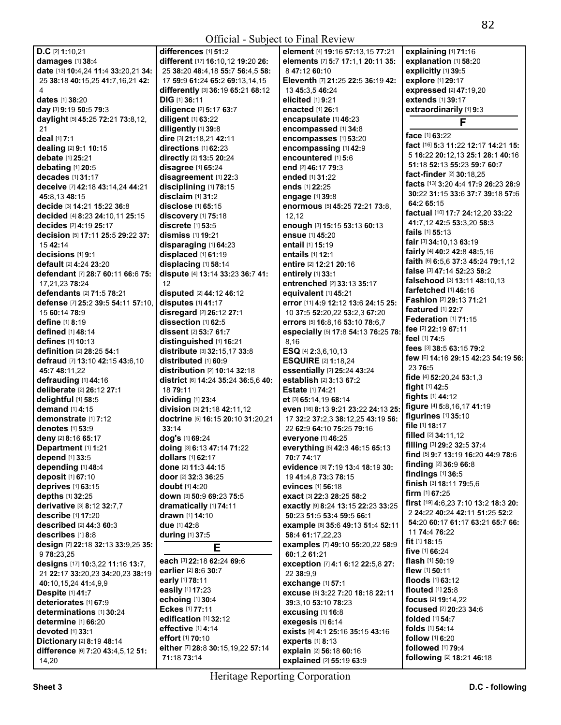|                                      |                                              | OIIIUAI - SUOJUU IV FIIIAI KUVIUW       |                                      |
|--------------------------------------|----------------------------------------------|-----------------------------------------|--------------------------------------|
| $D.C$ [2] 1:10,21                    | differences $[1]$ 51:2                       | element [4] 19:16 57:13,15 77:21        | explaining [1] 71:16                 |
| damages [1] 38:4                     | different [17] 16:10,12 19:20 26:            | elements [7] 5:7 17:1,1 20:11 35:       | explanation [1] 58:20                |
| date [13] 10:4,24 11:4 33:20,21 34:  | 25 38:20 48:4.18 55:7 56:4.5 58:             | 847:12 60:10                            | explicitly [1] 39:5                  |
|                                      | 17 59:9 61:24 65:2 69:13,14,15               | Eleventh [7] 21:25 22:5 36:19 42:       | explore [1] 29:17                    |
| 25 38:18 40:15,25 41:7,16,21 42:     |                                              |                                         |                                      |
| 4                                    | differently [3] 36:19 65:21 68:12            | 13 45:3.5 46:24                         | expressed [2] 47:19,20               |
| <b>dates</b> [1] 38:20               | DIG [1] 36:11                                | elicited [1] 9:21                       | extends [1] 39:17                    |
| day [3] 9:19 50:5 79:3               | diligence [2] 5:17 63:7                      | <b>enacted</b> [1] 26:1                 | extraordinarily [1] 9:3              |
| daylight [5] 45:25 72:21 73:8,12,    | diligent [1] 63:22                           | encapsulate [1] 46:23                   | F                                    |
| 21                                   | diligently [1] 39:8                          | encompassed [1] 34:8                    |                                      |
| deal [1] 7:1                         | dire [3] 21:18,21 42:11                      | encompasses [1] 53:20                   | face [1] 63:22                       |
| dealing [2] 9:1 10:15                | directions [1] 62:23                         | encompassing [1] 42:9                   | fact [16] 5:3 11:22 12:17 14:21 15:  |
| debate [1] 25:21                     | <b>directly</b> [2] 13:5 20:24               | encountered [1] 5:6                     | 5 16:22 20:12,13 25:1 28:1 40:16     |
|                                      |                                              | end [2] 46:17 79:3                      | 51:18 52:13 55:23 59:7 60:7          |
| debating $[1]$ 20:5                  | disagree $[1]$ 65:24                         |                                         | fact-finder [2] 30:18,25             |
| decades [1] 31:17                    | disagreement [1] 22:3                        | <b>ended</b> [1] <b>31:22</b>           | facts [13] 3:20 4:4 17:9 26:23 28:9  |
| deceive [7] 42:18 43:14,24 44:21     | disciplining [1] 78:15                       | ends [1] 22:25                          |                                      |
| 45:8,13 48:15                        | disclaim [1] 31:2                            | engage [1] 39:8                         | 30:22 31:15 33:6 37:7 39:18 57:6     |
| decide [3] 14:21 15:22 36:8          | disclose $[1]$ 65:15                         | enormous [5] 45:25 72:21 73:8,          | 64:2 65:15                           |
| decided [4] 8:23 24:10,11 25:15      | discovery [1] 75:18                          | 12,12                                   | factual [10] 17:7 24:12,20 33:22     |
| <b>decides</b> [2] <b>4:19 25:17</b> | discrete [1] 53:5                            | enough [3] 15:15 53:13 60:13            | 41:7.12 42:5 53:3.20 58:3            |
| decision [5] 17:11 25:5 29:22 37:    | dismiss [1] 19:21                            | ensue [1] 45:20                         | <b>fails</b> $[1]$ 55:13             |
|                                      |                                              |                                         | fair [3] 34:10,13 63:19              |
| 15 42:14                             | disparaging [1] 64:23                        | <b>entail</b> [1] <b>15:1</b> 9         | fairly [4] 40:2 42:8 48:5,16         |
| decisions [1] 9:1                    | displaced [1] 61:19                          | entails [1] 12:1                        | faith [6] 6:5,6 37:3 45:24 79:1,12   |
| default [2] 4:24 23:20               | displacing [1] 58:14                         | entire [2] 12:21 20:16                  | false [3] 47:14 52:23 58:2           |
| defendant [7] 28:7 60:11 66:6 75:    | dispute [4] 13:14 33:23 36:7 41:             | entirely [1] 33:1                       |                                      |
| 17,21,23 78:24                       | 12                                           | entrenched [2] 33:13 35:17              | falsehood [3] 13:11 48:10,13         |
| defendants [2] 71:5 78:21            | disputed [2] 44:12 46:12                     | equivalent [1] 45:21                    | farfetched [1] 46:16                 |
| defense [7] 25:2 39:5 54:11 57:10.   | disputes [1] 41:17                           | error [11] 4:9 12:12 13:6 24:15 25:     | Fashion [2] 29:13 71:21              |
| 15 60:14 78:9                        | disregard [2] 26:12 27:1                     | 10 37:5 52:20,22 53:2,3 67:20           | <b>featured</b> [1] 22:7             |
| define [1] 8:19                      | dissection [1] 62:5                          | errors [5] 16:8,16 53:10 78:6,7         | Federation [1] 71:15                 |
|                                      |                                              |                                         | fee [2] 22:19 67:11                  |
| defined [1] 48:14                    | dissent [2] 53:7 61:7                        | especially [5] 17:8 54:13 76:25 78:     | feel [1] 74:5                        |
| defines [1] 10:13                    | distinguished [1] 16:21                      | 8,16                                    |                                      |
| definition [2] 28:25 54:1            | distribute [3] 32:15,17 33:8                 | ESQ [4] 2:3,6,10,13                     | fees [3] 38:5 63:15 79:2             |
| defraud [7] 13:10 42:15 43:6.10      | distributed [1] 60:9                         | <b>ESQUIRE [2] 1:18,24</b>              | few [6] 14:16 29:15 42:23 54:19 56:  |
| 45:7 48:11,22                        | <b>distribution</b> $[2]$ <b>10:14 32:18</b> | essentially [2] 25:24 43:24             | 23 76:5                              |
| defrauding [1] 44:16                 | district [6] 14:24 35:24 36:5,6 40:          | establish [2] 3:13 67:2                 | fide [4] 52:20,24 53:1,3             |
| deliberate [2] 26:12 27:1            | 18 79:11                                     | <b>Estate</b> [1] <b>74:21</b>          | fight [1] 42:5                       |
| delightful [1] 58:5                  | dividing [1] 23:4                            | et [3] 65:14,19 68:14                   | <b>fights</b> [1] 44:12              |
|                                      |                                              |                                         | figure [4] 5:8,16,17 41:19           |
| demand $[1]$ 4:15                    | division [3] 21:18 42:11,12                  | even [16] 8:13 9:21 23:22 24:13 25:     | figurines $[1]$ 35:10                |
| demonstrate [1] 7:12                 | doctrine [5] 16:15 20:10 31:20,21            | 17 32:2 37:2,3 38:12,25 43:19 56:       | file [1] 18:17                       |
| <b>denotes</b> [1] 53:9              | 33:14                                        | 22 62:9 64:10 75:25 79:16               |                                      |
| deny [2] 8:16 65:17                  | dog's [1] 69:24                              | everyone [1] 46:25                      | <b>filled</b> $[2]$ 34:11,12         |
| Department [1] 1:21                  | doing [3] 6:13 47:14 71:22                   | everything [5] 42:3 46:15 65:13         | filling [3] 29:2 32:5 37:4           |
| depend [1] 33:5                      | dollars [1] 62:17                            | 70:7 74:17                              | find [5] 9:7 13:19 16:20 44:9 78:6   |
| depending [1] 48:4                   | done [2] 11:3 44:15                          | evidence [8] 7:19 13:4 18:19 30:        | finding [2] 36:9 66:8                |
| deposit [1] 67:10                    | door [2] 32:3 36:25                          | 19 41:4,8 73:3 78:15                    | findings [1] 36:5                    |
|                                      |                                              | evinces [1] 56:18                       | finish [3] 18:11 79:5,6              |
| deprives [1] 63:15                   | <b>doubt</b> [1] <b>4:20</b>                 |                                         | <b>firm</b> $[1]$ 67:25              |
| depths [1] 32:25                     | down [3] 50:9 69:23 75:5                     | <b>exact</b> [3] <b>22:3 28:25 58:2</b> | first [19] 4:6,23 7:10 13:2 18:3 20: |
| derivative [3] 8:12 32:7,7           | dramatically [1] 74:11                       | exactly [9] 8:24 13:15 22:23 33:25      |                                      |
| describe [1] 17:20                   | drawn [1] 14:10                              | 50:23 51:5 53:4 59:5 66:1               | 2 24:22 40:24 42:11 51:25 52:2       |
| described [2] 44:3 60:3              | due [1] 42:8                                 | example [8] 35:6 49:13 51:4 52:11       | 54:20 60:17 61:17 63:21 65:7 66:     |
| describes [1] 8:8                    | during [1] 37:5                              | 58:4 61:17,22,23                        | 11 74:4 76:22                        |
| design [7] 22:18 32:13 33:9,25 35:   |                                              | examples [7] 49:10 55:20,22 58:9        | fit $[1]$ 18:15                      |
| 9 78:23,25                           | Е                                            | 60:1,2 61:21                            | five $[1]$ 66:24                     |
| designs [17] 10:3,22 11:16 13:7,     | each [3] 22:18 62:24 69:6                    | exception [7] 4:1 6:12 22:5,8 27:       | flash $[1]$ 50:19                    |
|                                      | earlier [2] 8:6 30:7                         |                                         | <b>flew</b> $[1]$ 50:11              |
| 21 22:17 33:20,23 34:20,23 38:19     | early [1] 78:11                              | 22 38:9,9                               | floods [1] 63:12                     |
| 40:10,15,24 41:4,9,9                 |                                              | exchange [1] 57:1                       |                                      |
| <b>Despite [1] 41:7</b>              | easily [1] 17:23                             | excuse [8] 3:22 7:20 18:18 22:11        | <b>flouted</b> [1] 25:8              |
| deteriorates [1] 67:9                | echoing [1] 30:4                             | 39:3.10 53:10 78:23                     | <b>focus</b> [2] <b>19:14,22</b>     |
| determinations [1] 30:24             | Eckes [1] 77:11                              | excusing [1] 16:8                       | focused [2] 20:23 34:6               |
| determine [1] 66:20                  | edification [1] 32:12                        | exegesis [1] 6:14                       | <b>folded</b> [1] <b>54:7</b>        |
| devoted $[1]$ 33:1                   | effective [1] 4:14                           | exists [4] 4:1 25:16 35:15 43:16        | <b>folds</b> [1] <b>54:14</b>        |
| Dictionary [2] 8:19 48:14            | effort [1] 70:10                             | experts [1] 8:13                        | follow [1] 6:20                      |
|                                      | either [7] 28:8 30:15,19,22 57:14            |                                         | followed [1] 79:4                    |
| difference [6] 7:20 43:4,5,12 51:    | 71:18 73:14                                  | explain [2] 56:18 60:16                 | following [2] 18:21 46:18            |
| 14,20                                |                                              | explained [2] 55:19 63:9                |                                      |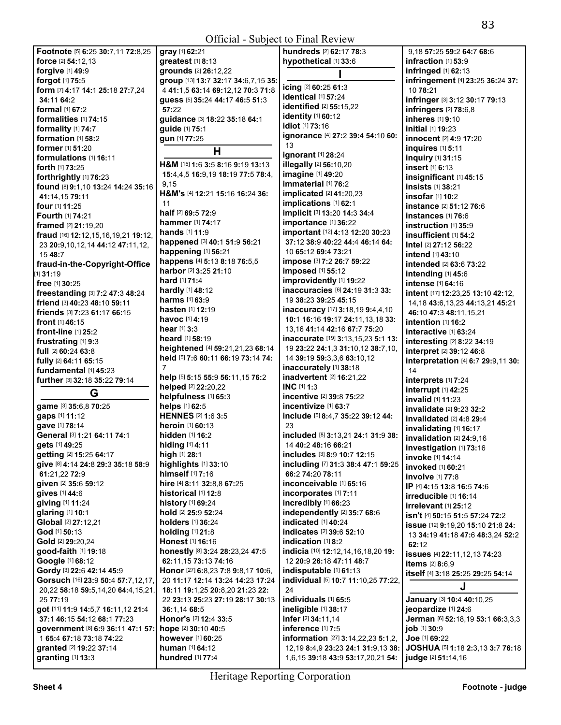|                                        | VIII                                |                                                  |                                        |
|----------------------------------------|-------------------------------------|--------------------------------------------------|----------------------------------------|
| Footnote [5] 6:25 30:7,11 72:8,25      | gray [1] 62:21                      | hundreds [2] 62:17 78:3                          | 9,18 57:25 59:2 64:7 68:6              |
| force [2] 54:12,13                     | greatest [1] 8:13                   | hypothetical [1] 33:6                            | infraction [1] 53:9                    |
| forgive [1] 49:9                       | grounds [2] 26:12,22                |                                                  | infringed [1] 62:13                    |
| forgot [1] 75:5                        | group [13] 13:7 32:17 34:6,7,15 35: |                                                  | infringement [4] 23:25 36:24 37:       |
| form [7] 4:17 14:1 25:18 27:7,24       | 4 41:1,5 63:14 69:12,12 70:3 71:8   | icing [2] 60:25 61:3                             | 10 78:21                               |
| 34:11 64:2                             | quess [5] 35:24 44:17 46:5 51:3     | identical [1] 57:24                              | infringer [3] 3:12 30:17 79:13         |
| formal [1] 67:2                        | 57:22                               | <b>identified</b> [2] 55:15,22                   | infringers [2] 78:6,8                  |
| formalities [1] 74:15                  | guidance [3] 18:22 35:18 64:1       | <b>identity</b> [1] 60:12                        | inheres [1] 9:10                       |
| formality [1] 74:7                     | guide [1] 75:1                      | idiot [1] 73:16                                  | initial [1] 19:23                      |
| formation [1] 58:2                     | gun [1] 77:25                       | ignorance [4] 27:2 39:4 54:10 60:                | innocent [2] 4:9 17:20                 |
| former [1] 51:20                       |                                     | 13                                               | inquires [1] 5:11                      |
| formulations [1] 16:11                 | H                                   | ignorant [1] 28:24                               |                                        |
| forth [1] 73:25                        | H&M [15] 1:6 3:5 8:16 9:19 13:13    | <b>illegally</b> [2] 56:10,20                    | <b>inquiry</b> [1] 31:15               |
|                                        | 15:4,4,5 16:9,19 18:19 77:5 78:4,   | imagine [1] 49:20                                | insert [1] 6:13                        |
| forthrightly [1] 76:23                 | 9,15                                | immaterial [1] 76:2                              | insignificant [1] 45:15                |
| found [8] 9:1,10 13:24 14:24 35:16     | H&M's [4] 12:21 15:16 16:24 36:     | implicated [2] 41:20,23                          | insists [1] 38:21                      |
| 41:14,15 79:11                         | 11                                  | implications [1] 62:1                            | insofar [1] 10:2                       |
| four [1] 11:25                         |                                     |                                                  | <b>instance</b> [2] 51:12 76:6         |
| Fourth [1] 74:21                       | half [2] 69:5 72:9                  | implicit [3] 13:20 14:3 34:4                     | instances $[1]$ 76:6                   |
| framed [2] 21:19,20                    | <b>hammer</b> [1] <b>74:17</b>      | importance [1] 36:22                             | $instructor$ [1] 35:9                  |
| fraud [16] 12:12,15,16,19,21 19:12,    | <b>hands</b> [1] 11:9               | important [12] 4:13 12:20 30:23                  | insufficient [1] 54:2                  |
| 23 20:9, 10, 12, 14 44: 12 47: 11, 12, | happened [3] 40:1 51:9 56:21        | 37:12 38:9 40:22 44:4 46:14 64:                  | <b>Intel</b> [2] 27:12 56:22           |
| 15 48:7                                | happening [1] 56:21                 | 10 65:12 69:4 73:21                              | <b>intend</b> [1] 43:10                |
| fraud-in-the-Copyright-Office          | happens [4] 5:13 8:18 76:5,5        | impose [3] 7:2 26:7 59:22                        | intended [2] 63:6 73:22                |
| [1] 31:19                              | harbor [2] 3:25 21:10               | <b>imposed</b> [1] 55:12                         | intending [1] 45:6                     |
| free [1] 30:25                         | <b>hard</b> [1] <b>71:4</b>         | improvidently [1] 19:22                          | <b>intense</b> [1] 64:16               |
| freestanding [3] 7:2 47:3 48:24        | <b>hardly</b> $[1]$ 48:12           | inaccuracies [6] 24:19 31:3 33:                  | intent [17] 12:23,25 13:10 42:12,      |
| friend [3] 40:23 48:10 59:11           | <b>harms</b> $[1]$ 63:9             | 19 38:23 39:25 45:15                             | 14, 18 43: 6, 13, 23 44: 13, 21 45: 21 |
| friends [3] 7:23 61:17 66:15           | <b>hasten</b> [1] <b>12:19</b>      | inaccuracy [17] 3:18,19 9:4,4,10                 | 46:10 47:3 48:11,15,21                 |
| front [1] 46:15                        | havoc [1] 4:19                      | 10:1 16:16 19:17 24:11,13,18 33:                 | intention [1] 16:2                     |
| front-line $[1]$ 25:2                  | <b>hear</b> $[1]$ 3:3               | 13,16 41:14 42:16 67:7 75:20                     | interactive [1] 63:24                  |
| frustrating [1] 9:3                    | <b>heard</b> [1] <b>58:19</b>       | inaccurate [19] 3:13,15,23 5:1 13:               | interesting [2] 8:22 34:19             |
|                                        | heightened [4] 59:21,21,23 68:14    | 19 23:22 24:1,3 31:10,12 38:7,10,                |                                        |
| <b>full</b> [2] <b>60:24 63:8</b>      | held [5] 7:6 60:11 66:19 73:14 74:  | 14 39:19 59:3,3,6 63:10,12                       | interpret [2] 39:12 46:8               |
| fully [2] 64:11 65:15                  | 7                                   | inaccurately [1] 38:18                           | interpretation [4] 6:7 29:9,11 30:     |
| fundamental [1] 45:23                  | help [5] 5:15 55:9 56:11,15 76:2    | inadvertent [2] 16:21,22                         | 14                                     |
| further [3] 32:18 35:22 79:14          | helped [2] 22:20,22                 | INC [1] 1:3                                      | interprets [1] 7:24                    |
| G                                      | helpfulness [1] 65:3                | incentive [2] 39:8 75:22                         | interrupt [1] 42:25                    |
| game [3] 35:6,8 70:25                  | helps [1] 62:5                      | incentivize [1] 63:7                             | invalid [1] 11:23                      |
| gaps [1] 11:12                         | <b>HENNES</b> [2] 1:6 3:5           | include [5] 8:4,7 35:22 39:12 44:                | invalidate [2] 9:23 32:2               |
| gave [1] 78:14                         | heroin [1] 60:13                    | 23                                               | invalidated [2] 4:8 29:4               |
| General [3] 1:21 64:11 74:1            | hidden [1] 16:2                     | included [8] 3:13,21 24:1 31:9 38:               | invalidating [1] 16:17                 |
| gets [1] 49:25                         | <b>hiding</b> [1] <b>4:11</b>       | 14 40:2 48:16 66:21                              | invalidation [2] 24:9,16               |
| getting [2] 15:25 64:17                | high [1] 28:1                       | includes [3] 8:9 10:7 12:15                      | investigation [1] 73:16                |
| give [8] 4:14 24:8 29:3 35:18 58:9     | highlights [1] 33:10                | including [7] 31:3 38:4 47:1 59:25               | invoke [1] 14:14                       |
| 61:21,22 72:9                          | himself [1] 7:16                    | 66:2 74:20 78:11                                 | invoked [1] 60:21                      |
|                                        |                                     | inconceivable [1] 65:16                          | <b>involve</b> [1] 77:8                |
| given [2] 35:6 59:12                   | hire [4] 8:11 32:8,8 67:25          | incorporates [1] 7:11                            | IP [4] 4:15 13:8 16:5 74:6             |
| gives [1] 44:6                         | historical [1] 12:8                 |                                                  | irreducible [1] 16:14                  |
| giving [1] 11:24                       | <b>history</b> [1] 69:24            | incredibly [1] 66:23                             | $irrelevant$ $[1]$ $25:12$             |
| glaring [1] 10:1                       | hold [2] 25:9 52:24                 | independently [2] 35:7 68:6                      | isn't [4] 50:15 51:5 57:24 72:2        |
| Global [2] 27:12,21                    | holders [1] 36:24                   | indicated [1] 40:24                              | issue [12] 9:19,20 15:10 21:8 24:      |
| God [1] 50:13                          | holding [1] 21:8                    | indicates [2] 39:6 52:10                         | 13 34:19 41:18 47:6 48:3,24 52:2       |
| Gold [2] 29:20,24                      | Honest [1] 16:16                    | indication [1] 8:2                               | 62:12                                  |
| good-faith [1] 19:18                   | honestly [8] 3:24 28:23,24 47:5     | indicia [10] 12:12,14,16,18,20 19:               | issues [4] 22:11,12,13 74:23           |
| Google [1] 68:12                       | 62:11,15 73:13 74:16                | 12 20:9 26:18 47:11 48:7                         | <b>items</b> [2] 8:6,9                 |
| Gordy [3] 22:6 42:14 45:9              | Honor [27] 6:8,23 7:8 9:8,17 10:6,  | indisputable [1] 61:13                           | itself [4] 3:18 25:25 29:25 54:14      |
| Gorsuch [16] 23:9 50:4 57:7,12,17,     | 20 11:17 12:14 13:24 14:23 17:24    | individual [5] 10:7 11:10,25 77:22,              |                                        |
| 20,22 58:18 59:5,14,20 64:4,15,21,     | 18:11 19:1,25 20:8,20 21:23 22:     | 24                                               | J                                      |
| 25 77:19                               | 22 23:13 25:23 27:19 28:17 30:13    | individuals [1] 65:5                             | January [3] 10:4 40:10,25              |
| got [11] 11:9 14:5,7 16:11,12 21:4     | 36:1,14 68:5                        | ineligible [1] 38:17                             | jeopardize [1] 24:6                    |
| 37:1 46:15 54:12 68:1 77:23            | Honor's [2] 12:4 33:5               | infer [2] 34:11,14                               | Jerman [6] 52:18,19 53:1 66:3,3,3      |
| government [8] 6:9 36:11 47:1 57:      | hope [2] 30:10 40:5                 | inference [1] 7:5                                | job [1] 30:9                           |
| 1 65:4 67:18 73:18 74:22               | <b>however</b> [1] 60:25            | <b>information</b> [27] <b>3:14,22,23 5:1,2,</b> | Joe [1] 69:22                          |
| granted [2] 19:22 37:14                | <b>human</b> [1] <b>64:12</b>       | 12, 19 8: 4, 9 23: 23 24: 1 31: 9, 13 38:        | JOSHUA [5] 1:18 2:3,13 3:7 76:18       |
| granting [1] 13:3                      | hundred [1] 77:4                    | 1,6,15 39:18 43:9 53:17,20,21 54:                | judge [2] 51:14,16                     |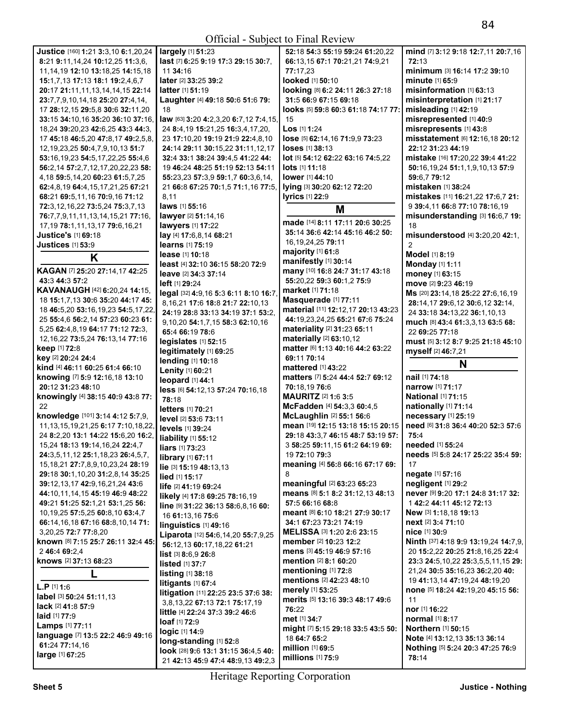| Justice [160] 1:21 3:3,10 6:1,20,24         | largely [1] 51:23                                                        | 52:18 54:3 55:19 59:24 61:20,22          | mind [7] 3:12 9:18 12:7,11 20:7,16                 |
|---------------------------------------------|--------------------------------------------------------------------------|------------------------------------------|----------------------------------------------------|
| 8:21 9:11,14,24 10:12,25 11:3,6,            | last [7] 6:25 9:19 17:3 29:15 30:7,                                      | 66:13,15 67:1 70:21,21 74:9,21           | 72:13                                              |
| 11, 14, 19 12: 10 13: 18, 25 14: 15, 18     | 11 34:16                                                                 | 77:17,23                                 | minimum [3] 16:14 17:2 39:10                       |
| 15:1,7,13 17:13 18:1 19:2,4,6,7             | later [2] 33:25 39:2                                                     | looked [1] 50:10                         | <b>minute</b> [1] 65:9                             |
| 20:17 21:11.11.13.14.14.15 22:14            | latter [1] 51:19                                                         |                                          | misinformation [1] 63:13                           |
|                                             |                                                                          | looking [8] 6:2 24:11 26:3 27:18         |                                                    |
| 23:7,7,9,10,14,18 25:20 27:4,14,            | Laughter [4] 49:18 50:6 51:6 79:                                         | 31:5 66:9 67:15 69:18                    | misinterpretation [1] 21:17                        |
| 17 28:12.15 29:5.8 30:6 32:11.20            | 18                                                                       | looks [5] 59:8 60:3 61:18 74:17 77:      | misleading [1] 42:19                               |
| 33:15 34:10,16 35:20 36:10 37:16,           | law [63] 3:20 4:2,3,20 6:7,12 7:4,15,                                    | 15                                       | misrepresented [1] 40:9                            |
| 18,24 39:20,23 42:6,25 43:3 44:3,           | 24 8:4,19 15:21,25 16:3,4,17,20,                                         | Los [1] 1:24                             | misrepresents [1] 43:8                             |
| 17 45:18 46:5,20 47:8,17 49:2,5,8,          | 23 17:10.20 19:19 21:9 22:4.8.10                                         | lose [5] 62:14,16 71:9,9 73:23           | misstatement [6] 12:16,18 20:12                    |
| 12, 19, 23, 25 50: 4, 7, 9, 10, 13 51: 7    | 24:14 29:11 30:15,22 31:11,12,17                                         | <b>loses</b> [1] 38:13                   | 22:12 31:23 44:19                                  |
|                                             |                                                                          |                                          |                                                    |
| 53:16,19,23 54:5,17,22,25 55:4,6            | 32:4 33:1 38:24 39:4,5 41:22 44:                                         | lot [5] 54:12 62:22 63:16 74:5,22        | mistake [16] 17:20,22 39:4 41:22                   |
| 56:2,14 57:2,7,12,17,20,22,23 58:           | 19 46:24 48:25 51:19 52:13 54:11                                         | <b>lots</b> $[1]$ <b>11:18</b>           | 50:16,19,24 51:1,1,9,10,13 57:9                    |
| 4, 18 59: 5, 14, 20 60: 23 61: 5, 7, 25     | 55:23,23 57:3,9 59:1,7 60:3,6,14,                                        | lower [1] 44:10                          | 59:6,7 79:12                                       |
| 62:4,8,19 64:4,15,17,21,25 67:21            | 21 66:8 67:25 70:1,5 71:1,16 77:5,                                       | lying [3] 30:20 62:12 72:20              | mistaken [1] 38:24                                 |
| 68:21 69:5,11,16 70:9,16 71:12              | 8,11                                                                     | <b>lyrics</b> [1] 22:9                   | mistakes [11] 16:21,22 17:6,7 21:                  |
| 72:3,12,16,22 73:5,24 75:3,7,13             | laws [1] 55:16                                                           |                                          | 9 39:4,11 66:8 77:10 78:16,19                      |
| 76:7,7,9,11,11,13,14,15,21 77:16,           | lawyer [2] 51:14,16                                                      | M                                        | misunderstanding [3] 16:6,7 19:                    |
|                                             | <b>lawyers</b> [1] 17:22                                                 | made [14] 8:11 17:11 20:6 30:25          | 18                                                 |
| 17, 19 78: 1, 11, 13, 17 79: 6, 16, 21      |                                                                          | 35:14 36:6 42:14 45:16 46:2 50:          |                                                    |
| <b>Justice's [1] 69:18</b>                  | lay [4] 17:6,8,14 68:21                                                  | 16, 19, 24, 25 79: 11                    | misunderstood [4] 3:20,20 42:1,                    |
| <b>Justices</b> [1] 53:9                    | learns [1] 75:19                                                         |                                          |                                                    |
| K                                           | lease [1] 10:18                                                          | majority [1] 61:8                        | Model [1] 8:19                                     |
|                                             | least [4] 32:10 36:15 58:20 72:9                                         | manifestly [1] 30:14                     | Monday [1] 1:11                                    |
| KAGAN [7] 25:20 27:14,17 42:25              | leave [2] 34:3 37:14                                                     | many [10] 16:8 24:7 31:17 43:18          | money [1] 63:15                                    |
| 43:3 44:3 57:2                              | left [1] 29:24                                                           | 55:20,22 59:3 60:1,2 75:9                | move [2] 9:23 46:19                                |
| KAVANAUGH [42] 6:20,24 14:15,               | legal [32] 4:9,16 5:3 6:11 8:10 16:7                                     | market [1] 71:18                         | Ms [20] 23:14,18 25:22 27:6,16,19                  |
| 18 15:1,7,13 30:6 35:20 44:17 45:           | 8, 16, 21 17: 6 18: 8 21: 7 22: 10, 13                                   | Masquerade [1] 77:11                     | 28:14.17 29:6.12 30:6.12 32:14.                    |
| 18 46:5,20 53:16,19,23 54:5,17,22,          |                                                                          | material [11] 12:12,17 20:13 43:23       |                                                    |
| 25 55:4,6 56:2,14 57:23 60:23 61:           | 24:19 28:8 33:13 34:19 37:1 53:2.                                        | 44:19,23,24,25 65:21 67:6 75:24          | 24 33:18 34:13,22 36:1,10,13                       |
| 5,25 62:4,8,19 64:17 71:12 72:3,            | 9,10,20 54:1,7,15 58:3 62:10,16                                          | materiality [2] 31:23 65:11              | much [8] 43:4 61:3,3,13 63:5 68:                   |
|                                             | 65:4 66:19 78:6                                                          |                                          | 22 69:25 77:18                                     |
| 12, 16, 22 73: 5, 24 76: 13, 14 77: 16      | legislates [1] 52:15                                                     | materially [2] 63:10,12                  | must [5] 3:12 8:7 9:25 21:18 45:10                 |
| keep [1] 72:8                               | legitimately [1] 69:25                                                   | matter [6] 1:13 40:16 44:2 63:22         | myself [2] 46:7,21                                 |
| key [2] 20:24 24:4                          | lending [1] 10:18                                                        | 69:11 70:14                              | N                                                  |
| kind [4] 46:11 60:25 61:4 66:10             | Lenity [1] 60:21                                                         | mattered [1] 43:22                       |                                                    |
| knowing [7] 5:9 12:16,18 13:10              | leopard [1] 44:1                                                         | matters [7] 5:24 44:4 52:7 69:12         | nail [1] 74:18                                     |
| 20:12 31:23 48:10                           | less [6] 54:12,13 57:24 70:16,18                                         | 70:18,19 76:6                            | <b>narrow</b> [1] 71:17                            |
| knowingly [4] 38:15 40:9 43:8 77:           | 78:18                                                                    | <b>MAURITZ</b> [2] 1:6 3:5               | <b>National [1] 71:15</b>                          |
| 22                                          |                                                                          | McFadden [4] 54:3,3 60:4,5               | nationally [1] 71:14                               |
| knowledge [101] 3:14 4:12 5:7,9,            | letters [1] 70:21                                                        | McLaughlin [2] 55:1 56:6                 | necessary [1] 25:19                                |
| 11, 13, 15, 19, 21, 25 6: 17 7: 10, 18, 22, | level [2] 53:6 73:11                                                     | mean [19] 12:15 13:18 15:15 20:15        | need [6] 31:8 36:4 40:20 52:3 57:6                 |
|                                             | levels [1] 39:24                                                         |                                          |                                                    |
| 24 8:2,20 13:1 14:22 15:6,20 16:2,          | liability [1] 55:12                                                      | 29:18 43:3.7 46:15 48:7 53:19 57:        | 75:4                                               |
| 15,24 18:13 19:14,16,24 22:4,7              | liars [1] 73:23                                                          | 3 58:25 59:11.15 61:2 64:19 69:          | needed [1] 55:24                                   |
| 24:3,5,11,12 25:1,18,23 26:4,5,7,           | library [1] 67:11                                                        | 19 <b>72:</b> 10 <b>79:</b> 3            | needs [5] 5:8 24:17 25:22 35:4 59:                 |
| 15, 18, 21 27: 7, 8, 9, 10, 23, 24 28: 19   | lie [3] 15:19 48:13,13                                                   | meaning [4] 56:8 66:16 67:17 69:         | 17                                                 |
| 29:18 30:1,10,20 31:2,8,14 35:25            | lied [1] 15:17                                                           | 8                                        | negate [1] 57:16                                   |
| 39:12.13.17 42:9.16.21.24 43:6              | life [2] 41:19 69:24                                                     | <b>meaningful</b> [2] <b>63:23 65:23</b> | negligent [1] 29:2                                 |
| 44:10.11.14.15 45:19 46:9 48:22             |                                                                          | means [8] 5:1 8:2 31:12,13 48:13         | never [9] 9:20 17:1 24:8 31:17 32:                 |
| 49:21 51:25 52:1,21 53:1,25 56:             | likely [4] 17:8 69:25 78:16,19                                           | 57:5 66:16 68:8                          | 1 42:2 44:11 45:12 72:13                           |
|                                             | line [9] 31:22 36:13 58:6,8,16 60:                                       |                                          |                                                    |
| 10, 19, 25 57: 5, 25 60: 8, 10 63: 4, 7     | 16 61:13.16 75:6                                                         | meant [8] 6:10 18:21 27:9 30:17          | New [3] 1:18,18 19:13                              |
| 66:14,16,18 67:16 68:8,10,14 71:            | linguistics $[1]$ 49:16                                                  | 34:1 67:23 73:21 74:19                   | next [2] 3:4 71:10                                 |
| 3, 20, 25 72: 77: 8, 20                     | Liparota [12] 54:6,14,20 55:7,9,25                                       | MELISSA [3] 1:20 2:6 23:15               | nice [1] 30:9                                      |
| known [8] 7:15 25:7 26:11 32:4 45:          | 56:12,13 60:17,18,22 61:21                                               | member [2] 10:23 12:2                    | <b>Ninth</b> [37] <b>4:18 9:9 13:19,24 14:7,9,</b> |
| 2 46:4 69:2.4                               | list [3] 8:6,9 26:8                                                      | mens [3] 45:19 46:9 57:16                | 20 15:2,22 20:25 21:8,16,25 22:4                   |
| knows [2] 37:13 68:23                       | listed [1] 37:7                                                          | <b>mention</b> $[2]$ 8:1 60:20           | 23:3 24:5, 10, 22 25:3, 5, 5, 11, 15 29:           |
|                                             |                                                                          | mentioning [1] 72:8                      | 21,24 30:5 35:16,23 36:2,20 40:                    |
|                                             | listing $[1]$ 38:18                                                      | mentions [2] 42:23 48:10                 | 19 41:13,14 47:19,24 48:19,20                      |
| $L.P$ [1] 1:6                               | litigants $[1]$ 67:4                                                     | merely [1] 53:25                         | none [5] 18:24 42:19,20 45:15 56:                  |
| label [3] 50:24 51:11,13                    | litigation [11] 22:25 23:5 37:6 38:                                      |                                          |                                                    |
|                                             |                                                                          |                                          |                                                    |
|                                             | 3,8,13,22 67:13 72:1 75:17,19                                            | merits [5] 13:16 39:3 48:17 49:6         | 11                                                 |
| lack [2] 41:8 57:9                          | little [4] 22:24 37:3 39:2 46:6                                          | 76:22                                    | nor [1] 16:22                                      |
| laid [1] 77:9                               | loaf [1] 72:9                                                            | met [1] 34:7                             | normal [1] 8:17                                    |
| Lamps [1] 77:11                             |                                                                          | might [7] 5:15 29:18 33:5 43:5 50:       | <b>Northern</b> [1] 50:15                          |
| language [7] 13:5 22:2 46:9 49:16           | logic [1] 14:9                                                           | 18 64:7 65:2                             | Note [4] 13:12,13 35:13 36:14                      |
| 61:24 77:14,16                              | long-standing [1] 52:8                                                   | million [1] 69:5                         |                                                    |
| large [1] 67:25                             | look [28] 9:6 13:1 31:15 36:4,5 40:<br>21 42:13 45:9 47:4 48:9,13 49:2,3 | millions [1] 75:9                        | Nothing [5] 5:24 20:3 47:25 76:9<br>78:14          |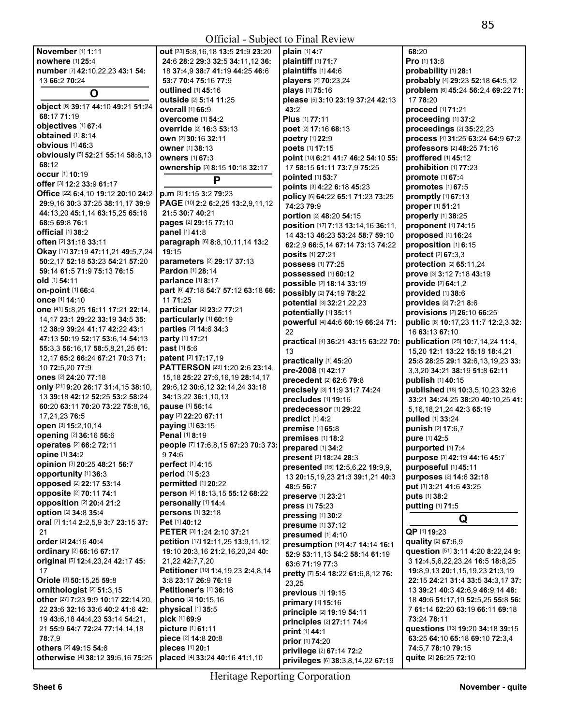| November [1] 1:11                          | out [23] 5:8,16,18 13:5 21:9 23:20     | plain [1] 4:7                               | 68:20                                                              |
|--------------------------------------------|----------------------------------------|---------------------------------------------|--------------------------------------------------------------------|
| nowhere [1] 25:4                           | 24:6 28:2 29:3 32:5 34:11,12 36:       | plaintiff [1] 71:7                          | Pro [1] 13:8                                                       |
| number [7] 42:10,22,23 43:1 54:            | 18 37:4,9 38:7 41:19 44:25 46:6        | plaintiffs [1] 44:6                         | probability [1] 28:1                                               |
| 13 66:2 70:24                              | 53:7 70:4 75:16 77:9                   | players [2] 70:23,24                        | probably [4] 29:23 52:18 64:5,12                                   |
| O                                          | <b>outlined</b> [1] 45:16              | plays [1] 75:16                             | problem [6] 45:24 56:2,4 69:22 71:                                 |
|                                            | outside [2] 5:14 11:25                 | please [5] 3:10 23:19 37:24 42:13           | 17 78:20                                                           |
| object [6] 39:17 44:10 49:21 51:24         | overall [1] 66:9                       | 43:2                                        | proceed [1] 71:21                                                  |
| 68:17 71:19                                | overcome [1] 54:2                      | Plus [1] 77:11                              | proceeding [1] 37:2                                                |
| objectives [1] 67:4                        | override [2] 16:3 53:13                | poet [2] 17:16 68:13                        | proceedings [2] 35:22,23                                           |
| obtained [1] 8:14<br>obvious [1] 46:3      | own [2] 30:16 32:11                    | poetry [1] 22:9                             | process [4] 31:25 63:24 64:9 67:2                                  |
|                                            | owner [1] 38:13                        | poets [1] 17:15                             | professors [2] 48:25 71:16                                         |
| obviously [5] 52:21 55:14 58:8,13<br>68:12 | <b>owners</b> [1] 67:3                 | point [10] 6:21 41:7 46:2 54:10 55:         | proffered [1] 45:12                                                |
| <b>occur</b> [1] 10:19                     | ownership [3] 8:15 10:18 32:17         | 17 58:15 61:11 73:7,9 75:25                 | prohibition [1] 77:23                                              |
| offer [3] 12:2 33:9 61:17                  | P                                      | pointed [1] 53:7                            | promote [1] 67:4                                                   |
| Office [22] 6:4,10 19:12 20:10 24:2        | p.m [3] 1:15 3:2 79:23                 | points [3] 4:22 6:18 45:23                  | promotes [1] 67:5                                                  |
| 29:9,16 30:3 37:25 38:11,17 39:9           | PAGE [10] 2:2 6:2,25 13:2,9,11,12      | policy [6] 64:22 65:1 71:23 73:25           | promptly $[1]$ 67:13                                               |
| 44:13,20 45:1,14 63:15,25 65:16            | 21:5 30:7 40:21                        | 74:23 79:9                                  | proper [1] 51:21                                                   |
| 68:5 69:8 76:1                             | pages [2] 29:15 77:10                  | portion [2] 48:20 54:15                     | properly [1] 38:25                                                 |
| official [1] 38:2                          | panel [1] 41:8                         | position [17] 7:13 13:14,16 36:11,          | proponent [1] 74:15                                                |
| <b>often</b> [2] 31:18 33:11               | paragraph [6] 8:8,10,11,14 13:2        | 14 43:13 46:23 53:24 58:7 59:10             | proposed [1] 16:24                                                 |
| Okay [17] 37:19 47:11,21 49:5,7,24         | 19:15                                  | 62:2,9 66:5,14 67:14 73:13 74:22            | proposition [1] 6:15                                               |
| 50:2,17 52:18 53:23 54:21 57:20            | parameters [2] 29:17 37:13             | posits [1] 27:21                            | protect [2] 67:3,3                                                 |
| 59:14 61:5 71:9 75:13 76:15                | Pardon [1] 28:14                       | possess [1] 77:25                           | protection [2] 65:11,24                                            |
| old [1] 54:11                              | parlance [1] 8:17                      | <b>possessed</b> [1] 60:12                  | prove [3] 3:12 7:18 43:19                                          |
| on-point [1] 66:4                          | part [6] 47:18 54:7 57:12 63:18 66:    | possible [2] 18:14 33:19                    | provide [2] 64:1,2                                                 |
| once [1] 14:10                             | 11 71:25                               | possibly [2] 74:19 78:22                    | provided [1] 38:6                                                  |
| one [41] 5:8,25 16:11 17:21 22:14,         | particular [2] 23:2 77:21              | potential [3] 32:21,22,23                   | provides [2] 7:21 8:6                                              |
| 14, 17 23:1 29:22 33:19 34:5 35:           | particularly [1] 60:19                 | potentially [1] 35:11                       | provisions [2] 26:10 66:25                                         |
| 12 38:9 39:24 41:17 42:22 43:1             | parties [2] 14:6 34:3                  | powerful [4] 44:6 60:19 66:24 71:<br>22     | public [8] 10:17,23 11:7 12:2,3 32:                                |
| 47:13 50:19 52:17 53:6,14 54:13            | party [1] 17:21                        |                                             | 16 63:13 67:10                                                     |
| 55:3,3 56:16,17 58:5,8,21,25 61:           | past [1] 5:6                           | practical [4] 36:21 43:15 63:22 70:<br>13   | publication [25] 10:7,14,24 11:4,                                  |
| 12,17 65:2 66:24 67:21 70:3 71:            | patent [2] 17:17,19                    |                                             | 15,20 12:1 13:22 15:18 18:4,21                                     |
| 10 72:5,20 77:9                            | PATTERSON [23] 1:20 2:6 23:14,         | practically [1] 45:20<br>pre-2008 [1] 42:17 | 25:8 28:25 29:1 32:6,13,19,23 33:<br>3,3,20 34:21 38:19 51:8 62:11 |
| ones [2] 24:20 77:18                       | 15, 18 25: 22 27: 6, 16, 19 28: 14, 17 | precedent [2] 62:6 79:8                     | publish [1] 40:15                                                  |
| only [21] 9:20 26:17 31:4,15 38:10,        | 29:6,12 30:6,12 32:14,24 33:18         | precisely [3] 11:9 31:7 74:24               | published [18] 10:3,5,10,23 32:6                                   |
| 13 39:18 42:12 52:25 53:2 58:24            | 34:13,22 36:1,10,13                    | precludes [1] 19:16                         | 33:21 34:24,25 38:20 40:10,25 41:                                  |
| 60:20 63:11 70:20 73:22 75:8.16.           | pause [1] 56:14                        | predecessor [1] 29:22                       | 5, 16, 18, 21, 24 42: 3 65: 19                                     |
| 17,21,23 76:5                              | pay [2] 22:20 67:11                    | predict [1] 4:2                             | pulled [1] 33:24                                                   |
| open [3] 15:2,10,14                        | paying [1] 63:15                       | premise [1] 65:8                            | punish [2] 17:6,7                                                  |
| opening [2] 36:16 56:6                     | Penal [1] 8:19                         | premises [1] 18:2                           | pure [1] 42:5                                                      |
| operates [2] 66:2 72:11                    | people [7] 17:6,8,15 67:23 70:3 73:    | prepared [1] 34:2                           | purported [1] 7:4                                                  |
| <b>opine</b> [1] 34:2                      | 9 74:6                                 | present [2] 18:24 28:3                      | purpose [3] 42:19 44:16 45:7                                       |
| opinion [3] 20:25 48:21 56:7               | perfect [1] 4:15                       | presented [15] 12:5,6,22 19:9,9,            | purposeful [1] 45:11                                               |
| opportunity [1] 36:3                       | period [1] 5:23                        | 13 20:15, 19, 23 21:3 39:1, 21 40:3         | purposes [2] 14:6 32:18                                            |
| opposed [2] 22:17 53:14                    | permitted [1] 20:22                    | 48:5 56:7                                   | put [3] 3:21 41:6 43:25                                            |
| opposite [2] 70:11 74:1                    | person [4] 18:13,15 55:12 68:22        | preserve [1] 23:21                          | puts [1] 38:2                                                      |
| <b>opposition</b> [2] 20:4 21:2            | personally [1] 14:4                    | press [1] 75:23                             | putting [1] 71:5                                                   |
| option [2] 34:8 35:4                       | persons [1] 32:18                      | pressing [1] 30:2                           |                                                                    |
| oral [7] 1:14 2:2,5,9 3:7 23:15 37:        | Pet [1] 40:12                          | presume [1] 37:12                           | Q                                                                  |
| 21                                         | PETER [3] 1:24 2:10 37:21              | presumed [1] 4:10                           | QP [1] 19:23                                                       |
| order [2] 24:16 40:4                       | petition [17] 12:11,25 13:9,11,12      | presumption [12] 4:7 14:14 16:1             | quality [2] 67:6,9                                                 |
| ordinary [2] 66:16 67:17                   | 19:10 20:3,16 21:2,16,20,24 40:        | 52:9 53:11,13 54:2 58:14 61:19              | question [51] 3:11 4:20 8:22,24 9:                                 |
| original [5] 12:4,23,24 42:17 45:          | 21,22 42:7,7,20                        | 63:6 71:19 77:3                             | 3 12:4,5,6,22,23,24 16:5 18:8,25                                   |
| 17                                         | Petitioner [10] 1:4,19,23 2:4,8,14     | pretty [7] 5:4 18:22 61:6,8,12 76:          | 19:8,9,13 20:1,15,19,23 21:3,19                                    |
| Oriole [3] 50:15,25 59:8                   | 3:8 23:17 26:9 76:19                   | 23,25                                       | 22:15 24:21 31:4 33:5 34:3,17 37:                                  |
| ornithologist <sup>[2]</sup> 51:3,15       | <b>Petitioner's [1] 36:16</b>          | previous [1] 19:15                          | 13 39:21 40:3 42:6,9 46:9,14 48:                                   |
| other [27] 7:23 9:9 10:17 22:14,20,        | phono [2] 10:15,16                     | primary [1] 15:16                           | 18 49:6 51:17,19 52:5,25 55:8 56:                                  |
| 22 23:6 32:16 33:6 40:2 41:6 42:           | physical [1] 35:5                      | principle [2] 19:19 54:11                   | 7 61:14 62:20 63:19 66:11 69:18                                    |
| 19 43:6,18 44:4,23 53:14 54:21,            | pick [1] 69:9                          | principles [2] 27:11 74:4                   | 73:24 78:11                                                        |
| 21 55:9 64:7 72:24 77:14,14,18             | picture [1] 61:11                      | print [1] 44:1                              | questions [13] 19:20 34:18 39:15                                   |
| 78:7,9                                     | piece [2] 14:8 20:8                    | prior [1] 74:20                             | 63:25 64:10 65:18 69:10 72:3,4                                     |
| others [2] 49:15 54:6                      | pieces [1] 20:1                        | privilege [2] 67:14 72:2                    | 74:5,7 78:10 79:15                                                 |
| otherwise [4] 38:12 39:6,16 75:25          | placed [4] 33:24 40:16 41:1,10         | privileges [6] 38:3,8,14,22 67:19           | quite [2] 26:25 72:10                                              |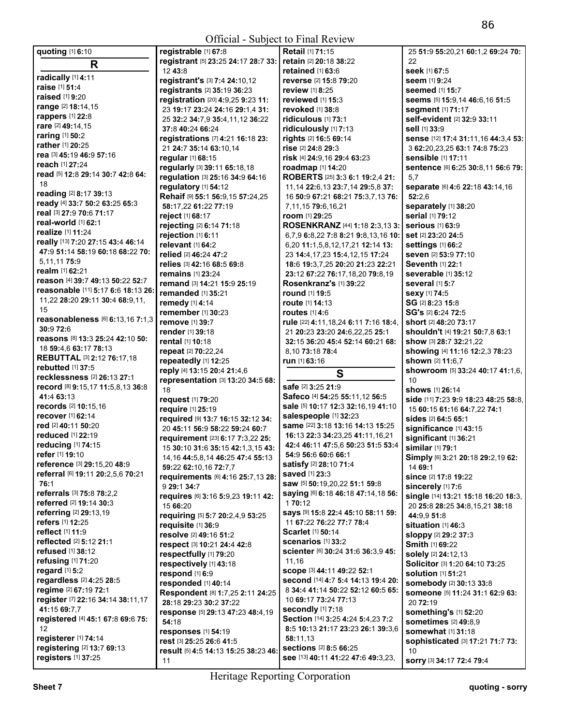| quoting [1] 6:10                                  | registrable [1] 67:8                    | <b>Retail [1] 71:15</b>                                      | 25 51:9 55:20,21 60:1,2 69:24 70:       |
|---------------------------------------------------|-----------------------------------------|--------------------------------------------------------------|-----------------------------------------|
| R                                                 | registrant [5] 23:25 24:17 28:7 33:     | retain [2] 20:18 38:22                                       | 22                                      |
|                                                   | 12 43:8                                 | retained $[1]$ 63:6                                          | seek [1] 67:5                           |
| radically [1] 4:11                                | registrant's [3] 7:4 24:10,12           | reverse [2] 15:8 79:20                                       | seem [1] 9:24                           |
| raise [1] 51:4                                    |                                         |                                                              |                                         |
| raised [1] 9:20                                   | registrants [2] 35:19 36:23             | <b>review</b> [1] 8:25                                       | <b>seemed</b> [1] <b>15:7</b>           |
|                                                   | registration [20] 4:9,25 9:23 11:       | reviewed $[1]$ 15:3                                          | seems [5] 15:9,14 46:6,16 51:5          |
| range [2] 18:14,15                                | 23 19:17 23:24 24:16 29:1.4 31:         | <b>revoked</b> [1] 38:8                                      | <b>segment</b> [1] 71:17                |
| rappers [1] 22:8                                  | 25 32:2 34:7,9 35:4,11,12 36:22         | ridiculous [1] 73:1                                          | self-evident [2] 32:9 33:11             |
| rare [2] 49:14,15                                 | 37:8 40:24 66:24                        | ridiculously [1] 7:13                                        | <b>sell</b> [1] 33:9                    |
| <b>raring</b> [1] <b>50:2</b>                     | registrations [7] 4:21 16:18 23:        | rights [2] 16:5 69:14                                        | sense [12] 17:4 31:11.16 44:3.4 53:     |
| rather [1] 20:25                                  |                                         |                                                              |                                         |
| rea [3] 45:19 46:9 57:16                          | 21 24:7 35:14 63:10,14                  | rise [2] 24:8 29:3                                           | 3 62:20,23,25 63:1 74:8 75:23           |
|                                                   | regular [1] 68:15                       | risk [4] 24:9,16 29:4 63:23                                  | <b>sensible</b> [1] 17:11               |
| <b>reach</b> [1] 27:24                            | regularly [3] 39:11 65:18,18            | roadmap [1] 14:20                                            | Sentence [6] 6:25 30:8,11 56:6 79:      |
| read [5] 12:8 29:14 30:7 42:8 64:                 | regulation [3] 25:16 34:9 64:16         | ROBERTS [25] 3:3 6:1 19:2,4 21:                              | 5,7                                     |
| 18                                                | regulatory [1] 54:12                    | 11, 14 22: 6, 13 23: 7, 14 29: 5, 8 37:                      | separate [6] 4:6 22:18 43:14,16         |
| reading [2] 8:17 39:13                            | Rehaif [9] 55:1 56:9,15 57:24,25        | 16 50:9 67:21 68:21 75:3,7,13 76:                            | 52:2.6                                  |
| ready [4] 33:7 50:2 63:25 65:3                    |                                         |                                                              |                                         |
| real [3] 27:9 70:6 71:17                          | 58:17,22 61:22 77:19                    | 7,11,15 79:6,16,21                                           | separately [1] 38:20                    |
|                                                   | reject [1] 68:17                        | room [1] 29:25                                               | serial [1] 79:12                        |
| real-world [1] 62:1                               | rejecting [2] 6:14 71:18                | <b>ROSENKRANZ</b> [44] <b>1:18 2:3,13 3:</b>                 | <b>serious</b> [1] 63:9                 |
| realize [1] 11:24                                 | rejection [1] 6:11                      | 6,7,9 6:8,22 7:8 8:21 9:8,13,16 10:                          | set [2] 23:20 24:5                      |
| really [13] 7:20 27:15 43:4 46:14                 | relevant [1] 64:2                       | 6.20 11:1.5.8.12.17.21 12:14 13:                             | settings [1] 66:2                       |
| 47:9 51:14 58:19 60:18 68:22 70:                  | relied [2] 46:24 47:2                   |                                                              | seven [2] 53:9 77:10                    |
| 5,11,11 75:9                                      |                                         | 23 14:4, 17, 23 15:4, 12, 15 17: 24                          |                                         |
| <b>realm</b> [1] <b>62:21</b>                     | relies [3] 42:16 68:5 69:8              | 18:6 19:3,7,25 20:20 21:23 22:21                             | <b>Seventh [1] 22:1</b>                 |
|                                                   | remains [1] 23:24                       | 23:12 67:22 76:17,18,20 79:8,19                              | severable [1] 35:12                     |
| reason [4] 39:7 49:13 50:22 52:7                  | remand [3] 14:21 15:9 25:19             | <b>Rosenkranz's [1] 39:22</b>                                | <b>several</b> [1] 5:7                  |
| reasonable [11] 5:17 6:6 18:13 26:                | <b>remanded</b> [1] 35:21               | <b>round</b> [1] 19:5                                        | Sexy [1] 74:5                           |
| 11,22 28:20 29:11 30:4 68:9,11,                   | remedy [1] 4:14                         | <b>route</b> [1] <b>14:13</b>                                | SG [2] 8:23 15:8                        |
| 15                                                | remember [1] 30:23                      | routes $[1]$ 4:6                                             | SG's [2] 6:24 72:5                      |
| reasonableness [6] 6:13,16 7:1,3                  |                                         |                                                              |                                         |
| 30:9 72:6                                         | <b>remove</b> [1] 39:7                  | rule [22] 4:11,18,24 6:11 7:16 18:4,                         | <b>short</b> [2] 48:20 73:17            |
|                                                   | <b>render</b> [1] <b>39:18</b>          | 21 20:23 23:20 24:6,22,25 25:1                               | shouldn't [4] 19:21 50:7,8 63:1         |
| reasons [8] 13:3 25:24 42:10 50:                  | <b>rental</b> [1] <b>10:18</b>          | 32:15 36:20 45:4 52:14 60:21 68:                             | show [3] 28:7 32:21,22                  |
| 18 59:4,6 63:17 78:13                             |                                         |                                                              |                                         |
|                                                   | repeat [2] 70:22,24                     | 8,10 73:18 78:4                                              |                                         |
| <b>REBUTTAL [3] 2:12 76:17,18</b>                 |                                         |                                                              | showing [4] 11:16 12:2,3 78:23          |
| rebutted [1] 37:5                                 | repeatedly [1] 12:25                    | run [1] 63:16                                                | shown [2] 11:6,7                        |
|                                                   | reply [4] 13:15 20:4 21:4,6             | S                                                            | <b>showroom</b> [5] 33:24 40:17 41:1,6, |
| recklessness [2] 26:13 27:1                       | representation [3] 13:20 34:5 68:       |                                                              | 10                                      |
| record [8] 9:15,17 11:5,8,13 36:8                 | 18                                      | safe [2] 3:25 21:9                                           | <b>shows</b> [1] <b>26:14</b>           |
| 41:4 63:13                                        | request [1] 79:20                       | Safeco [4] 54:25 55:11,12 56:5                               | side [11] 7:23 9:9 18:23 48:25 58:8.    |
| records [2] 10:15,16                              | require [1] 25:19                       | sale [5] 10:17 12:3 32:16,19 41:10                           | 15 60:15 61:16 64:7,22 74:1             |
| recover [1] 62:14                                 |                                         | salespeople [1] 32:23                                        |                                         |
| red [2] 40:11 50:20                               | required [9] 13:7 16:15 32:12 34:       |                                                              | <b>sides</b> [2] <b>64:5 65:1</b>       |
|                                                   | 20 45:11 56:9 58:22 59:24 60:7          | same [22] 3:18 13:16 14:13 15:25                             | significance [1] 43:15                  |
| <b>reduced</b> [1] 22:19                          | requirement [23] 6:17 7:3,22 25:        | 16:13 22:3 34:23,25 41:11,16,21                              | significant [1] 36:21                   |
| reducing [1] 74:15                                | 15 30:10 31:6 35:15 42:1,3,15 43:       | 42:4 46:11 47:5,6 50:23 51:5 53:4                            | similar [1] 79:1                        |
| refer [1] 19:10                                   | 14, 16 44: 5, 8, 14 46: 25 47: 4 55: 13 | 54:9 56:6 60:6 66:1                                          | Simply [6] 3:21 20:18 29:2,19 62:       |
| reference [3] 29:15,20 48:9                       | 59:22 62:10,16 72:7,7                   | satisfy [2] 28:10 71:4                                       | 14 69:1                                 |
| referral [6] 19:11 20:2,5,6 70:21                 |                                         | <b>saved</b> [1] 23:3                                        |                                         |
| 76:1                                              | requirements [6] 4:16 25:7,13 28:       | saw [5] 50:19,20,22 51:1 59:8                                | since [2] 17:8 19:22                    |
| referrals [3] 75:8 78:2,2                         | 9 29:1 34:7                             | Saying [6] 6:18 46:18 47:14,18 56:                           | sincerely [1] 7:6                       |
|                                                   | requires [6] 3:16 5:9,23 19:11 42:      |                                                              | single [14] 13:21 15:18 16:20 18:3,     |
| referred [2] 19:14 30:3                           | 15 66:20                                | 170:12                                                       | 20 25:8 28:25 34:8,15,21 38:18          |
| referring [2] 29:13,19                            | requiring [5] 5:7 20:2,4,9 53:25        | Says [9] 15:8 22:4 45:10 58:11 59:                           | 44:9,9 51:8                             |
| refers [1] 12:25                                  | requisite [1] 36:9                      | 11 67:22 76:22 77:7 78:4                                     | situation [1] 46:3                      |
| reflect [1] 11:9                                  | resolve [2] 49:16 51:2                  | Scarlet [1] 50:14                                            | sloppy [2] 29:2 37:3                    |
| reflected [2] 5:12 21:1                           |                                         | scenarios [1] 33:2                                           |                                         |
| refused [1] 38:12                                 | respect [3] 10:21 24:4 42:8             | Scienter [6] 30:24 31:6 36:3,9 45:                           | <b>Smith [1] 69:22</b>                  |
| refusing [1] 71:20                                | respectfully [1] 79:20                  | 11,16                                                        | solely [2] 24:12,13                     |
|                                                   | respectively [1] 43:18                  |                                                              | Solicitor [3] 1:20 64:10 73:25          |
| regard $[1]$ 5:2                                  | respond [1] 6:9                         | SCOPe [3] 44:11 49:22 52:1                                   | solution [1] 51:21                      |
| regardless [2] 4:25 28:5                          | responded [1] 40:14                     | second [14] 4:7 5:4 14:13 19:4 20:                           | somebody [2] 30:13 33:8                 |
| regime [2] 67:19 72:1                             | Respondent [8] 1:7,25 2:11 24:25        | 8 34:4 41:14 50:22 52:12 60:5 65:                            | Someone [5] 11:24 31:1 62:9 63:         |
| register [7] 22:16 34:14 38:11,17                 |                                         | 10 69:17 73:24 77:13                                         |                                         |
| 41:15 69:7.7                                      | 28:18 29:23 30:2 37:22                  | secondly [1] 7:18                                            | 20 72:19                                |
|                                                   | response [5] 29:13 47:23 48:4,19        |                                                              | something's [1] 52:20                   |
| registered [4] 45:1 67:8 69:6 75:                 | 54:18                                   | Section [14] 3:25 4:24 5:4,23 7:2                            | sometimes [2] 49:8,9                    |
| 12                                                | responses [1] 54:19                     | 8:5 10:13 21:17 23:23 26:1 39:3,6                            | <b>somewhat</b> [1] <b>31:18</b>        |
| registerer [1] 74:14                              | rest [3] 25:25 26:6 41:5                | 58:11,13                                                     | sophisticated [3] 17:21 71:7 73:        |
| registering [2] 13:7 69:13<br>registers [1] 37:25 | result [5] 4:5 14:13 15:25 38:23 46:    | sections [2] 8:5 66:25<br>see [13] 40:11 41:22 47:6 49:3,23, | 10                                      |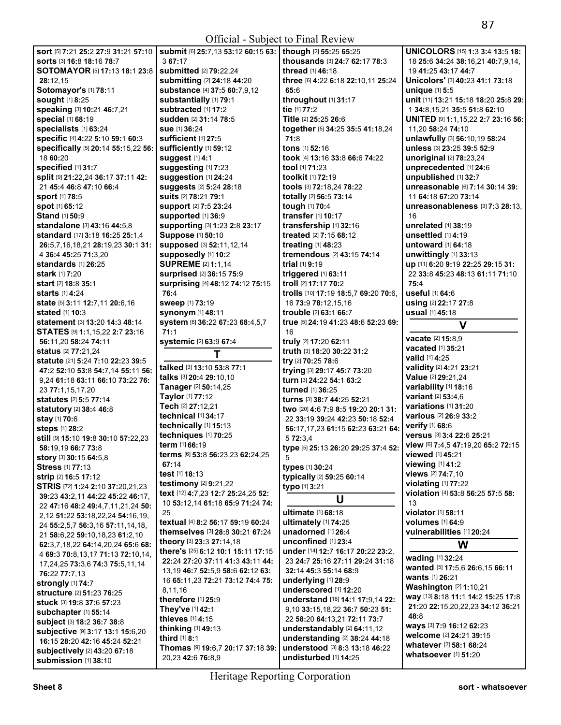| <b>sort</b> [5] 7:21 25:2 27:9 31:21 57:10   | <b>submit</b> [6] 25:7,13 53:12 60:15 63:   though [2] 55:25 65:25 |                                      | <b>UNICOLORS</b> [15] <b>1:3 3:4 13:5 18:</b> |
|----------------------------------------------|--------------------------------------------------------------------|--------------------------------------|-----------------------------------------------|
| <b>sorts</b> [3] <b>16:8 18:16 78:7</b>      | 367:17                                                             | thousands [3] 24:7 62:17 78:3        | 18 25:6 34:24 38:16.21 40:7.9.14.             |
| SOTOMAYOR [5] 17:13 18:1 23:8                | submitted [2] 79:22,24                                             | thread [1] 46:18                     | 19 41:25 43:17 44:7                           |
| 28:12,15                                     | submitting [2] 24:18 44:20                                         | three [6] 4:22 6:18 22:10,11 25:24   | Unicolors' [3] 40:23 41:1 73:18               |
| Sotomayor's [1] 78:11                        | substance [4] 37:5 60:7,9,12                                       | 65:6                                 | unique [1] 5:5                                |
| <b>sought [1] 8:25</b>                       | substantially [1] 79:1                                             | throughout [1] 31:17                 | unit [11] 13:21 15:18 18:20 25:8 29:          |
|                                              |                                                                    | tie [1] 77:2                         |                                               |
| speaking [3] 10:21 46:7,21                   | subtracted [1] 17:2                                                |                                      | 1 34:8,15,21 35:5 51:8 62:10                  |
| special [1] 68:19                            | sudden [2] 31:14 78:5                                              | Title [2] 25:25 26:6                 | UNITED [9] 1:1,15,22 2:7 23:16 56:            |
| specialists [1] 63:24                        | sue [1] 36:24                                                      | together [5] 34:25 35:5 41:18,24     | 11,20 58:24 74:10                             |
| specific [4] 4:22 5:10 59:1 60:3             | sufficient [1] 27:5                                                | 71:8                                 | unlawfully [3] 56:10,19 58:24                 |
| specifically [5] 20:14 55:15,22 56:          | sufficiently [1] 59:12                                             | tons [1] 52:16                       | unless [3] 23:25 39:5 52:9                    |
| 18 60:20                                     | suggest [1] 4:1                                                    | took [4] 13:16 33:8 66:6 74:22       | unoriginal [2] 78:23,24                       |
| specified [1] 31:7                           | suggesting [1] 7:23                                                | tool [1] 71:23                       | unprecedented [1] 24:6                        |
| Split [9] 21:22,24 36:17 37:11 42:           | suggestion [1] 24:24                                               | toolkit [1] 72:19                    | unpublished [1] 32:7                          |
| 21 45:4 46:8 47:10 66:4                      | suggests [2] 5:24 28:18                                            | tools [3] 72:18,24 78:22             | unreasonable [6] 7:14 30:14 39:               |
| <b>sport</b> [1] 78:5                        | suits [2] 78:21 79:1                                               | totally [2] 56:5 73:14               | 11 64:18 67:20 73:14                          |
| spot [1] 65:12                               | <b>support</b> [2] 7:5 23:24                                       | tough [1] 70:4                       | unreasonableness $[3]$ 7:3 28:13,             |
| Stand [1] 50:9                               | supported [1] 36:9                                                 | transfer [1] 10:17                   | 16                                            |
| standalone [3] 43:16 44:5,8                  | supporting [3] 1:23 2:8 23:17                                      | transfership [1] 32:16               | unrelated [1] 38:19                           |
|                                              | Suppose [1] 50:10                                                  |                                      | unsettled [1] 4:19                            |
| standard [17] 3:18 16:25 25:1,4              |                                                                    | treated [2] 7:15 68:12               |                                               |
| 26:5.7.16.18.21 28:19.23 30:1 31:            | supposed [3] 52:11,12,14                                           | treating [1] 48:23                   | <b>untoward</b> [1] 64:18                     |
| 4 36:4 45:25 71:3,20                         | supposedly [1] 10:2                                                | tremendous [2] 43:15 74:14           | unwittingly [1] 33:13                         |
| standards $[1]$ 26:25                        | <b>SUPREME</b> [2] 1:1,14                                          | trial [1] 9:19                       | up [11] 6:20 9:19 22:25 29:15 31:             |
| <b>stark</b> [1] <b>7</b> :20                | surprised [2] 36:15 75:9                                           | triggered [1] 63:11                  | 22 33:8 45:23 48:13 61:11 71:10               |
| <b>start</b> [2] <b>18:8 35:1</b>            | surprising [4] 48:12 74:12 75:15                                   | troll [2] 17:17 70:2                 | 75:4                                          |
| <b>starts</b> [1] <b>4</b> :24               | 76:4                                                               | trolls [10] 17:19 18:5,7 69:20 70:6, | useful [1] 64:6                               |
| state [5] 3:11 12:7,11 20:6,16               | <b>sweep</b> [1] 73:19                                             | 16 73:9 78:12,15,16                  | using [2] 22:17 27:8                          |
| <b>stated</b> [1] <b>10:3</b>                | synonym [1] 48:11                                                  | trouble [2] 63:1 66:7                | usual [1] 45:18                               |
| <b>statement</b> [3] <b>13:20 14:3 48:14</b> | system [6] 36:22 67:23 68:4,5,7                                    | true [5] 24:19 41:23 48:6 52:23 69:  |                                               |
| <b>STATES [9] 1:1,15,22 2:7 23:16</b>        | 71:1                                                               | 16                                   | V                                             |
| 56:11,20 58:24 74:11                         |                                                                    | truly [2] 17:20 62:11                | vacate [2] 15:8,9                             |
|                                              | systemic [2] 63:9 67:4                                             |                                      | <b>vacated</b> [1] 35:21                      |
| <b>status</b> [2] <b>77:21,24</b>            | T                                                                  | truth [3] 18:20 30:22 31:2           | <b>valid</b> [1] <b>4:25</b>                  |
| <b>statute</b> [21] 5:24 7:10 22:23 39:5     | talked [3] 13:10 53:8 77:1                                         | try [2] 70:25 78:6                   | validity [2] 4:21 23:21                       |
| 47:2 52:10 53:8 54:7,14 55:11 56:            | talks [3] 20:4 29:10.10                                            | trying [3] 29:17 45:7 73:20          | Value [2] 29:21,24                            |
| 9,24 61:18 63:11 66:10 73:22 76:             |                                                                    | turn [3] 24:22 54:1 63:2             |                                               |
| 23 77:1,15,17,20                             | Tanager [2] 50:14,25                                               | turned [1] 36:25                     | variability [1] 18:16                         |
| statutes [2] 5:5 77:14                       | Taylor [1] 77:12                                                   | turns [3] 38:7 44:25 52:21           | variant [2] 53:4,6                            |
| <b>statutory</b> [2] 38:4 46:8               | Tech [2] 27:12,21                                                  | two [20] 4:6 7:9 8:5 19:20 20:1 31:  | variations [1] 31:20                          |
| stay [1] 70:6                                | technical [1] 34:17                                                | 22 33:19 39:24 42:23 50:18 52:4      | various [2] 26:9 33:2                         |
| steps [1] 28:2                               | technically [1] 15:13                                              | 56:17,17,23 61:15 62:23 63:21 64:    | <b>verify</b> [1] 68:6                        |
| still [9] 15:10 19:8 30:10 57:22,23          | techniques [1] 70:25                                               | 5 72:3,4                             | versus [3] 3:4 22:6 25:21                     |
| 58:19,19 66:7 73:8                           | term [1] 66:19                                                     | type [5] 25:13 26:20 29:25 37:4 52:  | view [6] 7:4,5 47:19,20 65:2 72:15            |
| <b>story</b> [3] <b>30:15 64:5,8</b>         | terms [6] 53:8 56:23,23 62:24,25                                   | 5                                    | <b>viewed</b> [1] 45:21                       |
| <b>Stress</b> [1] 77:13                      | 67:14                                                              | types [1] 30:24                      | viewing [1] 41:2                              |
|                                              | test [1] 18:13                                                     |                                      | views [2] 74:7,10                             |
| strip [2] 16:5 17:12                         | testimony [2] 9:21,22                                              | typically [2] 59:25 60:14            | violating [1] 77:22                           |
| STRIS [72] 1:24 2:10 37:20,21,23             | text [12] 4:7,23 12:7 25:24,25 52:                                 | typo [1] 3:21                        | violation [4] 53:8 56:25 57:5 58:             |
| 39:23 43:2,11 44:22 45:22 46:17,             | 10 53:12,14 61:18 65:9 71:24 74:                                   | U                                    | 13                                            |
| 22 47:16 48:2 49:4,7,11,21,24 50:            | 25                                                                 | ultimate [1] 68:18                   | violator [1] 58:11                            |
| 2, 12 51:22 53:18, 22, 24 54:16, 19,         |                                                                    |                                      |                                               |
| 24 55:2,5,7 56:3,16 57:11,14,18,             | textual [4] 8:2 56:17 59:19 60:24                                  | ultimately [1] 74:25                 | volumes [1] 64:9                              |
| 21 58:6,22 59:10,18,23 61:2,10               | themselves [3] 28:8 30:21 67:24                                    | unadorned [1] 26:4                   | vulnerabilities [1] 20:24                     |
| 62:3,7,18,22 64:14,20,24 65:6 68:            | theory [3] 23:3 27:14,18                                           | unconfined [1] 23:4                  | W                                             |
| 4 69:3 70:8,13,17 71:13 72:10,14,            | there's [25] 6:12 10:1 15:11 17:15                                 | under [14] 12:7 16:17 20:22 23:2.    |                                               |
| 17, 24, 25 73: 3, 6 74: 3 75: 5, 11, 14      | 22:24 27:20 37:11 41:3 43:11 44:                                   | 23 24:7 25:16 27:11 29:24 31:18      | wading [1] 32:24                              |
| 76:22 77:7,13                                | 13, 19 46: 7 52: 5, 9 58: 6 62: 12 63:                             | 32:14 45:3 55:14 68:9                | wanted [5] 17:5,6 26:6,15 66:11               |
| strongly [1] 74:7                            | 16 65:11,23 72:21 73:12 74:4 75:                                   | underlying $[1]$ 28:9                | wants [1] 26:21                               |
| <b>structure [2] 51:23 76:25</b>             | 8,11,16                                                            | underscored [1] 12:20                | <b>Washington [2] 1:10,21</b>                 |
| <b>stuck [3] 19:8 37:6 57:23</b>             | therefore [1] 25:9                                                 | understand [16] 14:1 17:9,14 22:     | way [13] 8:18 11:1 14:2 15:25 17:8            |
|                                              | They've [1] 42:1                                                   | 9,10 33:15,18,22 36:7 50:23 51:      | 21:20 22:15,20,22,23 34:12 36:21              |
| subchapter [1] 55:14                         | thieves [1] 4:15                                                   | 22 58:20 64:13,21 72:11 73:7         | 48:8                                          |
| subject [3] 18:2 36:7 38:8                   | thinking [1] 49:13                                                 | understandably [2] 64:11,12          | ways [3] 7:9 16:12 62:23                      |
| subjective [9] 3:17 13:1 15:6,20             | third [1] 8:1                                                      | understanding [2] 38:24 44:18        | welcome [2] 24:21 39:15                       |
| 16:15 28:20 42:16 45:24 52:21                | Thomas [9] 19:6,7 20:17 37:18 39:                                  | understood [3] 8:3 13:18 46:22       | whatever [2] 58:1 68:24                       |
| subjectively [2] 43:20 67:18                 |                                                                    |                                      | whatsoever $[1]$ 51:20                        |
| submission [1] 38:10                         | 20,23 42:6 76:8,9                                                  | undisturbed [1] 14:25                |                                               |